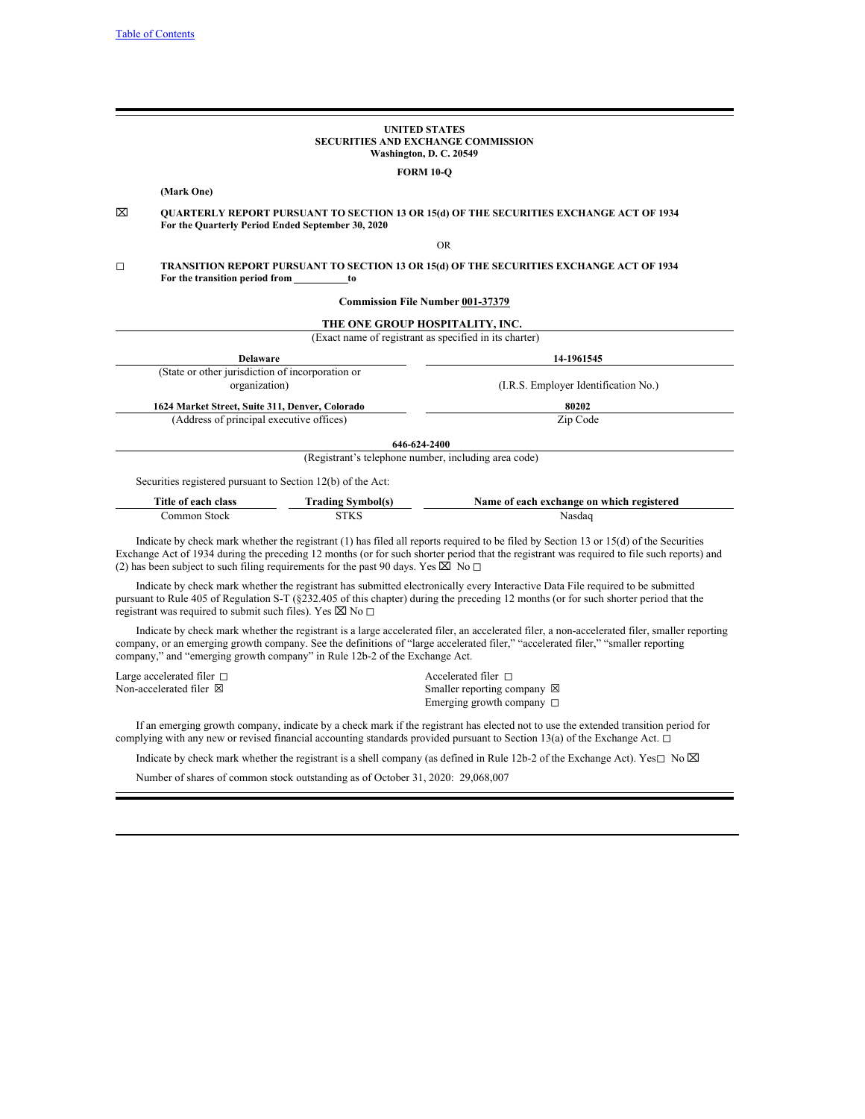# **UNITED STATES SECURITIES AND EXCHANGE COMMISSION Washington, D. C. 20549**

### **FORM 10-Q**

# **(Mark One)**

# ⌧ **QUARTERLY REPORT PURSUANT TO SECTION 13 OR 15(d) OF THE SECURITIES EXCHANGE ACT OF 1934 For the Quarterly Period Ended September 30, 2020**

OR

# ◻ **TRANSITION REPORT PURSUANT TO SECTION 13 OR 15(d) OF THE SECURITIES EXCHANGE ACT OF 1934 For the transition period from to**

**Commission File Number 001-37379**

#### **THE ONE GROUP HOSPITALITY, INC.**

| 14-1961545                           |  |  |  |  |
|--------------------------------------|--|--|--|--|
|                                      |  |  |  |  |
| (I.R.S. Employer Identification No.) |  |  |  |  |
| 80202                                |  |  |  |  |
| Zip Code                             |  |  |  |  |
|                                      |  |  |  |  |

(Registrant's telephone number, including area code)

Securities registered pursuant to Section 12(b) of the Act:

| Title of each class | Trading Svmbol(s) | Name of each exchange on which registered |
|---------------------|-------------------|-------------------------------------------|
| ∴ommon Stock        | STKS              | Nasdac                                    |

Indicate by check mark whether the registrant (1) has filed all reports required to be filed by Section 13 or 15(d) of the Securities Exchange Act of 1934 during the preceding 12 months (or for such shorter period that the registrant was required to file such reports) and (2) has been subject to such filing requirements for the past 90 days. Yes  $\boxtimes$  No  $\Box$ 

Indicate by check mark whether the registrant has submitted electronically every Interactive Data File required to be submitted pursuant to Rule 405 of Regulation S-T (§232.405 of this chapter) during the preceding 12 months (or for such shorter period that the registrant was required to submit such files). Yes  $\boxtimes$  No  $\Box$ 

Indicate by check mark whether the registrant is a large accelerated filer, an accelerated filer, a non-accelerated filer, smaller reporting company, or an emerging growth company. See the definitions of "large accelerated filer," "accelerated filer," "smaller reporting company," and "emerging growth company" in Rule 12b-2 of the Exchange Act.

Large accelerated filer □<br>
Non-accelerated filer □<br>
Smaller reporting co Smaller reporting company  $\boxtimes$ Emerging growth company □

If an emerging growth company, indicate by a check mark if the registrant has elected not to use the extended transition period for complying with any new or revised financial accounting standards provided pursuant to Section 13(a) of the Exchange Act.  $\Box$ 

Indicate by check mark whether the registrant is a shell company (as defined in Rule 12b-2 of the Exchange Act). Yes $\Box$  No  $\boxtimes$ 

Number of shares of common stock outstanding as of October 31, 2020: 29,068,007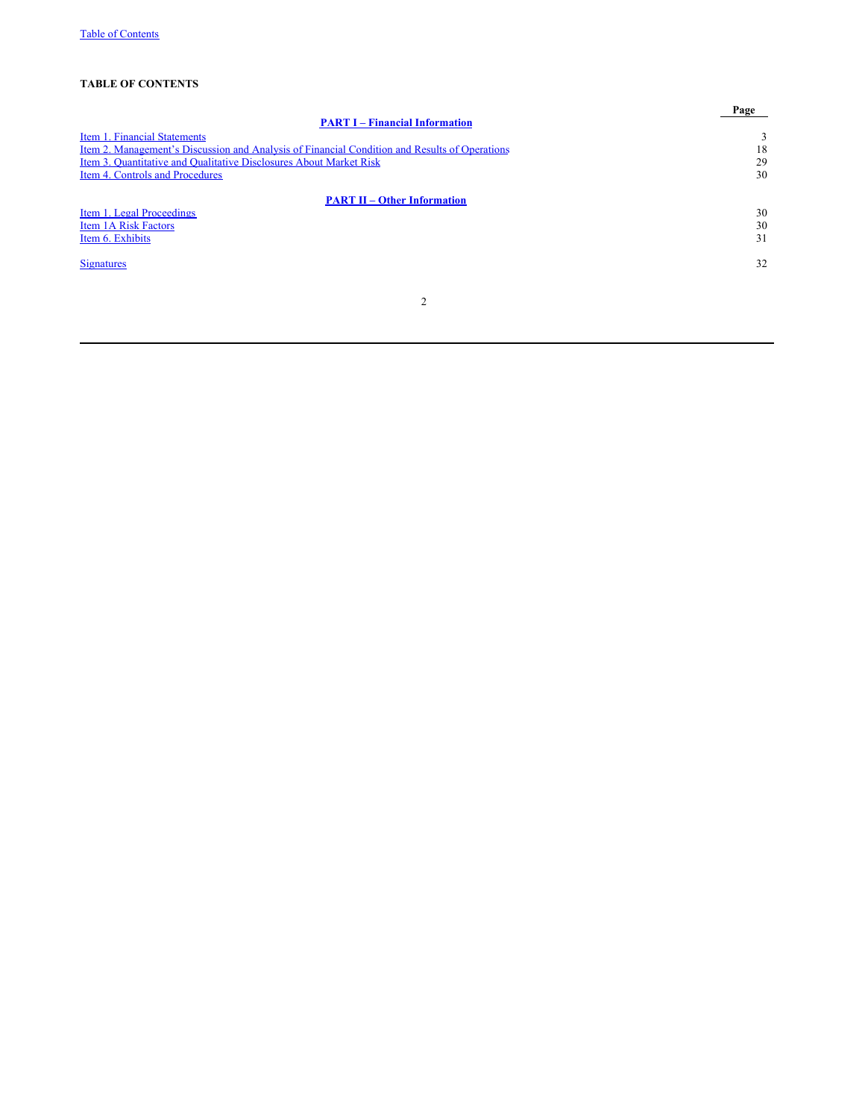# <span id="page-1-0"></span>**TABLE OF CONTENTS**

|                                                                                               | Page |
|-----------------------------------------------------------------------------------------------|------|
| <b>PART I – Financial Information</b>                                                         |      |
| Item 1. Financial Statements                                                                  | 3    |
| Item 2. Management's Discussion and Analysis of Financial Condition and Results of Operations | 18   |
| Item 3. Quantitative and Qualitative Disclosures About Market Risk                            | 29   |
| Item 4. Controls and Procedures                                                               | 30   |
| <b>PART II - Other Information</b>                                                            |      |
| Item 1. Legal Proceedings                                                                     | 30   |
| Item 1A Risk Factors                                                                          | 30   |
| Item 6. Exhibits                                                                              | 31   |
| <b>Signatures</b>                                                                             | 32   |
|                                                                                               |      |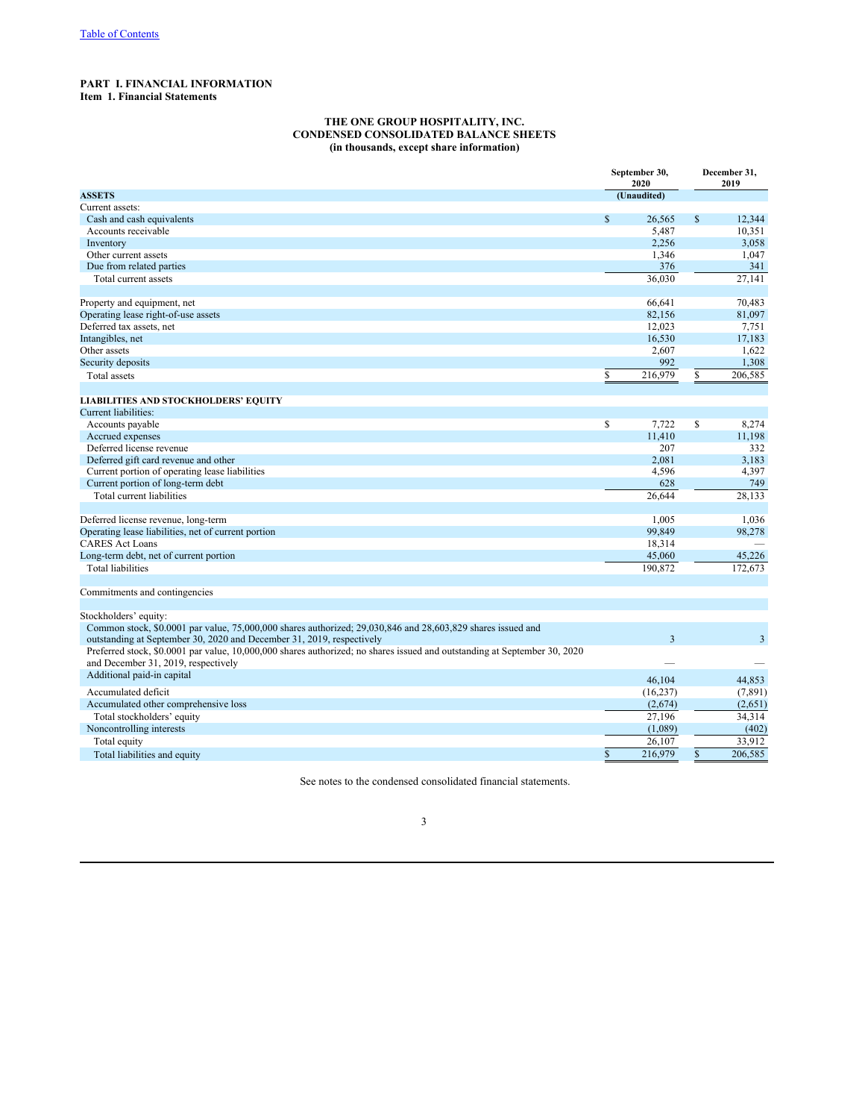# <span id="page-2-1"></span><span id="page-2-0"></span>**PART I. FINANCIAL INFORMATION Item 1. Financial Statements**

### **THE ONE GROUP HOSPITALITY, INC. CONDENSED CONSOLIDATED BALANCE SHEETS (in thousands, except share information)**

|                                                                                                                           | September 30,<br>2020 |             |              | December 31,<br>2019    |
|---------------------------------------------------------------------------------------------------------------------------|-----------------------|-------------|--------------|-------------------------|
| <b>ASSETS</b>                                                                                                             |                       | (Unaudited) |              |                         |
| Current assets:                                                                                                           |                       |             |              |                         |
| Cash and cash equivalents                                                                                                 | $\mathbb{S}$          | 26,565      | $\mathbb{S}$ | 12,344                  |
| Accounts receivable                                                                                                       |                       | 5,487       |              | 10,351                  |
| Inventory                                                                                                                 |                       | 2.256       |              | 3,058                   |
| Other current assets                                                                                                      |                       | 1,346       |              | 1,047                   |
| Due from related parties                                                                                                  |                       | 376         |              | 341                     |
| Total current assets                                                                                                      |                       | 36,030      |              | 27,141                  |
|                                                                                                                           |                       |             |              |                         |
| Property and equipment, net                                                                                               |                       | 66,641      |              | 70,483                  |
| Operating lease right-of-use assets                                                                                       |                       | 82,156      |              | 81,097                  |
| Deferred tax assets, net                                                                                                  |                       | 12,023      |              | 7,751                   |
| Intangibles, net                                                                                                          |                       | 16,530      |              | 17,183                  |
| Other assets                                                                                                              |                       | 2,607       |              | 1,622                   |
| Security deposits                                                                                                         |                       | 992         |              | 1,308                   |
| Total assets                                                                                                              | $\mathbb{S}$          | 216,979     | \$           | 206,585                 |
|                                                                                                                           |                       |             |              |                         |
| <b>LIABILITIES AND STOCKHOLDERS' EQUITY</b>                                                                               |                       |             |              |                         |
| <b>Current liabilities:</b>                                                                                               |                       |             |              |                         |
| Accounts payable                                                                                                          | \$                    | 7,722       | \$           | 8,274                   |
| Accrued expenses                                                                                                          |                       | 11,410      |              | 11,198                  |
| Deferred license revenue                                                                                                  |                       | 207         |              | 332                     |
| Deferred gift card revenue and other                                                                                      |                       | 2,081       |              | 3,183                   |
| Current portion of operating lease liabilities                                                                            |                       | 4,596       |              | 4,397                   |
|                                                                                                                           |                       | 628         |              |                         |
| Current portion of long-term debt                                                                                         |                       |             |              | 749                     |
| Total current liabilities                                                                                                 |                       | 26.644      |              | 28,133                  |
| Deferred license revenue, long-term                                                                                       |                       | 1,005       |              | 1,036                   |
| Operating lease liabilities, net of current portion                                                                       |                       | 99,849      |              | 98,278                  |
| <b>CARES Act Loans</b>                                                                                                    |                       | 18,314      |              |                         |
| Long-term debt, net of current portion                                                                                    |                       | 45,060      |              | 45,226                  |
| <b>Total liabilities</b>                                                                                                  |                       | 190,872     |              | 172,673                 |
|                                                                                                                           |                       |             |              |                         |
| Commitments and contingencies                                                                                             |                       |             |              |                         |
| Stockholders' equity:                                                                                                     |                       |             |              |                         |
| Common stock, \$0.0001 par value, 75,000,000 shares authorized; 29,030,846 and 28,603,829 shares issued and               |                       |             |              |                         |
| outstanding at September 30, 2020 and December 31, 2019, respectively                                                     |                       | 3           |              | $\overline{\mathbf{3}}$ |
| Preferred stock, \$0.0001 par value, 10,000,000 shares authorized; no shares issued and outstanding at September 30, 2020 |                       |             |              |                         |
| and December 31, 2019, respectively                                                                                       |                       |             |              |                         |
| Additional paid-in capital                                                                                                |                       |             |              |                         |
|                                                                                                                           |                       | 46,104      |              | 44,853                  |
| Accumulated deficit                                                                                                       |                       | (16, 237)   |              | (7,891)                 |
| Accumulated other comprehensive loss                                                                                      |                       | (2,674)     |              | (2,651)                 |
| Total stockholders' equity                                                                                                |                       | 27,196      |              | 34,314                  |
| Noncontrolling interests                                                                                                  |                       | (1,089)     |              | (402)                   |
| Total equity                                                                                                              |                       | 26.107      |              | 33.912                  |
| Total liabilities and equity                                                                                              | $\mathbb S$           | 216,979     | \$           | 206,585                 |

See notes to the condensed consolidated financial statements.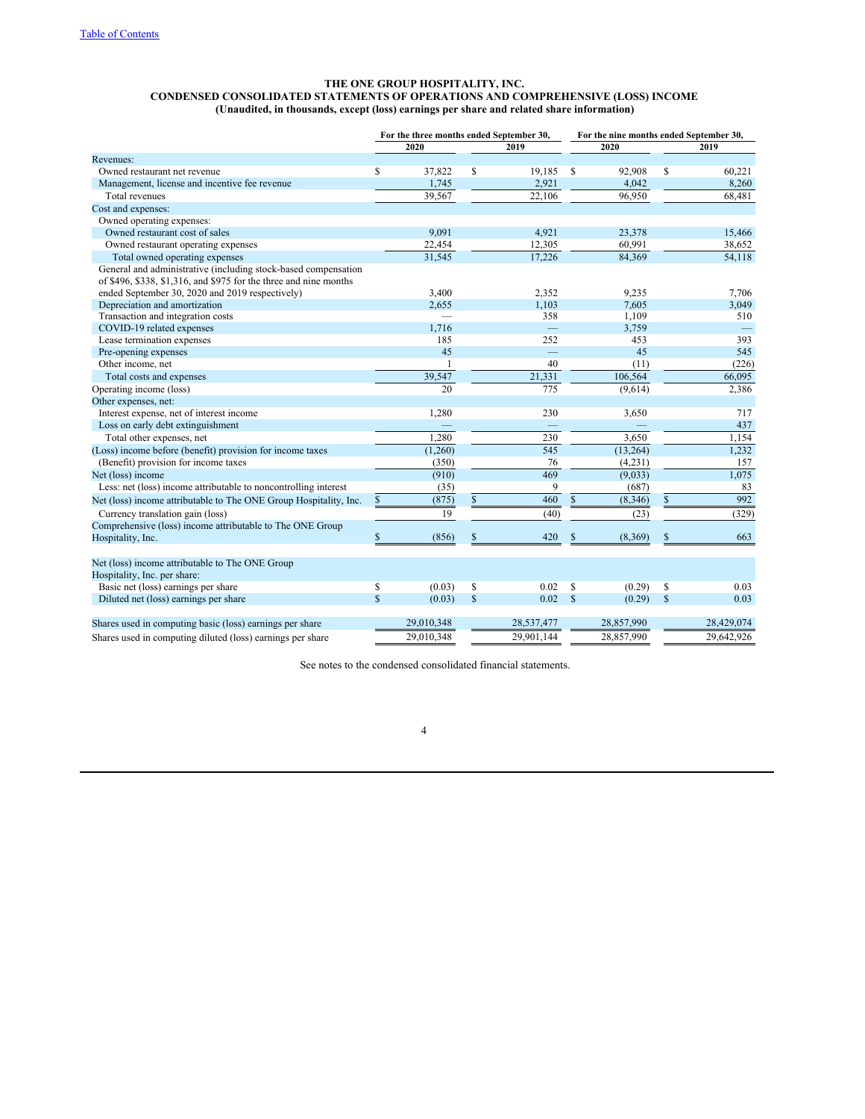# **THE ONE GROUP HOSPITALITY, INC. CONDENSED CONSOLIDATED STATEMENTS OF OPERATIONS AND COMPREHENSIVE (LOSS) INCOME (Unaudited, in thousands, except (loss) earnings per share and related share information)**

|                                                                                                                                     |             | For the three months ended September 30, |              |            |             |            | For the nine months ended September 30, |            |  |  |  |
|-------------------------------------------------------------------------------------------------------------------------------------|-------------|------------------------------------------|--------------|------------|-------------|------------|-----------------------------------------|------------|--|--|--|
|                                                                                                                                     |             | 2020                                     |              | 2019       |             | 2020       |                                         | 2019       |  |  |  |
| Revenues:                                                                                                                           |             |                                          |              |            |             |            |                                         |            |  |  |  |
| Owned restaurant net revenue                                                                                                        | \$          | 37,822                                   | \$           | 19,185     | S           | 92,908     | \$                                      | 60,221     |  |  |  |
| Management, license and incentive fee revenue                                                                                       |             | 1,745                                    |              | 2,921      |             | 4,042      |                                         | 8,260      |  |  |  |
| Total revenues                                                                                                                      |             | 39.567                                   |              | 22.106     |             | 96.950     |                                         | 68,481     |  |  |  |
| Cost and expenses:                                                                                                                  |             |                                          |              |            |             |            |                                         |            |  |  |  |
| Owned operating expenses:                                                                                                           |             |                                          |              |            |             |            |                                         |            |  |  |  |
| Owned restaurant cost of sales                                                                                                      |             | 9,091                                    |              | 4,921      |             | 23,378     |                                         | 15,466     |  |  |  |
| Owned restaurant operating expenses                                                                                                 |             | 22,454                                   |              | 12,305     |             | 60,991     |                                         | 38,652     |  |  |  |
| Total owned operating expenses                                                                                                      |             | 31,545                                   |              | 17,226     |             | 84,369     |                                         | 54,118     |  |  |  |
| General and administrative (including stock-based compensation<br>of \$496, \$338, \$1,316, and \$975 for the three and nine months |             |                                          |              |            |             |            |                                         |            |  |  |  |
| ended September 30, 2020 and 2019 respectively)                                                                                     |             | 3,400                                    |              | 2.352      |             | 9.235      |                                         | 7.706      |  |  |  |
| Depreciation and amortization                                                                                                       |             | 2.655                                    |              | 1.103      |             | 7.605      |                                         | 3.049      |  |  |  |
| Transaction and integration costs                                                                                                   |             |                                          |              | 358        |             | 1,109      |                                         | 510        |  |  |  |
| COVID-19 related expenses                                                                                                           |             | 1.716                                    |              |            |             | 3,759      |                                         |            |  |  |  |
| Lease termination expenses                                                                                                          |             | 185                                      |              | 252        |             | 453        |                                         | 393        |  |  |  |
| Pre-opening expenses                                                                                                                |             | 45                                       |              | ÷.         |             | 45         |                                         | 545        |  |  |  |
| Other income, net                                                                                                                   |             | $\mathbf{1}$                             |              | 40         |             | (11)       |                                         | (226)      |  |  |  |
| Total costs and expenses                                                                                                            |             | 39,547                                   |              | 21,331     |             | 106,564    |                                         | 66,095     |  |  |  |
| Operating income (loss)                                                                                                             |             | 20                                       |              | 775        |             | (9,614)    |                                         | 2,386      |  |  |  |
| Other expenses, net:                                                                                                                |             |                                          |              |            |             |            |                                         |            |  |  |  |
| Interest expense, net of interest income                                                                                            |             | 1,280                                    |              | 230        |             | 3,650      |                                         | 717        |  |  |  |
| Loss on early debt extinguishment                                                                                                   |             |                                          |              |            |             |            |                                         | 437        |  |  |  |
| Total other expenses, net                                                                                                           |             | 1,280                                    |              | 230        |             | 3,650      |                                         | 1,154      |  |  |  |
| (Loss) income before (benefit) provision for income taxes                                                                           |             | (1,260)                                  |              | 545        |             | (13, 264)  |                                         | 1,232      |  |  |  |
| (Benefit) provision for income taxes                                                                                                |             | (350)                                    |              | 76         |             | (4,231)    |                                         | 157        |  |  |  |
| Net (loss) income                                                                                                                   |             | (910)                                    |              | 469        |             | (9,033)    |                                         | 1,075      |  |  |  |
| Less: net (loss) income attributable to noncontrolling interest                                                                     |             | (35)                                     |              | 9          |             | (687)      |                                         | 83         |  |  |  |
| Net (loss) income attributable to The ONE Group Hospitality, Inc.                                                                   | \$          | (875)                                    | $\mathbb{S}$ | 460        | \$          | (8,346)    | $\mathbb S$                             | 992        |  |  |  |
| Currency translation gain (loss)                                                                                                    |             | 19                                       |              | (40)       |             | (23)       |                                         | (329)      |  |  |  |
| Comprehensive (loss) income attributable to The ONE Group                                                                           |             |                                          |              |            |             |            |                                         |            |  |  |  |
| Hospitality, Inc.                                                                                                                   | \$          | (856)                                    | S            | 420        | S           | (8,369)    | S                                       | 663        |  |  |  |
|                                                                                                                                     |             |                                          |              |            |             |            |                                         |            |  |  |  |
| Net (loss) income attributable to The ONE Group<br>Hospitality, Inc. per share:                                                     |             |                                          |              |            |             |            |                                         |            |  |  |  |
| Basic net (loss) earnings per share                                                                                                 | \$          | (0.03)                                   | \$           | 0.02       | S           | (0.29)     | \$                                      | 0.03       |  |  |  |
| Diluted net (loss) earnings per share                                                                                               | $\mathbf S$ | (0.03)                                   | $\mathbf S$  | 0.02       | $\mathbf S$ | (0.29)     | $\mathbf S$                             | 0.03       |  |  |  |
| Shares used in computing basic (loss) earnings per share                                                                            |             | 29,010,348                               |              | 28,537,477 |             | 28,857,990 |                                         | 28,429,074 |  |  |  |
| Shares used in computing diluted (loss) earnings per share                                                                          |             | 29,010,348                               |              | 29.901.144 |             | 28,857,990 |                                         | 29,642,926 |  |  |  |

See notes to the condensed consolidated financial statements.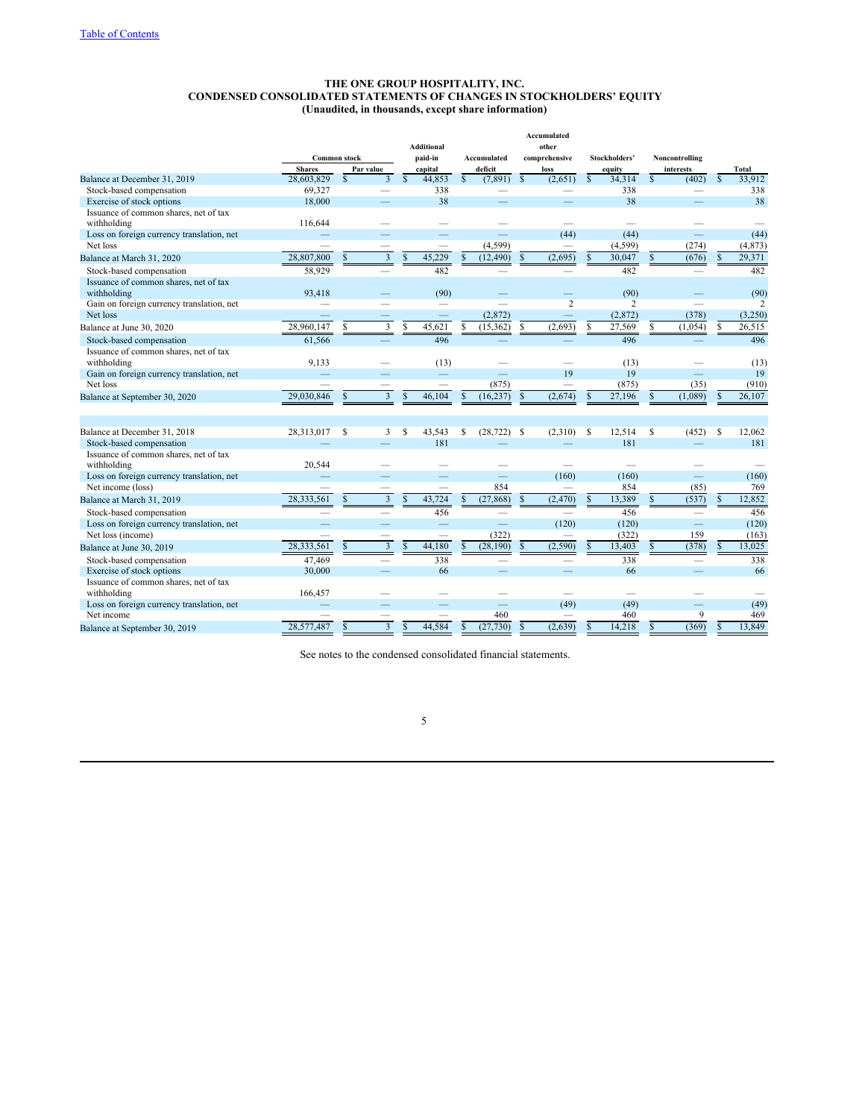# **THE ONE GROUP HOSPITALITY, INC. CONDENSED CONSOLIDATED STATEMENTS OF CHANGES IN STOCKHOLDERS' EQUITY (Unaudited, in thousands, except share information)**

|                                           |                     |               |                |               | <b>Additional</b>        |             |             |              | Accumulated<br>other     |              |                |             |                          |             |                |
|-------------------------------------------|---------------------|---------------|----------------|---------------|--------------------------|-------------|-------------|--------------|--------------------------|--------------|----------------|-------------|--------------------------|-------------|----------------|
|                                           | <b>Common stock</b> |               |                |               | paid-in                  |             | Accumulated |              | comprehensive            |              | Stockholders'  |             | Noncontrolling           |             |                |
|                                           | <b>Shares</b>       |               | Par value      |               | capital                  |             | deficit     |              | loss                     |              | equity         |             | interests                |             | Total          |
| Balance at December 31, 2019              | 28,603,829          | $\mathbf S$   | $\overline{3}$ | $\mathbf S$   | 44.853                   | $\mathbf S$ | (7,891)     | $\mathbf{s}$ | (2,651)                  | $\mathbb{S}$ | 34.314         | $\mathbf S$ | (402)                    | $\mathbf S$ | 33.912         |
| Stock-based compensation                  | 69,327              |               |                |               | 338                      |             |             |              |                          |              | 338            |             |                          |             | 338            |
| Exercise of stock options                 | 18,000              |               |                |               | 38                       |             |             |              |                          |              | 38             |             |                          |             | 38             |
| Issuance of common shares, net of tax     |                     |               |                |               |                          |             |             |              |                          |              |                |             |                          |             |                |
| withholding                               | 116,644             |               |                |               |                          |             |             |              |                          |              |                |             |                          |             |                |
| Loss on foreign currency translation, net |                     |               |                |               |                          |             |             |              | (44)                     |              | (44)           |             |                          |             | (44)           |
| Net loss                                  |                     |               |                |               |                          |             | (4,599)     |              |                          |              | (4, 599)       |             | (274)                    |             | (4, 873)       |
| Balance at March 31, 2020                 | 28,807,800          | $\mathbf S$   | $\overline{3}$ | $\mathsf{s}$  | 45.229                   | \$          | (12, 490)   | $\mathbf S$  | (2,695)                  | $\mathbb{S}$ | 30,047         | $\mathbf S$ | (676)                    | $\mathbf S$ | 29,371         |
| Stock-based compensation                  | 58,929              |               |                |               | 482                      |             |             |              |                          |              | 482            |             |                          |             | 482            |
| Issuance of common shares, net of tax     |                     |               |                |               |                          |             |             |              |                          |              |                |             |                          |             |                |
| withholding                               | 93,418              |               |                |               | (90)                     |             |             |              |                          |              | (90)           |             |                          |             | (90)           |
| Gain on foreign currency translation, net |                     |               |                |               |                          |             |             |              | $\overline{2}$           |              | $\overline{2}$ |             |                          |             | $\overline{c}$ |
| Net loss                                  |                     |               |                |               |                          |             | (2,872)     |              |                          |              | (2,872)        |             | (378)                    |             | (3,250)        |
| Balance at June 30, 2020                  | 28,960,147          | $\mathbb{S}$  | 3              | S             | 45.621                   | S           | (15,362)    | S            | (2,693)                  | \$           | 27,569         | \$          | (1,054)                  | $\mathbf S$ | 26.515         |
| Stock-based compensation                  | 61.566              |               |                |               | 496                      |             |             |              |                          |              | 496            |             |                          |             | 496            |
| Issuance of common shares, net of tax     |                     |               |                |               |                          |             |             |              |                          |              |                |             |                          |             |                |
| withholding                               | 9.133               |               |                |               | (13)                     |             |             |              |                          |              | (13)           |             |                          |             | (13)           |
| Gain on foreign currency translation, net |                     |               |                |               |                          |             |             |              | 19                       |              | 19             |             |                          |             | 19             |
| Net loss                                  |                     |               |                |               | $\overline{\phantom{a}}$ |             | (875)       |              | $\overline{\phantom{a}}$ |              | (875)          |             | (35)                     |             | (910)          |
| Balance at September 30, 2020             | 29,030,846          | $\mathbb{S}$  | $\mathbf{3}$   | $\mathsf{s}$  | 46,104                   | S           | (16, 237)   | \$           | (2,674)                  | $\mathbb{S}$ | 27,196         | \$          | (1,089)                  | S           | 26,107         |
|                                           |                     |               |                |               |                          |             |             |              |                          |              |                |             |                          |             |                |
|                                           |                     |               |                |               |                          |             |             |              |                          |              |                |             |                          |             |                |
| Balance at December 31, 2018              | 28,313,017          | \$            | 3              | S             | 43,543                   | \$          | (28, 722)   | - \$         | (2,310)                  | \$           | 12,514         | \$          | (452)                    | \$          | 12,062         |
| Stock-based compensation                  |                     |               |                |               | 181                      |             |             |              |                          |              | 181            |             |                          |             | 181            |
| Issuance of common shares, net of tax     |                     |               |                |               |                          |             |             |              |                          |              |                |             |                          |             |                |
| withholding                               | 20.544              |               |                |               |                          |             |             |              |                          |              | $\sim$         |             |                          |             |                |
| Loss on foreign currency translation, net |                     |               |                |               |                          |             |             |              | (160)                    |              | (160)          |             |                          |             | (160)          |
| Net income (loss)                         |                     |               |                |               |                          |             | 854         |              |                          |              | 854            |             | (85)                     |             | 769            |
| Balance at March 31, 2019                 | 28,333,561          | $\mathcal{S}$ | $\overline{3}$ | <sup>\$</sup> | 43,724                   | \$          | (27, 868)   | \$           | (2, 470)                 | $\mathbb{S}$ | 13,389         | \$          | (537)                    | $\mathbf S$ | 12,852         |
| Stock-based compensation                  |                     |               |                |               | 456                      |             |             |              |                          |              | 456            |             | $\qquad \qquad$          |             | 456            |
| Loss on foreign currency translation, net |                     |               |                |               | $\qquad \qquad$          |             |             |              | (120)                    |              | (120)          |             | $\overline{\phantom{0}}$ |             | (120)          |
| Net loss (income)                         |                     |               |                |               |                          |             | (322)       |              |                          |              | (322)          |             | 159                      |             | (163)          |
| Balance at June 30, 2019                  | 28,333,561          | $\mathcal{S}$ | $\overline{3}$ | $\mathbb{S}$  | 44,180                   | $\mathbf S$ | (28, 190)   | \$           | (2, 590)                 | $\mathbb{S}$ | 13,403         | \$          | (378)                    | \$          | 13,025         |
| Stock-based compensation                  | 47,469              |               |                |               | 338                      |             |             |              |                          |              | 338            |             |                          |             | 338            |
| Exercise of stock options                 | 30,000              |               |                |               | 66                       |             |             |              |                          |              | 66             |             |                          |             | 66             |
| Issuance of common shares, net of tax     |                     |               |                |               |                          |             |             |              |                          |              |                |             |                          |             |                |
| withholding                               | 166,457             |               |                |               |                          |             |             |              |                          |              |                |             |                          |             |                |
| Loss on foreign currency translation, net |                     |               |                |               |                          |             |             |              | (49)                     |              | (49)           |             |                          |             | (49)           |
| Net income                                |                     |               |                |               |                          |             | 460         |              |                          |              | 460            |             | 9                        |             | 469            |
| Balance at September 30, 2019             | 28,577,487          | <sup>\$</sup> | $\overline{3}$ | $\mathbb{S}$  | 44,584                   | S           | (27,730)    | \$           | (2,639)                  | \$           | 14,218         | \$          | (369)                    | \$          | 13.849         |

See notes to the condensed consolidated financial statements.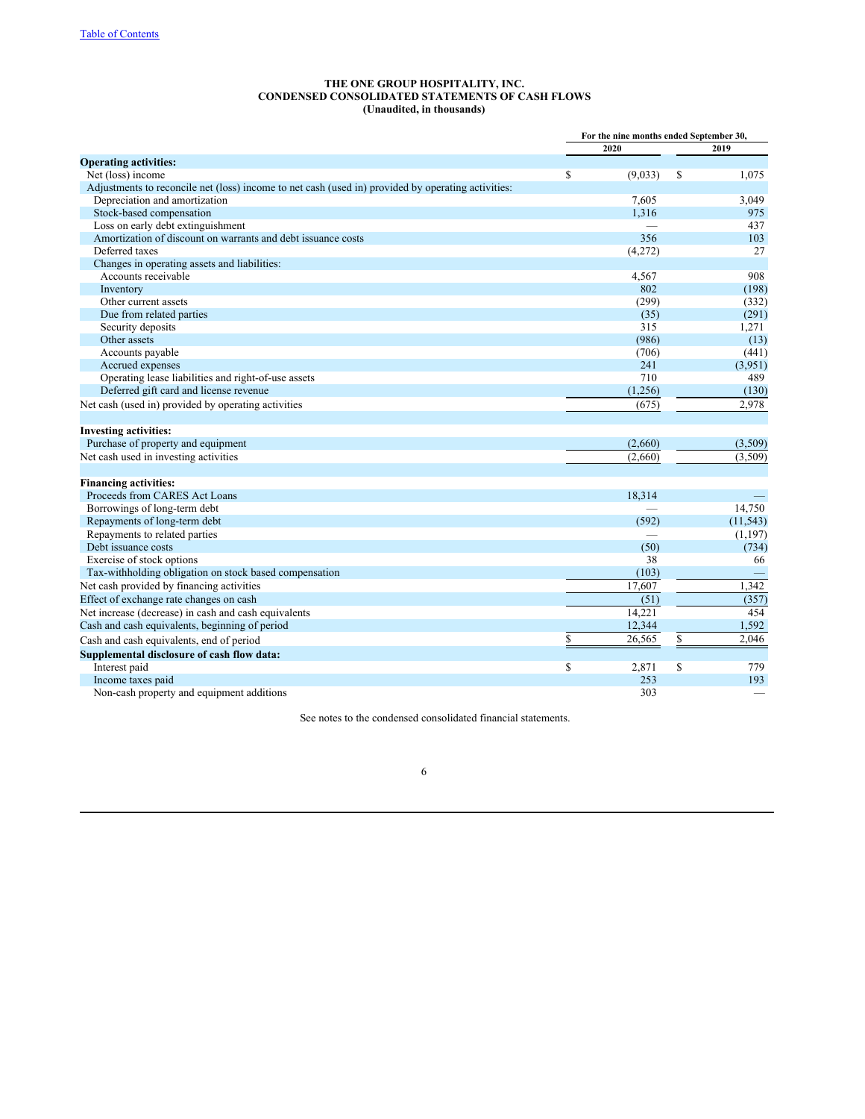### **THE ONE GROUP HOSPITALITY, INC. CONDENSED CONSOLIDATED STATEMENTS OF CASH FLOWS (Unaudited, in thousands)**

| 2020<br>2019<br><b>Operating activities:</b><br>Net (loss) income<br>S<br><sup>\$</sup><br>1,075<br>(9,033)<br>Adjustments to reconcile net (loss) income to net cash (used in) provided by operating activities:<br>Depreciation and amortization<br>7,605<br>3,049<br>Stock-based compensation<br>1.316<br>975<br>Loss on early debt extinguishment<br>437<br>Amortization of discount on warrants and debt issuance costs<br>356<br>103<br>Deferred taxes<br>(4,272)<br>27<br>Changes in operating assets and liabilities:<br>Accounts receivable<br>4,567<br>908<br>802<br>(198)<br>Inventory<br>Other current assets<br>(299)<br>(332)<br>Due from related parties<br>(291)<br>(35)<br>Security deposits<br>315<br>1,271<br>Other assets<br>(986)<br>(13)<br>(441)<br>Accounts payable<br>(706)<br>Accrued expenses<br>241<br>(3,951)<br>710<br>Operating lease liabilities and right-of-use assets<br>489<br>Deferred gift card and license revenue<br>(1,256)<br>(130)<br>(675)<br>2,978<br><b>Investing activities:</b><br>Purchase of property and equipment<br>(2,660)<br>(3,509)<br>Net cash used in investing activities<br>(2,660)<br>(3,509)<br><b>Financing activities:</b><br>Proceeds from CARES Act Loans<br>18,314<br>Borrowings of long-term debt<br>14,750<br>Repayments of long-term debt<br>(592)<br>(11, 543)<br>Repayments to related parties<br>(1, 197)<br>Debt issuance costs<br>(50)<br>(734)<br>Exercise of stock options<br>38<br>66<br>Tax-withholding obligation on stock based compensation<br>(103)<br>Net cash provided by financing activities<br>17,607<br>1,342<br>(357)<br>(51)<br>14,221<br>454<br>12,344<br>1,592<br>\$<br>Ŝ<br>26,565<br>2,046<br>Interest paid<br>S<br>\$<br>2,871<br>779<br>Income taxes paid<br>253<br>193<br>Non-cash property and equipment additions<br>303 |                                                      | For the nine months ended September 30, |  |  |  |
|------------------------------------------------------------------------------------------------------------------------------------------------------------------------------------------------------------------------------------------------------------------------------------------------------------------------------------------------------------------------------------------------------------------------------------------------------------------------------------------------------------------------------------------------------------------------------------------------------------------------------------------------------------------------------------------------------------------------------------------------------------------------------------------------------------------------------------------------------------------------------------------------------------------------------------------------------------------------------------------------------------------------------------------------------------------------------------------------------------------------------------------------------------------------------------------------------------------------------------------------------------------------------------------------------------------------------------------------------------------------------------------------------------------------------------------------------------------------------------------------------------------------------------------------------------------------------------------------------------------------------------------------------------------------------------------------------------------------------------------------------------------------------------------------------------------------------|------------------------------------------------------|-----------------------------------------|--|--|--|
|                                                                                                                                                                                                                                                                                                                                                                                                                                                                                                                                                                                                                                                                                                                                                                                                                                                                                                                                                                                                                                                                                                                                                                                                                                                                                                                                                                                                                                                                                                                                                                                                                                                                                                                                                                                                                              |                                                      |                                         |  |  |  |
|                                                                                                                                                                                                                                                                                                                                                                                                                                                                                                                                                                                                                                                                                                                                                                                                                                                                                                                                                                                                                                                                                                                                                                                                                                                                                                                                                                                                                                                                                                                                                                                                                                                                                                                                                                                                                              |                                                      |                                         |  |  |  |
|                                                                                                                                                                                                                                                                                                                                                                                                                                                                                                                                                                                                                                                                                                                                                                                                                                                                                                                                                                                                                                                                                                                                                                                                                                                                                                                                                                                                                                                                                                                                                                                                                                                                                                                                                                                                                              |                                                      |                                         |  |  |  |
|                                                                                                                                                                                                                                                                                                                                                                                                                                                                                                                                                                                                                                                                                                                                                                                                                                                                                                                                                                                                                                                                                                                                                                                                                                                                                                                                                                                                                                                                                                                                                                                                                                                                                                                                                                                                                              |                                                      |                                         |  |  |  |
|                                                                                                                                                                                                                                                                                                                                                                                                                                                                                                                                                                                                                                                                                                                                                                                                                                                                                                                                                                                                                                                                                                                                                                                                                                                                                                                                                                                                                                                                                                                                                                                                                                                                                                                                                                                                                              |                                                      |                                         |  |  |  |
|                                                                                                                                                                                                                                                                                                                                                                                                                                                                                                                                                                                                                                                                                                                                                                                                                                                                                                                                                                                                                                                                                                                                                                                                                                                                                                                                                                                                                                                                                                                                                                                                                                                                                                                                                                                                                              |                                                      |                                         |  |  |  |
|                                                                                                                                                                                                                                                                                                                                                                                                                                                                                                                                                                                                                                                                                                                                                                                                                                                                                                                                                                                                                                                                                                                                                                                                                                                                                                                                                                                                                                                                                                                                                                                                                                                                                                                                                                                                                              |                                                      |                                         |  |  |  |
|                                                                                                                                                                                                                                                                                                                                                                                                                                                                                                                                                                                                                                                                                                                                                                                                                                                                                                                                                                                                                                                                                                                                                                                                                                                                                                                                                                                                                                                                                                                                                                                                                                                                                                                                                                                                                              |                                                      |                                         |  |  |  |
|                                                                                                                                                                                                                                                                                                                                                                                                                                                                                                                                                                                                                                                                                                                                                                                                                                                                                                                                                                                                                                                                                                                                                                                                                                                                                                                                                                                                                                                                                                                                                                                                                                                                                                                                                                                                                              |                                                      |                                         |  |  |  |
|                                                                                                                                                                                                                                                                                                                                                                                                                                                                                                                                                                                                                                                                                                                                                                                                                                                                                                                                                                                                                                                                                                                                                                                                                                                                                                                                                                                                                                                                                                                                                                                                                                                                                                                                                                                                                              |                                                      |                                         |  |  |  |
|                                                                                                                                                                                                                                                                                                                                                                                                                                                                                                                                                                                                                                                                                                                                                                                                                                                                                                                                                                                                                                                                                                                                                                                                                                                                                                                                                                                                                                                                                                                                                                                                                                                                                                                                                                                                                              |                                                      |                                         |  |  |  |
|                                                                                                                                                                                                                                                                                                                                                                                                                                                                                                                                                                                                                                                                                                                                                                                                                                                                                                                                                                                                                                                                                                                                                                                                                                                                                                                                                                                                                                                                                                                                                                                                                                                                                                                                                                                                                              |                                                      |                                         |  |  |  |
|                                                                                                                                                                                                                                                                                                                                                                                                                                                                                                                                                                                                                                                                                                                                                                                                                                                                                                                                                                                                                                                                                                                                                                                                                                                                                                                                                                                                                                                                                                                                                                                                                                                                                                                                                                                                                              |                                                      |                                         |  |  |  |
|                                                                                                                                                                                                                                                                                                                                                                                                                                                                                                                                                                                                                                                                                                                                                                                                                                                                                                                                                                                                                                                                                                                                                                                                                                                                                                                                                                                                                                                                                                                                                                                                                                                                                                                                                                                                                              |                                                      |                                         |  |  |  |
|                                                                                                                                                                                                                                                                                                                                                                                                                                                                                                                                                                                                                                                                                                                                                                                                                                                                                                                                                                                                                                                                                                                                                                                                                                                                                                                                                                                                                                                                                                                                                                                                                                                                                                                                                                                                                              |                                                      |                                         |  |  |  |
|                                                                                                                                                                                                                                                                                                                                                                                                                                                                                                                                                                                                                                                                                                                                                                                                                                                                                                                                                                                                                                                                                                                                                                                                                                                                                                                                                                                                                                                                                                                                                                                                                                                                                                                                                                                                                              |                                                      |                                         |  |  |  |
|                                                                                                                                                                                                                                                                                                                                                                                                                                                                                                                                                                                                                                                                                                                                                                                                                                                                                                                                                                                                                                                                                                                                                                                                                                                                                                                                                                                                                                                                                                                                                                                                                                                                                                                                                                                                                              |                                                      |                                         |  |  |  |
|                                                                                                                                                                                                                                                                                                                                                                                                                                                                                                                                                                                                                                                                                                                                                                                                                                                                                                                                                                                                                                                                                                                                                                                                                                                                                                                                                                                                                                                                                                                                                                                                                                                                                                                                                                                                                              |                                                      |                                         |  |  |  |
|                                                                                                                                                                                                                                                                                                                                                                                                                                                                                                                                                                                                                                                                                                                                                                                                                                                                                                                                                                                                                                                                                                                                                                                                                                                                                                                                                                                                                                                                                                                                                                                                                                                                                                                                                                                                                              |                                                      |                                         |  |  |  |
|                                                                                                                                                                                                                                                                                                                                                                                                                                                                                                                                                                                                                                                                                                                                                                                                                                                                                                                                                                                                                                                                                                                                                                                                                                                                                                                                                                                                                                                                                                                                                                                                                                                                                                                                                                                                                              |                                                      |                                         |  |  |  |
|                                                                                                                                                                                                                                                                                                                                                                                                                                                                                                                                                                                                                                                                                                                                                                                                                                                                                                                                                                                                                                                                                                                                                                                                                                                                                                                                                                                                                                                                                                                                                                                                                                                                                                                                                                                                                              | Net cash (used in) provided by operating activities  |                                         |  |  |  |
|                                                                                                                                                                                                                                                                                                                                                                                                                                                                                                                                                                                                                                                                                                                                                                                                                                                                                                                                                                                                                                                                                                                                                                                                                                                                                                                                                                                                                                                                                                                                                                                                                                                                                                                                                                                                                              |                                                      |                                         |  |  |  |
|                                                                                                                                                                                                                                                                                                                                                                                                                                                                                                                                                                                                                                                                                                                                                                                                                                                                                                                                                                                                                                                                                                                                                                                                                                                                                                                                                                                                                                                                                                                                                                                                                                                                                                                                                                                                                              |                                                      |                                         |  |  |  |
|                                                                                                                                                                                                                                                                                                                                                                                                                                                                                                                                                                                                                                                                                                                                                                                                                                                                                                                                                                                                                                                                                                                                                                                                                                                                                                                                                                                                                                                                                                                                                                                                                                                                                                                                                                                                                              |                                                      |                                         |  |  |  |
|                                                                                                                                                                                                                                                                                                                                                                                                                                                                                                                                                                                                                                                                                                                                                                                                                                                                                                                                                                                                                                                                                                                                                                                                                                                                                                                                                                                                                                                                                                                                                                                                                                                                                                                                                                                                                              |                                                      |                                         |  |  |  |
|                                                                                                                                                                                                                                                                                                                                                                                                                                                                                                                                                                                                                                                                                                                                                                                                                                                                                                                                                                                                                                                                                                                                                                                                                                                                                                                                                                                                                                                                                                                                                                                                                                                                                                                                                                                                                              |                                                      |                                         |  |  |  |
|                                                                                                                                                                                                                                                                                                                                                                                                                                                                                                                                                                                                                                                                                                                                                                                                                                                                                                                                                                                                                                                                                                                                                                                                                                                                                                                                                                                                                                                                                                                                                                                                                                                                                                                                                                                                                              |                                                      |                                         |  |  |  |
|                                                                                                                                                                                                                                                                                                                                                                                                                                                                                                                                                                                                                                                                                                                                                                                                                                                                                                                                                                                                                                                                                                                                                                                                                                                                                                                                                                                                                                                                                                                                                                                                                                                                                                                                                                                                                              |                                                      |                                         |  |  |  |
|                                                                                                                                                                                                                                                                                                                                                                                                                                                                                                                                                                                                                                                                                                                                                                                                                                                                                                                                                                                                                                                                                                                                                                                                                                                                                                                                                                                                                                                                                                                                                                                                                                                                                                                                                                                                                              |                                                      |                                         |  |  |  |
|                                                                                                                                                                                                                                                                                                                                                                                                                                                                                                                                                                                                                                                                                                                                                                                                                                                                                                                                                                                                                                                                                                                                                                                                                                                                                                                                                                                                                                                                                                                                                                                                                                                                                                                                                                                                                              |                                                      |                                         |  |  |  |
|                                                                                                                                                                                                                                                                                                                                                                                                                                                                                                                                                                                                                                                                                                                                                                                                                                                                                                                                                                                                                                                                                                                                                                                                                                                                                                                                                                                                                                                                                                                                                                                                                                                                                                                                                                                                                              |                                                      |                                         |  |  |  |
|                                                                                                                                                                                                                                                                                                                                                                                                                                                                                                                                                                                                                                                                                                                                                                                                                                                                                                                                                                                                                                                                                                                                                                                                                                                                                                                                                                                                                                                                                                                                                                                                                                                                                                                                                                                                                              |                                                      |                                         |  |  |  |
|                                                                                                                                                                                                                                                                                                                                                                                                                                                                                                                                                                                                                                                                                                                                                                                                                                                                                                                                                                                                                                                                                                                                                                                                                                                                                                                                                                                                                                                                                                                                                                                                                                                                                                                                                                                                                              |                                                      |                                         |  |  |  |
|                                                                                                                                                                                                                                                                                                                                                                                                                                                                                                                                                                                                                                                                                                                                                                                                                                                                                                                                                                                                                                                                                                                                                                                                                                                                                                                                                                                                                                                                                                                                                                                                                                                                                                                                                                                                                              |                                                      |                                         |  |  |  |
|                                                                                                                                                                                                                                                                                                                                                                                                                                                                                                                                                                                                                                                                                                                                                                                                                                                                                                                                                                                                                                                                                                                                                                                                                                                                                                                                                                                                                                                                                                                                                                                                                                                                                                                                                                                                                              |                                                      |                                         |  |  |  |
|                                                                                                                                                                                                                                                                                                                                                                                                                                                                                                                                                                                                                                                                                                                                                                                                                                                                                                                                                                                                                                                                                                                                                                                                                                                                                                                                                                                                                                                                                                                                                                                                                                                                                                                                                                                                                              | Effect of exchange rate changes on cash              |                                         |  |  |  |
|                                                                                                                                                                                                                                                                                                                                                                                                                                                                                                                                                                                                                                                                                                                                                                                                                                                                                                                                                                                                                                                                                                                                                                                                                                                                                                                                                                                                                                                                                                                                                                                                                                                                                                                                                                                                                              | Net increase (decrease) in cash and cash equivalents |                                         |  |  |  |
|                                                                                                                                                                                                                                                                                                                                                                                                                                                                                                                                                                                                                                                                                                                                                                                                                                                                                                                                                                                                                                                                                                                                                                                                                                                                                                                                                                                                                                                                                                                                                                                                                                                                                                                                                                                                                              | Cash and cash equivalents, beginning of period       |                                         |  |  |  |
|                                                                                                                                                                                                                                                                                                                                                                                                                                                                                                                                                                                                                                                                                                                                                                                                                                                                                                                                                                                                                                                                                                                                                                                                                                                                                                                                                                                                                                                                                                                                                                                                                                                                                                                                                                                                                              | Cash and cash equivalents, end of period             |                                         |  |  |  |
|                                                                                                                                                                                                                                                                                                                                                                                                                                                                                                                                                                                                                                                                                                                                                                                                                                                                                                                                                                                                                                                                                                                                                                                                                                                                                                                                                                                                                                                                                                                                                                                                                                                                                                                                                                                                                              | Supplemental disclosure of cash flow data:           |                                         |  |  |  |
|                                                                                                                                                                                                                                                                                                                                                                                                                                                                                                                                                                                                                                                                                                                                                                                                                                                                                                                                                                                                                                                                                                                                                                                                                                                                                                                                                                                                                                                                                                                                                                                                                                                                                                                                                                                                                              |                                                      |                                         |  |  |  |
|                                                                                                                                                                                                                                                                                                                                                                                                                                                                                                                                                                                                                                                                                                                                                                                                                                                                                                                                                                                                                                                                                                                                                                                                                                                                                                                                                                                                                                                                                                                                                                                                                                                                                                                                                                                                                              |                                                      |                                         |  |  |  |
|                                                                                                                                                                                                                                                                                                                                                                                                                                                                                                                                                                                                                                                                                                                                                                                                                                                                                                                                                                                                                                                                                                                                                                                                                                                                                                                                                                                                                                                                                                                                                                                                                                                                                                                                                                                                                              |                                                      |                                         |  |  |  |

See notes to the condensed consolidated financial statements.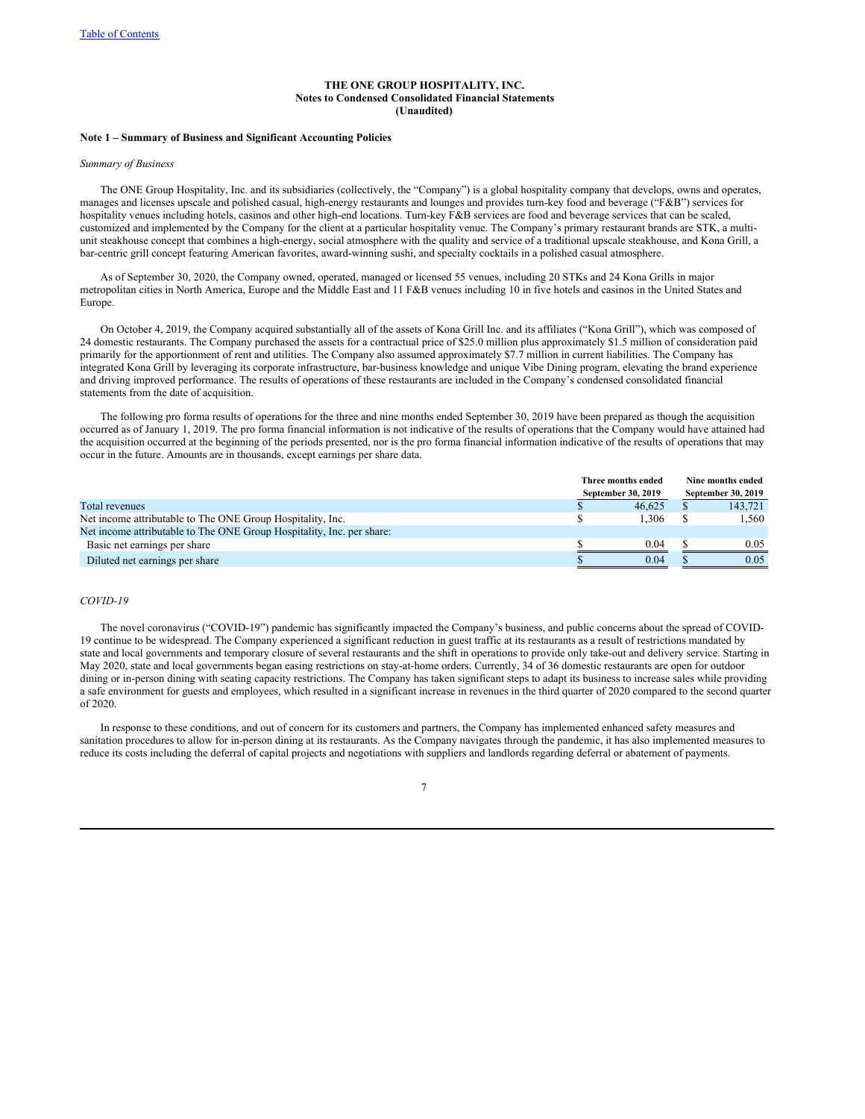### **THE ONE GROUP HOSPITALITY, INC. Notes to Condensed Consolidated Financial Statements (Unaudited)**

# **Note 1 – Summary of Business and Significant Accounting Policies**

#### *Summary of Business*

The ONE Group Hospitality, Inc. and its subsidiaries (collectively, the "Company") is a global hospitality company that develops, owns and operates, manages and licenses upscale and polished casual, high-energy restaurants and lounges and provides turn-key food and beverage ("F&B") services for hospitality venues including hotels, casinos and other high-end locations. Turn-key F&B services are food and beverage services that can be scaled, customized and implemented by the Company for the client at a particular hospitality venue. The Company's primary restaurant brands are STK, a multiunit steakhouse concept that combines a high-energy, social atmosphere with the quality and service of a traditional upscale steakhouse, and Kona Grill, a bar-centric grill concept featuring American favorites, award-winning sushi, and specialty cocktails in a polished casual atmosphere.

As of September 30, 2020, the Company owned, operated, managed or licensed 55 venues, including 20 STKs and 24 Kona Grills in major metropolitan cities in North America, Europe and the Middle East and 11 F&B venues including 10 in five hotels and casinos in the United States and Europe.

On October 4, 2019, the Company acquired substantially all of the assets of Kona Grill Inc. and its affiliates ("Kona Grill"), which was composed of 24 domestic restaurants. The Company purchased the assets for a contractual price of \$25.0 million plus approximately \$1.5 million of consideration paid primarily for the apportionment of rent and utilities. The Company also assumed approximately \$7.7 million in current liabilities. The Company has integrated Kona Grill by leveraging its corporate infrastructure, bar-business knowledge and unique Vibe Dining program, elevating the brand experience and driving improved performance. The results of operations of these restaurants are included in the Company's condensed consolidated financial statements from the date of acquisition.

The following pro forma results of operations for the three and nine months ended September 30, 2019 have been prepared as though the acquisition occurred as of January 1, 2019. The pro forma financial information is not indicative of the results of operations that the Company would have attained had the acquisition occurred at the beginning of the periods presented, nor is the pro forma financial information indicative of the results of operations that may occur in the future. Amounts are in thousands, except earnings per share data.

|                                                                       | Three months ended | Nine months ended |                    |  |
|-----------------------------------------------------------------------|--------------------|-------------------|--------------------|--|
|                                                                       | September 30, 2019 |                   | September 30, 2019 |  |
| Total revenues                                                        | 46.625             |                   | 143.721            |  |
| Net income attributable to The ONE Group Hospitality, Inc.            | 1.306              |                   | 1.560              |  |
| Net income attributable to The ONE Group Hospitality, Inc. per share: |                    |                   |                    |  |
| Basic net earnings per share                                          | 0.04               |                   | 0.05               |  |
| Diluted net earnings per share                                        | 0.04               |                   | 0.05               |  |

### *COVID-19*

The novel coronavirus ("COVID-19") pandemic has significantly impacted the Company's business, and public concerns about the spread of COVID-19 continue to be widespread. The Company experienced a significant reduction in guest traffic at its restaurants as a result of restrictions mandated by state and local governments and temporary closure of several restaurants and the shift in operations to provide only take-out and delivery service. Starting in May 2020, state and local governments began easing restrictions on stay-at-home orders. Currently, 34 of 36 domestic restaurants are open for outdoor dining or in-person dining with seating capacity restrictions. The Company has taken significant steps to adapt its business to increase sales while providing a safe environment for guests and employees, which resulted in a significant increase in revenues in the third quarter of 2020 compared to the second quarter of 2020.

In response to these conditions, and out of concern for its customers and partners, the Company has implemented enhanced safety measures and sanitation procedures to allow for in-person dining at its restaurants. As the Company navigates through the pandemic, it has also implemented measures to reduce its costs including the deferral of capital projects and negotiations with suppliers and landlords regarding deferral or abatement of payments.

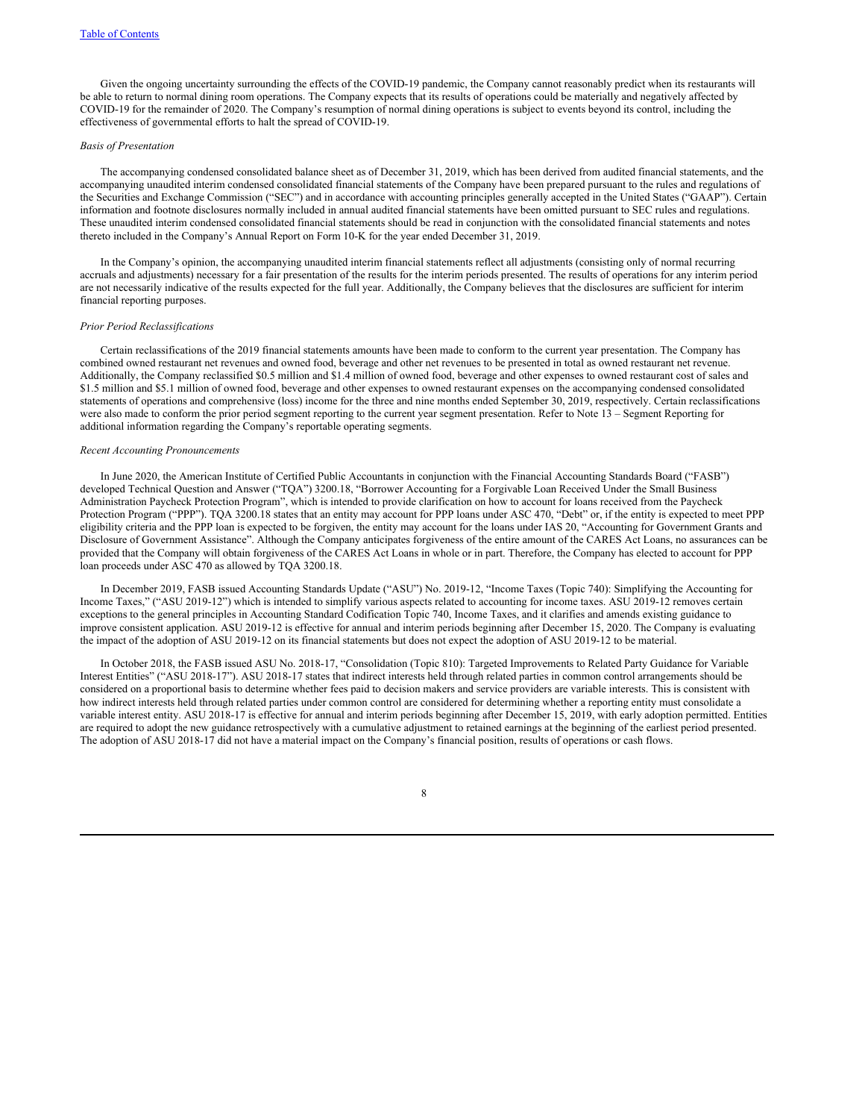Given the ongoing uncertainty surrounding the effects of the COVID-19 pandemic, the Company cannot reasonably predict when its restaurants will be able to return to normal dining room operations. The Company expects that its results of operations could be materially and negatively affected by COVID-19 for the remainder of 2020. The Company's resumption of normal dining operations is subject to events beyond its control, including the effectiveness of governmental efforts to halt the spread of COVID-19.

### *Basis of Presentation*

The accompanying condensed consolidated balance sheet as of December 31, 2019, which has been derived from audited financial statements, and the accompanying unaudited interim condensed consolidated financial statements of the Company have been prepared pursuant to the rules and regulations of the Securities and Exchange Commission ("SEC") and in accordance with accounting principles generally accepted in the United States ("GAAP"). Certain information and footnote disclosures normally included in annual audited financial statements have been omitted pursuant to SEC rules and regulations. These unaudited interim condensed consolidated financial statements should be read in conjunction with the consolidated financial statements and notes thereto included in the Company's Annual Report on Form 10-K for the year ended December 31, 2019.

In the Company's opinion, the accompanying unaudited interim financial statements reflect all adjustments (consisting only of normal recurring accruals and adjustments) necessary for a fair presentation of the results for the interim periods presented. The results of operations for any interim period are not necessarily indicative of the results expected for the full year. Additionally, the Company believes that the disclosures are sufficient for interim financial reporting purposes.

#### *Prior Period Reclassifications*

Certain reclassifications of the 2019 financial statements amounts have been made to conform to the current year presentation. The Company has combined owned restaurant net revenues and owned food, beverage and other net revenues to be presented in total as owned restaurant net revenue. Additionally, the Company reclassified \$0.5 million and \$1.4 million of owned food, beverage and other expenses to owned restaurant cost of sales and \$1.5 million and \$5.1 million of owned food, beverage and other expenses to owned restaurant expenses on the accompanying condensed consolidated statements of operations and comprehensive (loss) income for the three and nine months ended September 30, 2019, respectively. Certain reclassifications were also made to conform the prior period segment reporting to the current year segment presentation. Refer to Note 13 – Segment Reporting for additional information regarding the Company's reportable operating segments.

### *Recent Accounting Pronouncements*

In June 2020, the American Institute of Certified Public Accountants in conjunction with the Financial Accounting Standards Board ("FASB") developed Technical Question and Answer ("TQA") 3200.18, "Borrower Accounting for a Forgivable Loan Received Under the Small Business Administration Paycheck Protection Program", which is intended to provide clarification on how to account for loans received from the Paycheck Protection Program ("PPP"). TQA 3200.18 states that an entity may account for PPP loans under ASC 470, "Debt" or, if the entity is expected to meet PPP eligibility criteria and the PPP loan is expected to be forgiven, the entity may account for the loans under IAS 20, "Accounting for Government Grants and Disclosure of Government Assistance". Although the Company anticipates forgiveness of the entire amount of the CARES Act Loans, no assurances can be provided that the Company will obtain forgiveness of the CARES Act Loans in whole or in part. Therefore, the Company has elected to account for PPP loan proceeds under ASC 470 as allowed by TQA 3200.18.

In December 2019, FASB issued Accounting Standards Update ("ASU") No. 2019-12, "Income Taxes (Topic 740): Simplifying the Accounting for Income Taxes," ("ASU 2019-12") which is intended to simplify various aspects related to accounting for income taxes. ASU 2019-12 removes certain exceptions to the general principles in Accounting Standard Codification Topic 740, Income Taxes, and it clarifies and amends existing guidance to improve consistent application. ASU 2019-12 is effective for annual and interim periods beginning after December 15, 2020. The Company is evaluating the impact of the adoption of ASU 2019-12 on its financial statements but does not expect the adoption of ASU 2019-12 to be material.

In October 2018, the FASB issued ASU No. 2018-17, "Consolidation (Topic 810): Targeted Improvements to Related Party Guidance for Variable Interest Entities" ("ASU 2018-17"). ASU 2018-17 states that indirect interests held through related parties in common control arrangements should be considered on a proportional basis to determine whether fees paid to decision makers and service providers are variable interests. This is consistent with how indirect interests held through related parties under common control are considered for determining whether a reporting entity must consolidate a variable interest entity. ASU 2018-17 is effective for annual and interim periods beginning after December 15, 2019, with early adoption permitted. Entities are required to adopt the new guidance retrospectively with a cumulative adjustment to retained earnings at the beginning of the earliest period presented. The adoption of ASU 2018-17 did not have a material impact on the Company's financial position, results of operations or cash flows.

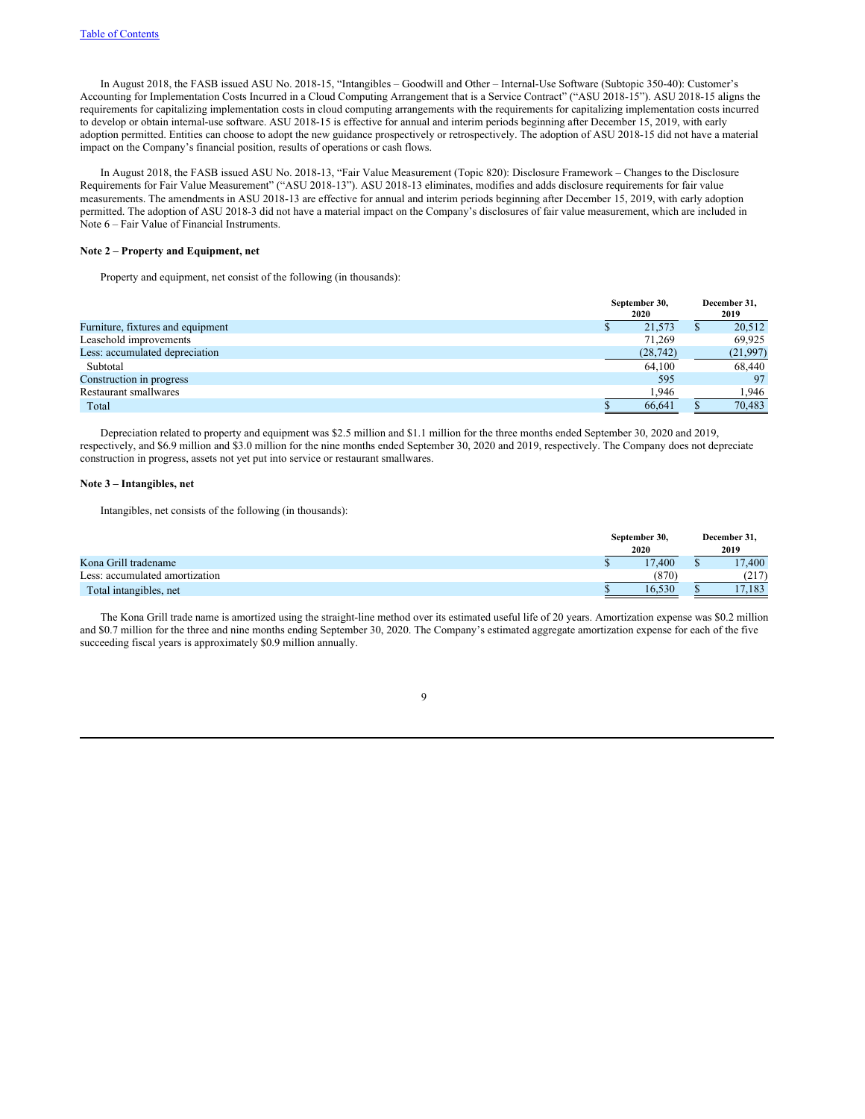In August 2018, the FASB issued ASU No. 2018-15, "Intangibles – Goodwill and Other – Internal-Use Software (Subtopic 350-40): Customer's Accounting for Implementation Costs Incurred in a Cloud Computing Arrangement that is a Service Contract" ("ASU 2018-15"). ASU 2018-15 aligns the requirements for capitalizing implementation costs in cloud computing arrangements with the requirements for capitalizing implementation costs incurred to develop or obtain internal-use software. ASU 2018-15 is effective for annual and interim periods beginning after December 15, 2019, with early adoption permitted. Entities can choose to adopt the new guidance prospectively or retrospectively. The adoption of ASU 2018-15 did not have a material impact on the Company's financial position, results of operations or cash flows.

In August 2018, the FASB issued ASU No. 2018-13, "Fair Value Measurement (Topic 820): Disclosure Framework – Changes to the Disclosure Requirements for Fair Value Measurement" ("ASU 2018-13"). ASU 2018-13 eliminates, modifies and adds disclosure requirements for fair value measurements. The amendments in ASU 2018-13 are effective for annual and interim periods beginning after December 15, 2019, with early adoption permitted. The adoption of ASU 2018-3 did not have a material impact on the Company's disclosures of fair value measurement, which are included in Note 6 – Fair Value of Financial Instruments.

# **Note 2 – Property and Equipment, net**

Property and equipment, net consist of the following (in thousands):

|                                   | September 30,<br>2020 |           |  | December 31,<br>2019 |
|-----------------------------------|-----------------------|-----------|--|----------------------|
| Furniture, fixtures and equipment |                       | 21,573    |  | 20,512               |
| Leasehold improvements            |                       | 71.269    |  | 69.925               |
| Less: accumulated depreciation    |                       | (28, 742) |  | (21,997)             |
| Subtotal                          |                       | 64,100    |  | 68,440               |
| Construction in progress          |                       | 595       |  | 97                   |
| Restaurant smallwares             |                       | 1,946     |  | 1,946                |
| Total                             |                       | 66,641    |  | 70,483               |

Depreciation related to property and equipment was \$2.5 million and \$1.1 million for the three months ended September 30, 2020 and 2019, respectively, and \$6.9 million and \$3.0 million for the nine months ended September 30, 2020 and 2019, respectively. The Company does not depreciate construction in progress, assets not yet put into service or restaurant smallwares.

### **Note 3 – Intangibles, net**

Intangibles, net consists of the following (in thousands):

|                                | September 30, | December 31, |        |
|--------------------------------|---------------|--------------|--------|
|                                | 2020          | 2019         |        |
| Kona Grill tradename           | 17,400        |              | 17.400 |
| Less: accumulated amortization | (870)         |              | (217)  |
| Total intangibles, net         | 16.530        |              | 17.183 |

The Kona Grill trade name is amortized using the straight-line method over its estimated useful life of 20 years. Amortization expense was \$0.2 million and \$0.7 million for the three and nine months ending September 30, 2020. The Company's estimated aggregate amortization expense for each of the five succeeding fiscal years is approximately \$0.9 million annually.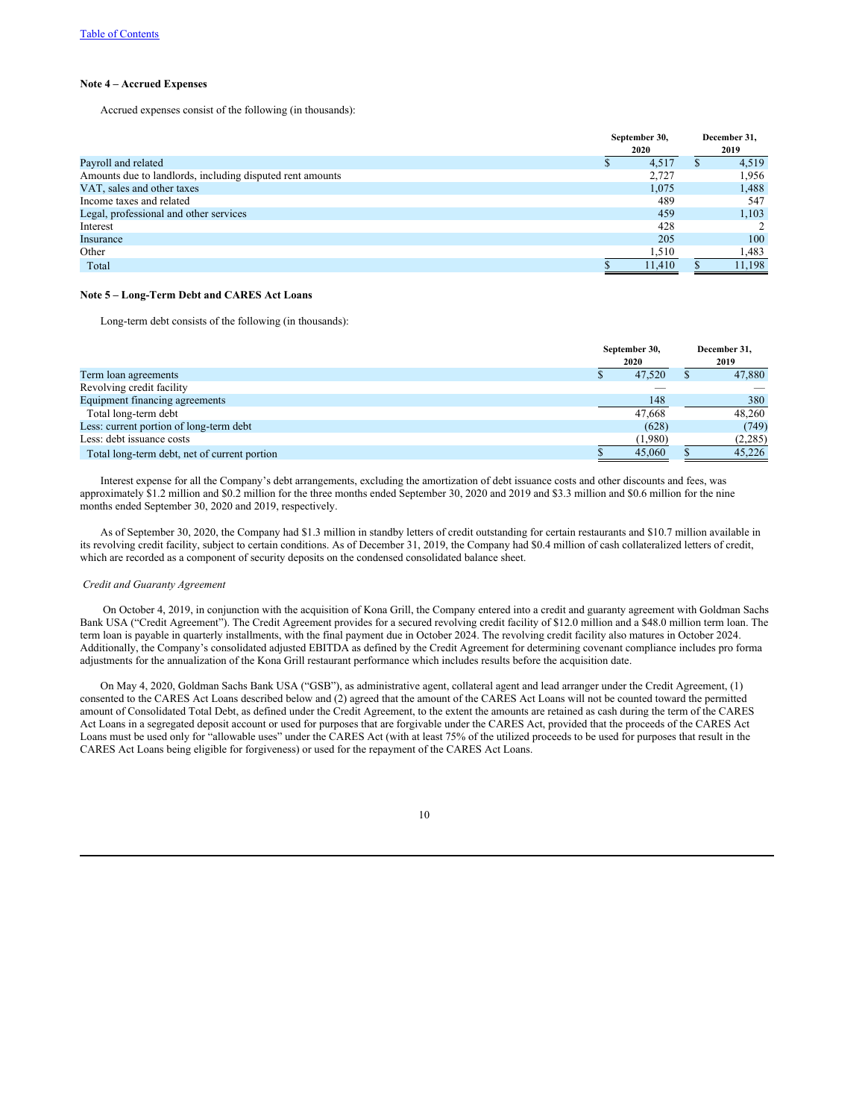# **Note 4 – Accrued Expenses**

Accrued expenses consist of the following (in thousands):

|                                                           | September 30,<br>2020 |        |  | December 31, |
|-----------------------------------------------------------|-----------------------|--------|--|--------------|
|                                                           |                       |        |  | 2019         |
| Payroll and related                                       |                       | 4.517  |  | 4,519        |
| Amounts due to landlords, including disputed rent amounts |                       | 2,727  |  | 1,956        |
| VAT, sales and other taxes                                |                       | 1,075  |  | 1,488        |
| Income taxes and related                                  |                       | 489    |  | 547          |
| Legal, professional and other services                    |                       | 459    |  | 1,103        |
| Interest                                                  |                       | 428    |  |              |
| Insurance                                                 |                       | 205    |  | 100          |
| Other                                                     |                       | 1,510  |  | 1,483        |
| Total                                                     |                       | 11,410 |  | 11,198       |

# **Note 5 – Long-Term Debt and CARES Act Loans**

Long-term debt consists of the following (in thousands):

|                                              |  | September 30,<br>2020 |  | December 31, |
|----------------------------------------------|--|-----------------------|--|--------------|
|                                              |  |                       |  | 2019         |
| Term loan agreements                         |  | 47.520                |  | 47,880       |
| Revolving credit facility                    |  |                       |  |              |
| Equipment financing agreements               |  | 148                   |  | 380          |
| Total long-term debt                         |  | 47.668                |  | 48,260       |
| Less: current portion of long-term debt      |  | (628)                 |  | (749)        |
| Less: debt issuance costs                    |  | (1,980)               |  | (2,285)      |
| Total long-term debt, net of current portion |  | 45,060                |  | 45,226       |

Interest expense for all the Company's debt arrangements, excluding the amortization of debt issuance costs and other discounts and fees, was approximately \$1.2 million and \$0.2 million for the three months ended September 30, 2020 and 2019 and \$3.3 million and \$0.6 million for the nine months ended September 30, 2020 and 2019, respectively.

As of September 30, 2020, the Company had \$1.3 million in standby letters of credit outstanding for certain restaurants and \$10.7 million available in its revolving credit facility, subject to certain conditions. As of December 31, 2019, the Company had \$0.4 million of cash collateralized letters of credit, which are recorded as a component of security deposits on the condensed consolidated balance sheet.

### *Credit and Guaranty Agreement*

On October 4, 2019, in conjunction with the acquisition of Kona Grill, the Company entered into a credit and guaranty agreement with Goldman Sachs Bank USA ("Credit Agreement"). The Credit Agreement provides for a secured revolving credit facility of \$12.0 million and a \$48.0 million term loan. The term loan is payable in quarterly installments, with the final payment due in October 2024. The revolving credit facility also matures in October 2024. Additionally, the Company's consolidated adjusted EBITDA as defined by the Credit Agreement for determining covenant compliance includes pro forma adjustments for the annualization of the Kona Grill restaurant performance which includes results before the acquisition date.

On May 4, 2020, Goldman Sachs Bank USA ("GSB"), as administrative agent, collateral agent and lead arranger under the Credit Agreement, (1) consented to the CARES Act Loans described below and (2) agreed that the amount of the CARES Act Loans will not be counted toward the permitted amount of Consolidated Total Debt, as defined under the Credit Agreement, to the extent the amounts are retained as cash during the term of the CARES Act Loans in a segregated deposit account or used for purposes that are forgivable under the CARES Act, provided that the proceeds of the CARES Act Loans must be used only for "allowable uses" under the CARES Act (with at least 75% of the utilized proceeds to be used for purposes that result in the CARES Act Loans being eligible for forgiveness) or used for the repayment of the CARES Act Loans.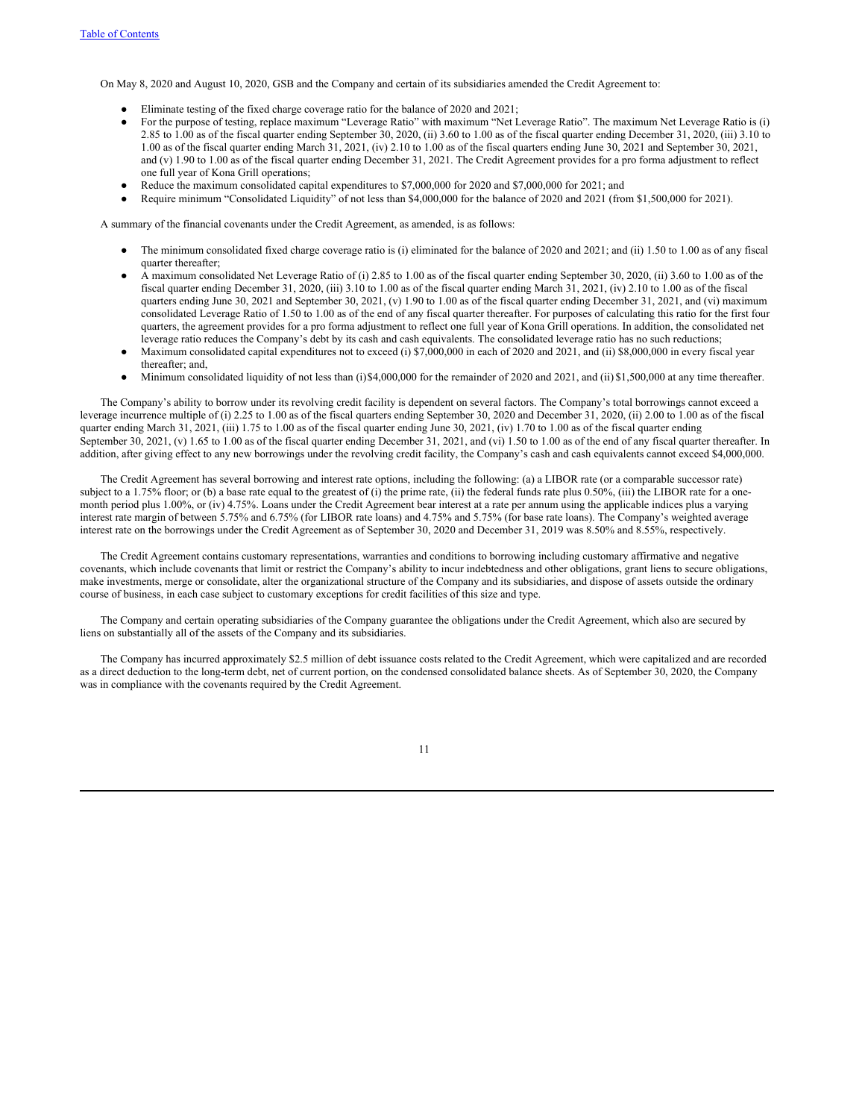On May 8, 2020 and August 10, 2020, GSB and the Company and certain of its subsidiaries amended the Credit Agreement to:

- Eliminate testing of the fixed charge coverage ratio for the balance of 2020 and 2021;
- For the purpose of testing, replace maximum "Leverage Ratio" with maximum "Net Leverage Ratio". The maximum Net Leverage Ratio is (i) 2.85 to 1.00 as of the fiscal quarter ending September 30, 2020, (ii) 3.60 to 1.00 as of the fiscal quarter ending December 31, 2020, (iii) 3.10 to 1.00 as of the fiscal quarter ending March 31, 2021, (iv) 2.10 to 1.00 as of the fiscal quarters ending June 30, 2021 and September 30, 2021, and (v) 1.90 to 1.00 as of the fiscal quarter ending December 31, 2021. The Credit Agreement provides for a pro forma adjustment to reflect one full year of Kona Grill operations;
- Reduce the maximum consolidated capital expenditures to \$7,000,000 for 2020 and \$7,000,000 for 2021; and
- Require minimum "Consolidated Liquidity" of not less than \$4,000,000 for the balance of 2020 and 2021 (from \$1,500,000 for 2021).

A summary of the financial covenants under the Credit Agreement, as amended, is as follows:

- The minimum consolidated fixed charge coverage ratio is (i) eliminated for the balance of 2020 and 2021; and (ii) 1.50 to 1.00 as of any fiscal quarter thereafter;
- A maximum consolidated Net Leverage Ratio of (i) 2.85 to 1.00 as of the fiscal quarter ending September 30, 2020, (ii) 3.60 to 1.00 as of the fiscal quarter ending December 31, 2020, (iii) 3.10 to 1.00 as of the fiscal quarter ending March 31, 2021, (iv) 2.10 to 1.00 as of the fiscal quarters ending June 30, 2021 and September 30, 2021, (v) 1.90 to 1.00 as of the fiscal quarter ending December 31, 2021, and (vi) maximum consolidated Leverage Ratio of 1.50 to 1.00 as of the end of any fiscal quarter thereafter. For purposes of calculating this ratio for the first four quarters, the agreement provides for a pro forma adjustment to reflect one full year of Kona Grill operations. In addition, the consolidated net leverage ratio reduces the Company's debt by its cash and cash equivalents. The consolidated leverage ratio has no such reductions;
- Maximum consolidated capital expenditures not to exceed (i) \$7,000,000 in each of 2020 and 2021, and (ii) \$8,000,000 in every fiscal year thereafter; and,
- Minimum consolidated liquidity of not less than (i) \$4,000,000 for the remainder of 2020 and 2021, and (ii) \$1,500,000 at any time thereafter.

The Company's ability to borrow under its revolving credit facility is dependent on several factors. The Company's total borrowings cannot exceed a leverage incurrence multiple of (i) 2.25 to 1.00 as of the fiscal quarters ending September 30, 2020 and December 31, 2020, (ii) 2.00 to 1.00 as of the fiscal quarter ending March 31, 2021, (iii) 1.75 to 1.00 as of the fiscal quarter ending June 30, 2021, (iv) 1.70 to 1.00 as of the fiscal quarter ending September 30, 2021, (v) 1.65 to 1.00 as of the fiscal quarter ending December 31, 2021, and (vi) 1.50 to 1.00 as of the end of any fiscal quarter thereafter. In addition, after giving effect to any new borrowings under the revolving credit facility, the Company's cash and cash equivalents cannot exceed \$4,000,000.

The Credit Agreement has several borrowing and interest rate options, including the following: (a) a LIBOR rate (or a comparable successor rate) subject to a 1.75% floor; or (b) a base rate equal to the greatest of (i) the prime rate, (ii) the federal funds rate plus 0.50%, (iii) the LIBOR rate for a onemonth period plus 1.00%, or (iv) 4.75%. Loans under the Credit Agreement bear interest at a rate per annum using the applicable indices plus a varying interest rate margin of between 5.75% and 6.75% (for LIBOR rate loans) and 4.75% and 5.75% (for base rate loans). The Company's weighted average interest rate on the borrowings under the Credit Agreement as of September 30, 2020 and December 31, 2019 was 8.50% and 8.55%, respectively.

The Credit Agreement contains customary representations, warranties and conditions to borrowing including customary affirmative and negative covenants, which include covenants that limit or restrict the Company's ability to incur indebtedness and other obligations, grant liens to secure obligations, make investments, merge or consolidate, alter the organizational structure of the Company and its subsidiaries, and dispose of assets outside the ordinary course of business, in each case subject to customary exceptions for credit facilities of this size and type.

The Company and certain operating subsidiaries of the Company guarantee the obligations under the Credit Agreement, which also are secured by liens on substantially all of the assets of the Company and its subsidiaries.

The Company has incurred approximately \$2.5 million of debt issuance costs related to the Credit Agreement, which were capitalized and are recorded as a direct deduction to the long-term debt, net of current portion, on the condensed consolidated balance sheets. As of September 30, 2020, the Company was in compliance with the covenants required by the Credit Agreement.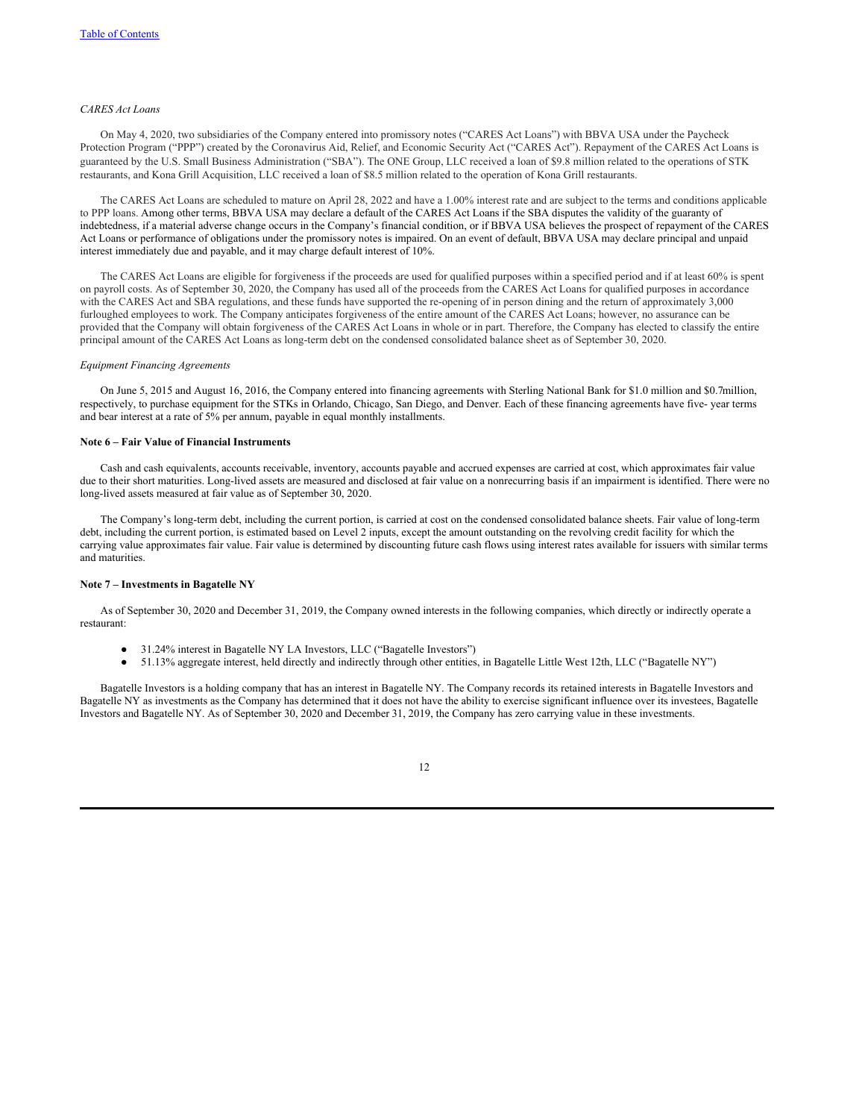### *CARES Act Loans*

On May 4, 2020, two subsidiaries of the Company entered into promissory notes ("CARES Act Loans") with BBVA USA under the Paycheck Protection Program ("PPP") created by the Coronavirus Aid, Relief, and Economic Security Act ("CARES Act"). Repayment of the CARES Act Loans is guaranteed by the U.S. Small Business Administration ("SBA"). The ONE Group, LLC received a loan of \$9.8 million related to the operations of STK restaurants, and Kona Grill Acquisition, LLC received a loan of \$8.5 million related to the operation of Kona Grill restaurants.

The CARES Act Loans are scheduled to mature on April 28, 2022 and have a 1.00% interest rate and are subject to the terms and conditions applicable to PPP loans. Among other terms, BBVA USA may declare a default of the CARES Act Loans if the SBA disputes the validity of the guaranty of indebtedness, if a material adverse change occurs in the Company's financial condition, or if BBVA USA believes the prospect of repayment of the CARES Act Loans or performance of obligations under the promissory notes is impaired. On an event of default, BBVA USA may declare principal and unpaid interest immediately due and payable, and it may charge default interest of 10%.

The CARES Act Loans are eligible for forgiveness if the proceeds are used for qualified purposes within a specified period and if at least 60% is spent on payroll costs. As of September 30, 2020, the Company has used all of the proceeds from the CARES Act Loans for qualified purposes in accordance with the CARES Act and SBA regulations, and these funds have supported the re-opening of in person dining and the return of approximately 3,000 furloughed employees to work. The Company anticipates forgiveness of the entire amount of the CARES Act Loans; however, no assurance can be provided that the Company will obtain forgiveness of the CARES Act Loans in whole or in part. Therefore, the Company has elected to classify the entire principal amount of the CARES Act Loans as long-term debt on the condensed consolidated balance sheet as of September 30, 2020.

#### *Equipment Financing Agreements*

On June 5, 2015 and August 16, 2016, the Company entered into financing agreements with Sterling National Bank for \$1.0 million and \$0.7million, respectively, to purchase equipment for the STKs in Orlando, Chicago, San Diego, and Denver. Each of these financing agreements have five- year terms and bear interest at a rate of 5% per annum, payable in equal monthly installments.

# **Note 6 – Fair Value of Financial Instruments**

Cash and cash equivalents, accounts receivable, inventory, accounts payable and accrued expenses are carried at cost, which approximates fair value due to their short maturities. Long-lived assets are measured and disclosed at fair value on a nonrecurring basis if an impairment is identified. There were no long-lived assets measured at fair value as of September 30, 2020.

The Company's long-term debt, including the current portion, is carried at cost on the condensed consolidated balance sheets. Fair value of long-term debt, including the current portion, is estimated based on Level 2 inputs, except the amount outstanding on the revolving credit facility for which the carrying value approximates fair value. Fair value is determined by discounting future cash flows using interest rates available for issuers with similar terms and maturities.

#### **Note 7 – Investments in Bagatelle NY**

As of September 30, 2020 and December 31, 2019, the Company owned interests in the following companies, which directly or indirectly operate a restaurant:

- 31.24% interest in Bagatelle NY LA Investors, LLC ("Bagatelle Investors")
- 51.13% aggregate interest, held directly and indirectly through other entities, in Bagatelle Little West 12th, LLC ("Bagatelle NY")

Bagatelle Investors is a holding company that has an interest in Bagatelle NY. The Company records its retained interests in Bagatelle Investors and Bagatelle NY as investments as the Company has determined that it does not have the ability to exercise significant influence over its investees, Bagatelle Investors and Bagatelle NY. As of September 30, 2020 and December 31, 2019, the Company has zero carrying value in these investments.

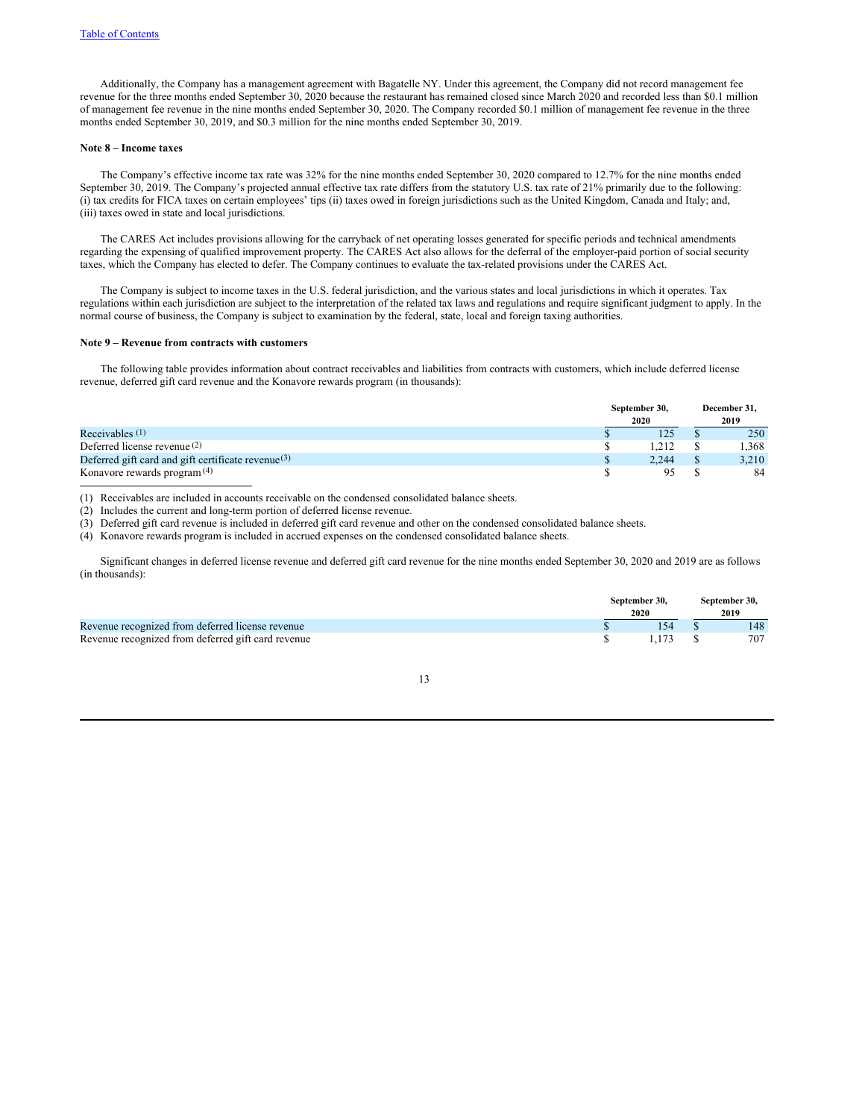Additionally, the Company has a management agreement with Bagatelle NY. Under this agreement, the Company did not record management fee revenue for the three months ended September 30, 2020 because the restaurant has remained closed since March 2020 and recorded less than \$0.1 million of management fee revenue in the nine months ended September 30, 2020. The Company recorded \$0.1 million of management fee revenue in the three months ended September 30, 2019, and \$0.3 million for the nine months ended September 30, 2019.

### **Note 8 – Income taxes**

The Company's effective income tax rate was 32% for the nine months ended September 30, 2020 compared to 12.7% for the nine months ended September 30, 2019. The Company's projected annual effective tax rate differs from the statutory U.S. tax rate of 21% primarily due to the following: (i) tax credits for FICA taxes on certain employees' tips (ii) taxes owed in foreign jurisdictions such as the United Kingdom, Canada and Italy; and, (iii) taxes owed in state and local jurisdictions.

The CARES Act includes provisions allowing for the carryback of net operating losses generated for specific periods and technical amendments regarding the expensing of qualified improvement property. The CARES Act also allows for the deferral of the employer-paid portion of social security taxes, which the Company has elected to defer. The Company continues to evaluate the tax-related provisions under the CARES Act.

The Company is subject to income taxes in the U.S. federal jurisdiction, and the various states and local jurisdictions in which it operates. Tax regulations within each jurisdiction are subject to the interpretation of the related tax laws and regulations and require significant judgment to apply. In the normal course of business, the Company is subject to examination by the federal, state, local and foreign taxing authorities.

### **Note 9 – Revenue from contracts with customers**

The following table provides information about contract receivables and liabilities from contracts with customers, which include deferred license revenue, deferred gift card revenue and the Konavore rewards program (in thousands):

|                                                       | September 30, | December 31, |
|-------------------------------------------------------|---------------|--------------|
|                                                       | 2020          | 2019         |
| Receivables (1)                                       |               | 250          |
| Deferred license revenue (2)                          | .212          | 1.368        |
| Deferred gift card and gift certificate revenue $(3)$ | 2.244         | 3.210        |
| Konavore rewards program <sup>(4)</sup>               | 95            | 84           |

(1) Receivables are included in accounts receivable on the condensed consolidated balance sheets.

(2) Includes the current and long-term portion of deferred license revenue.

(3) Deferred gift card revenue is included in deferred gift card revenue and other on the condensed consolidated balance sheets.

(4) Konavore rewards program is included in accrued expenses on the condensed consolidated balance sheets.

Significant changes in deferred license revenue and deferred gift card revenue for the nine months ended September 30, 2020 and 2019 are as follows (in thousands):

|                                                    | September 30.<br>2020 | September 30.<br>2019 |
|----------------------------------------------------|-----------------------|-----------------------|
| Revenue recognized from deferred license revenue   | 154                   | 148                   |
| Revenue recognized from deferred gift card revenue | 1.173                 | 707                   |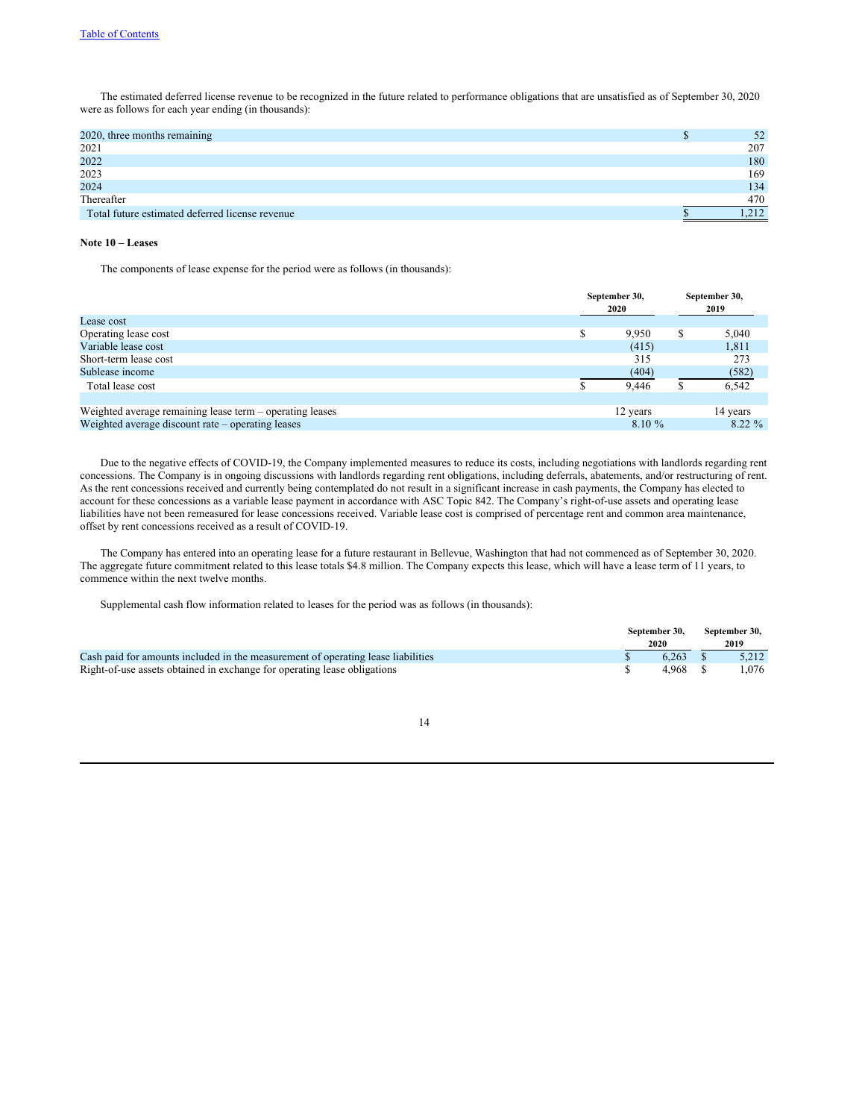The estimated deferred license revenue to be recognized in the future related to performance obligations that are unsatisfied as of September 30, 2020 were as follows for each year ending (in thousands):

| 2020, three months remaining                    | 52  |
|-------------------------------------------------|-----|
| 2021                                            | 207 |
| 2022                                            | 180 |
| 2023                                            | 169 |
| 2024                                            | 134 |
| Thereafter                                      | 470 |
| Total future estimated deferred license revenue |     |

# **Note 10 – Leases**

The components of lease expense for the period were as follows (in thousands):

|                                                          | September 30, |   | September 30, |
|----------------------------------------------------------|---------------|---|---------------|
|                                                          | 2020          |   | 2019          |
| Lease cost                                               |               |   |               |
| Operating lease cost                                     | 9.950         | S | 5,040         |
| Variable lease cost                                      | (415)         |   | 1,811         |
| Short-term lease cost                                    | 315           |   | 273           |
| Sublease income                                          | (404)         |   | (582)         |
| Total lease cost                                         | 9.446         |   | 6,542         |
|                                                          |               |   |               |
| Weighted average remaining lease term – operating leases | 12 years      |   | 14 years      |
| Weighted average discount rate – operating leases        | 8.10 %        |   | $8.22 \%$     |
|                                                          |               |   |               |

Due to the negative effects of COVID-19, the Company implemented measures to reduce its costs, including negotiations with landlords regarding rent concessions. The Company is in ongoing discussions with landlords regarding rent obligations, including deferrals, abatements, and/or restructuring of rent. As the rent concessions received and currently being contemplated do not result in a significant increase in cash payments, the Company has elected to account for these concessions as a variable lease payment in accordance with ASC Topic 842. The Company's right-of-use assets and operating lease liabilities have not been remeasured for lease concessions received. Variable lease cost is comprised of percentage rent and common area maintenance, offset by rent concessions received as a result of COVID-19.

The Company has entered into an operating lease for a future restaurant in Bellevue, Washington that had not commenced as of September 30, 2020. The aggregate future commitment related to this lease totals \$4.8 million. The Company expects this lease, which will have a lease term of 11 years, to commence within the next twelve months.

Supplemental cash flow information related to leases for the period was as follows (in thousands):

|                                                                                  | September 30. |            | September 30, |
|----------------------------------------------------------------------------------|---------------|------------|---------------|
|                                                                                  |               | 2020       | 2019          |
| Cash paid for amounts included in the measurement of operating lease liabilities |               | $6.263$ \$ | 5.212         |
| Right-of-use assets obtained in exchange for operating lease obligations         |               | 4.968 \$   | 1.076         |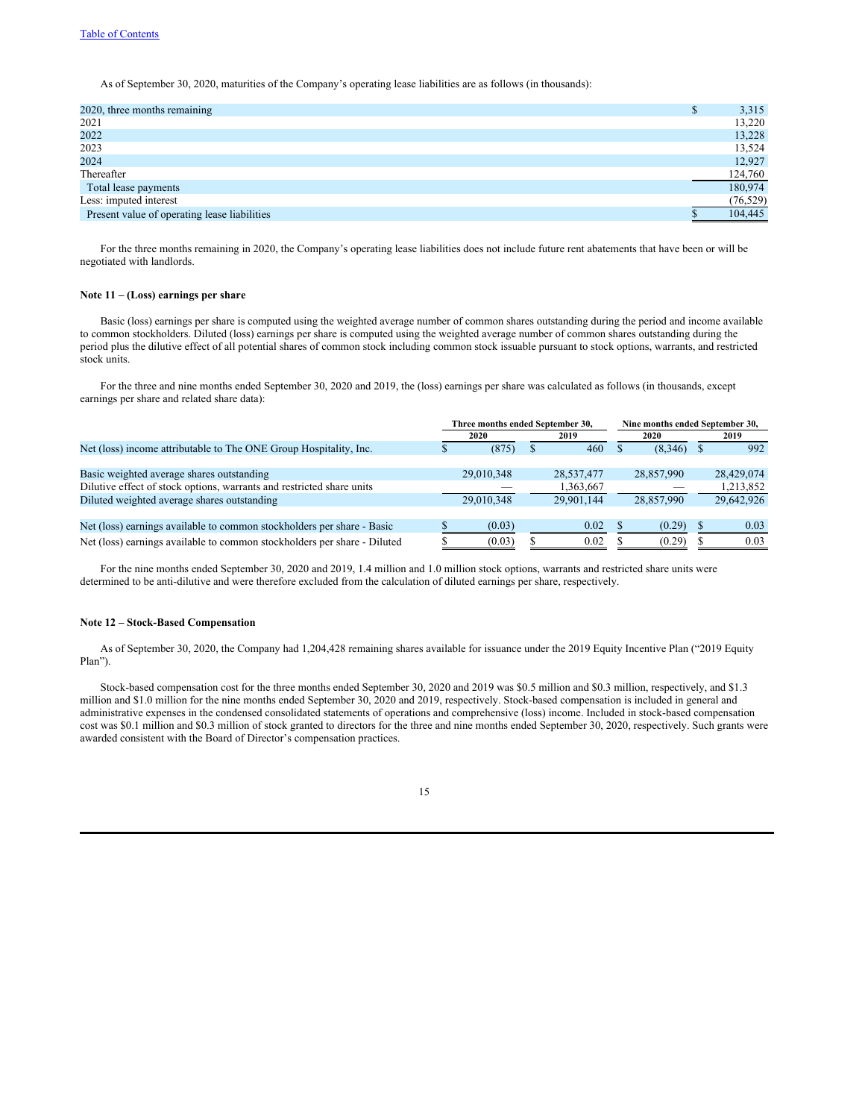As of September 30, 2020, maturities of the Company's operating lease liabilities are as follows (in thousands):

| 2020, three months remaining                 | D | 3,315     |
|----------------------------------------------|---|-----------|
| 2021                                         |   | 13,220    |
| 2022                                         |   | 13,228    |
| 2023                                         |   | 13,524    |
| 2024                                         |   | 12,927    |
| Thereafter                                   |   | 124,760   |
| Total lease payments                         |   | 180,974   |
| Less: imputed interest                       |   | (76, 529) |
| Present value of operating lease liabilities |   | 104.445   |
|                                              |   |           |

For the three months remaining in 2020, the Company's operating lease liabilities does not include future rent abatements that have been or will be negotiated with landlords.

# **Note 11 – (Loss) earnings per share**

Basic (loss) earnings per share is computed using the weighted average number of common shares outstanding during the period and income available to common stockholders. Diluted (loss) earnings per share is computed using the weighted average number of common shares outstanding during the period plus the dilutive effect of all potential shares of common stock including common stock issuable pursuant to stock options, warrants, and restricted stock units.

For the three and nine months ended September 30, 2020 and 2019, the (loss) earnings per share was calculated as follows (in thousands, except earnings per share and related share data):

| Three months ended September 30. |            |  |            | Nine months ended September 30. |            |  |            |
|----------------------------------|------------|--|------------|---------------------------------|------------|--|------------|
| 2020                             |            |  | 2019       |                                 | 2020       |  | 2019       |
|                                  | (875)      |  | 460        |                                 | (8,346)    |  | 992        |
|                                  |            |  |            |                                 |            |  |            |
|                                  | 29,010,348 |  | 28,537,477 |                                 | 28,857,990 |  | 28,429,074 |
|                                  |            |  | 1,363,667  |                                 |            |  | 1,213,852  |
|                                  | 29,010,348 |  | 29.901.144 |                                 | 28.857.990 |  | 29.642.926 |
|                                  |            |  |            |                                 |            |  |            |
|                                  | (0.03)     |  | 0.02       |                                 | (0.29)     |  | 0.03       |
|                                  | (0.03)     |  | 0.02       |                                 | (0.29)     |  | 0.03       |
|                                  |            |  |            |                                 |            |  |            |

For the nine months ended September 30, 2020 and 2019, 1.4 million and 1.0 million stock options, warrants and restricted share units were determined to be anti-dilutive and were therefore excluded from the calculation of diluted earnings per share, respectively.

# **Note 12 – Stock-Based Compensation**

As of September 30, 2020, the Company had 1,204,428 remaining shares available for issuance under the 2019 Equity Incentive Plan ("2019 Equity Plan").

Stock-based compensation cost for the three months ended September 30, 2020 and 2019 was \$0.5 million and \$0.3 million, respectively, and \$1.3 million and \$1.0 million for the nine months ended September 30, 2020 and 2019, respectively. Stock-based compensation is included in general and administrative expenses in the condensed consolidated statements of operations and comprehensive (loss) income. Included in stock-based compensation cost was \$0.1 million and \$0.3 million of stock granted to directors for the three and nine months ended September 30, 2020, respectively. Such grants were awarded consistent with the Board of Director's compensation practices.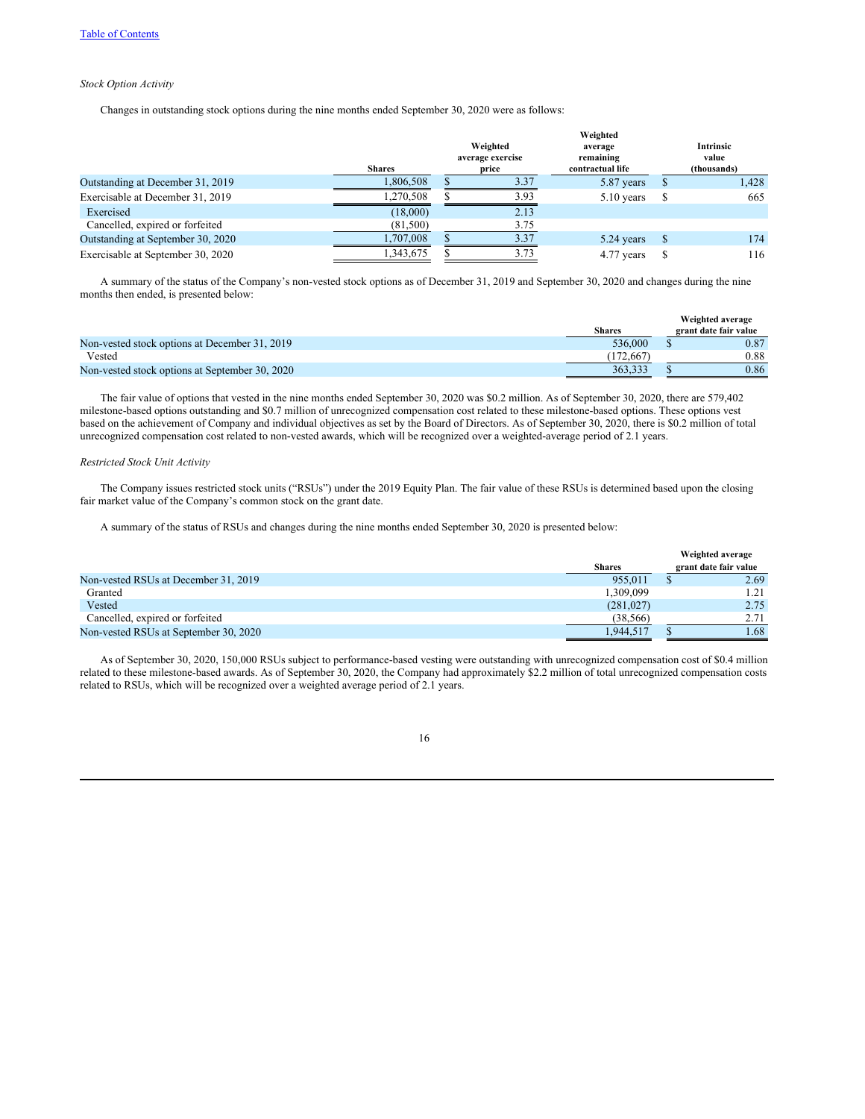# *Stock Option Activity*

Changes in outstanding stock options during the nine months ended September 30, 2020 were as follows:

|                                   |               | Weighted<br>Weighted<br>average<br>remaining<br>average exercise |       |                  | Intrinsic<br>value |
|-----------------------------------|---------------|------------------------------------------------------------------|-------|------------------|--------------------|
|                                   | <b>Shares</b> |                                                                  | price | contractual life | (thousands)        |
| Outstanding at December 31, 2019  | 1.806.508     |                                                                  | 3.37  | 5.87 years       | 1.428              |
| Exercisable at December 31, 2019  | 1.270.508     |                                                                  | 3.93  | $5.10$ years     | 665                |
| Exercised                         | (18,000)      |                                                                  | 2.13  |                  |                    |
| Cancelled, expired or forfeited   | (81,500)      |                                                                  | 3.75  |                  |                    |
| Outstanding at September 30, 2020 | 1,707,008     |                                                                  | 3.37  | 5.24 years       | 174                |
| Exercisable at September 30, 2020 | 1,343,675     |                                                                  | 3.73  | 4.77 years       | 116                |

A summary of the status of the Company's non-vested stock options as of December 31, 2019 and September 30, 2020 and changes during the nine months then ended, is presented below:

|                                                |               | Weighted average      |      |
|------------------------------------------------|---------------|-----------------------|------|
|                                                | <b>Shares</b> | grant date fair value |      |
| Non-vested stock options at December 31, 2019  | 536,000       |                       | 0.87 |
| Vested                                         | (172.667)     |                       | 0.88 |
| Non-vested stock options at September 30, 2020 | 363.333       |                       | 0.86 |

The fair value of options that vested in the nine months ended September 30, 2020 was \$0.2 million. As of September 30, 2020, there are 579,402 milestone-based options outstanding and \$0.7 million of unrecognized compensation cost related to these milestone-based options. These options vest based on the achievement of Company and individual objectives as set by the Board of Directors. As of September 30, 2020, there is \$0.2 million of total unrecognized compensation cost related to non-vested awards, which will be recognized over a weighted-average period of 2.1 years.

#### *Restricted Stock Unit Activity*

The Company issues restricted stock units ("RSUs") under the 2019 Equity Plan. The fair value of these RSUs is determined based upon the closing fair market value of the Company's common stock on the grant date.

A summary of the status of RSUs and changes during the nine months ended September 30, 2020 is presented below:

|                                       |               | Weighted average      |
|---------------------------------------|---------------|-----------------------|
|                                       | <b>Shares</b> | grant date fair value |
| Non-vested RSUs at December 31, 2019  | 955.011       | 2.69                  |
| Granted                               | 1.309.099     | 1.21                  |
| Vested                                | (281, 027)    | 2.75                  |
| Cancelled, expired or forfeited       | (38.566)      | 2.71                  |
| Non-vested RSUs at September 30, 2020 | 1,944,517     | 1.68                  |

As of September 30, 2020, 150,000 RSUs subject to performance-based vesting were outstanding with unrecognized compensation cost of \$0.4 million related to these milestone-based awards. As of September 30, 2020, the Company had approximately \$2.2 million of total unrecognized compensation costs related to RSUs, which will be recognized over a weighted average period of 2.1 years.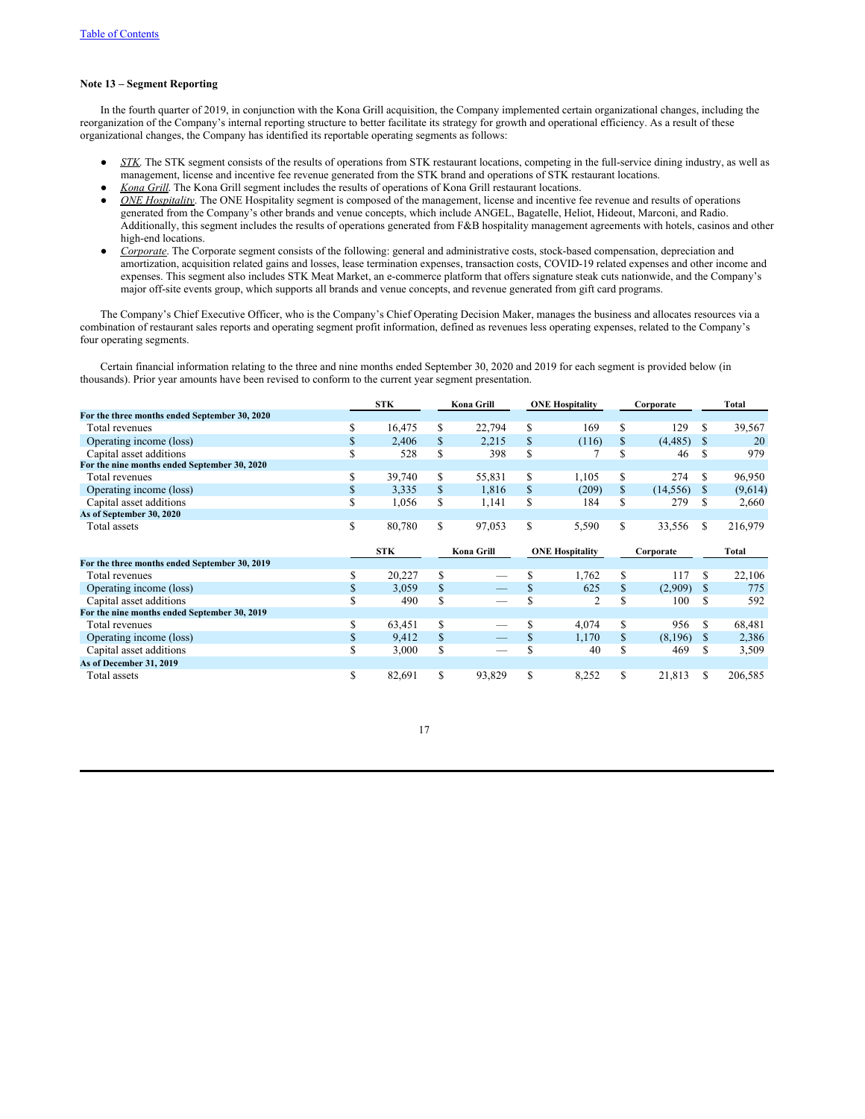# **Note 13 – Segment Reporting**

In the fourth quarter of 2019, in conjunction with the Kona Grill acquisition, the Company implemented certain organizational changes, including the reorganization of the Company's internal reporting structure to better facilitate its strategy for growth and operational efficiency. As a result of these organizational changes, the Company has identified its reportable operating segments as follows:

- *STK*. The STK segment consists of the results of operations from STK restaurant locations, competing in the full-service dining industry, as well as management, license and incentive fee revenue generated from the STK brand and operations of STK restaurant locations.
- *Kona Grill*. The Kona Grill segment includes the results of operations of Kona Grill restaurant locations.
- ONE Hospitality. The ONE Hospitality segment is composed of the management, license and incentive fee revenue and results of operations generated from the Company's other brands and venue concepts, which include ANGEL, Bagatelle, Heliot, Hideout, Marconi, and Radio. Additionally, this segment includes the results of operations generated from F&B hospitality management agreements with hotels, casinos and other high-end locations.
- *Corporate*. The Corporate segment consists of the following: general and administrative costs, stock-based compensation, depreciation and amortization, acquisition related gains and losses, lease termination expenses, transaction costs, COVID-19 related expenses and other income and expenses. This segment also includes STK Meat Market, an e-commerce platform that offers signature steak cuts nationwide, and the Company's major off-site events group, which supports all brands and venue concepts, and revenue generated from gift card programs.

The Company's Chief Executive Officer, who is the Company's Chief Operating Decision Maker, manages the business and allocates resources via a combination of restaurant sales reports and operating segment profit information, defined as revenues less operating expenses, related to the Company's four operating segments.

Certain financial information relating to the three and nine months ended September 30, 2020 and 2019 for each segment is provided below (in thousands). Prior year amounts have been revised to conform to the current year segment presentation.

|                                               |              | <b>STK</b> |    | Kona Grill | <b>ONE Hospitality</b> |                        | Corporate |           |               | <b>Total</b> |
|-----------------------------------------------|--------------|------------|----|------------|------------------------|------------------------|-----------|-----------|---------------|--------------|
| For the three months ended September 30, 2020 |              |            |    |            |                        |                        |           |           |               |              |
| Total revenues                                | S            | 16,475     | S  | 22,794     | \$                     | 169                    | \$        | 129       | S             | 39,567       |
| Operating income (loss)                       | \$.          | 2,406      | \$ | 2,215      | $\mathbb{S}$           | (116)                  | \$        | (4, 485)  | <sup>\$</sup> | 20           |
| Capital asset additions                       | S            | 528        | S  | 398        | \$                     |                        | S         | 46        | S             | 979          |
| For the nine months ended September 30, 2020  |              |            |    |            |                        |                        |           |           |               |              |
| Total revenues                                | S            | 39,740     | S. | 55,831     | S.                     | 1,105                  | \$        | 274       | \$.           | 96,950       |
| Operating income (loss)                       | S            | 3,335      | \$ | 1,816      | \$                     | (209)                  | \$        | (14, 556) | <sup>S</sup>  | (9,614)      |
| Capital asset additions                       | S            | 1,056      | \$ | 1,141      | \$                     | 184                    | \$        | 279       | S             | 2,660        |
| As of September 30, 2020                      |              |            |    |            |                        |                        |           |           |               |              |
| Total assets                                  | S            | 80,780     | \$ | 97,053     | S.                     | 5,590                  | S.        | 33,556    | S.            | 216,979      |
|                                               |              |            |    |            |                        |                        |           |           |               |              |
|                                               |              | <b>STK</b> |    | Kona Grill |                        | <b>ONE Hospitality</b> |           | Corporate |               | Total        |
| For the three months ended September 30, 2019 |              |            |    |            |                        |                        |           |           |               |              |
| Total revenues                                | S            | 20,227     | S  | -          | S                      | 1,762                  | \$        | 117       | S             | 22,106       |
| Operating income (loss)                       | S            | 3,059      | S  |            |                        | 625                    | \$        | (2,909)   | S             | 775          |
| Capital asset additions                       | S            | 490        | S  |            | S                      | 2                      | S         | 100       | \$.           | 592          |
| For the nine months ended September 30, 2019  |              |            |    |            |                        |                        |           |           |               |              |
| Total revenues                                | S            | 63,451     | S  |            | S                      | 4,074                  | \$        | 956       | <b>S</b>      | 68,481       |
| Operating income (loss)                       | $\mathbf{s}$ | 9,412      | S  |            | S                      | 1,170                  | S         | (8,196)   | <sup>S</sup>  | 2,386        |
| Capital asset additions                       | S            | 3,000      | S  | -          | S                      | 40                     | S         | 469       | S             | 3,509        |
| As of December 31, 2019                       |              |            |    |            |                        |                        |           |           |               |              |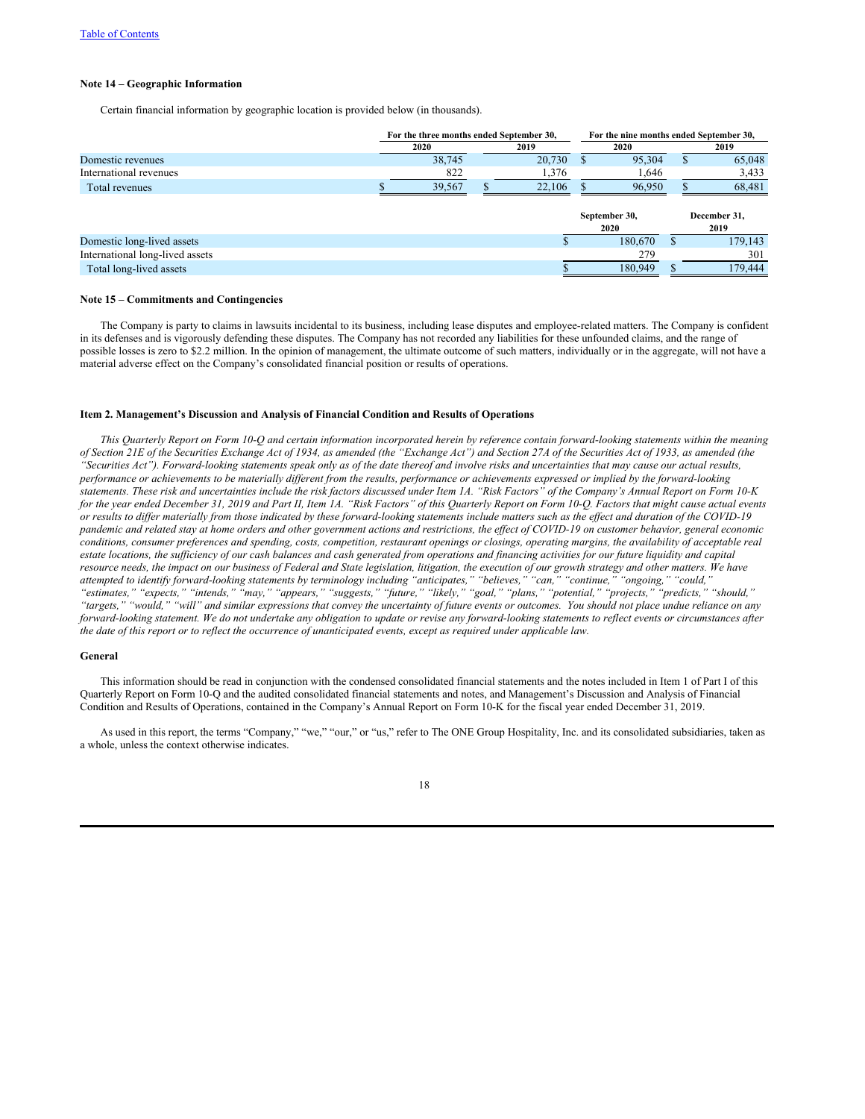# **Note 14 – Geographic Information**

Certain financial information by geographic location is provided below (in thousands).

|                                 |  |        | For the three months ended September 30, |               |         |   | For the nine months ended September 30, |
|---------------------------------|--|--------|------------------------------------------|---------------|---------|---|-----------------------------------------|
| 2020                            |  |        | 2019                                     | 2020          |         |   | 2019                                    |
| Domestic revenues               |  | 38,745 | 20,730                                   | - 8           | 95,304  |   | 65,048<br>S                             |
| International revenues          |  | 822    | 1,376                                    |               | 1,646   |   | 3,433                                   |
| Total revenues                  |  | 39,567 | 22,106                                   |               | 96,950  |   | 68,481                                  |
|                                 |  |        |                                          |               |         |   |                                         |
|                                 |  |        |                                          | September 30, |         |   | December 31,                            |
|                                 |  |        |                                          | 2020          |         |   | 2019                                    |
| Domestic long-lived assets      |  |        |                                          |               | 180,670 | Ж | 179.143                                 |
| International long-lived assets |  |        |                                          |               | 279     |   | 301                                     |
| Total long-lived assets         |  |        |                                          |               | 180,949 |   | 179,444                                 |
|                                 |  |        |                                          |               |         |   |                                         |

#### **Note 15 – Commitments and Contingencies**

The Company is party to claims in lawsuits incidental to its business, including lease disputes and employee-related matters. The Company is confident in its defenses and is vigorously defending these disputes. The Company has not recorded any liabilities for these unfounded claims, and the range of possible losses is zero to \$2.2 million. In the opinion of management, the ultimate outcome of such matters, individually or in the aggregate, will not have a material adverse effect on the Company's consolidated financial position or results of operations.

### **Item 2. Management's Discussion and Analysis of Financial Condition and Results of Operations**

This Quarterly Report on Form 10-Q and certain information incorporated herein by reference contain forward-looking statements within the meaning of Section 21E of the Securities Exchange Act of 1934, as amended (the "Exchange Act") and Section 27A of the Securities Act of 1933, as amended (the "Securities Act"). Forward-looking statements speak only as of the date thereof and involve risks and uncertainties that may cause our actual results, performance or achievements to be materially different from the results, performance or achievements expressed or implied by the forward-looking statements. These risk and uncertainties include the risk factors discussed under Item 1A. "Risk Factors" of the Company's Annual Report on Form 10-K for the year ended December 31, 2019 and Part II, Item 1A. "Risk Factors" of this Quarterly Report on Form 10-Q. Factors that might cause actual events or results to differ materially from those indicated by these forward-looking statements include matters such as the effect and duration of the COVID-19 pandemic and related stay at home orders and other government actions and restrictions, the effect of COVID-19 on customer behavior, general economic conditions, consumer preferences and spending, costs, competition, restaurant openings or closings, operating margins, the availability of acceptable real estate locations, the sufficiency of our cash balances and cash generated from operations and financing activities for our future liquidity and capital resource needs, the impact on our business of Federal and State legislation, litigation, the execution of our growth strategy and other matters. We have attempted to identify forward-looking statements by terminology including "anticipates," "believes," "can," "continue," "ongoing," "could," extinates," "expects," "intends," "may," "appears," "suggests," "future," "likely," "goal," "plans," "protential," "projects," "predicts," "should,"<br>"estimates," "expects," "intends," "may," "appears," "suggests," "future, "targets," "would," "will" and similar expressions that convey the uncertainty of future events or outcomes. You should not place undue reliance on any forward-looking statement. We do not undertake any obligation to update or revise any forward-looking statements to reflect events or circumstances after the date of this report or to reflect the occurrence of unanticipated events, except as required under applicable law.

### **General**

This information should be read in conjunction with the condensed consolidated financial statements and the notes included in Item 1 of Part I of this Quarterly Report on Form 10-Q and the audited consolidated financial statements and notes, and Management's Discussion and Analysis of Financial Condition and Results of Operations, contained in the Company's Annual Report on Form 10-K for the fiscal year ended December 31, 2019.

As used in this report, the terms "Company," "we," "our," or "us," refer to The ONE Group Hospitality, Inc. and its consolidated subsidiaries, taken as a whole, unless the context otherwise indicates.

<span id="page-17-0"></span>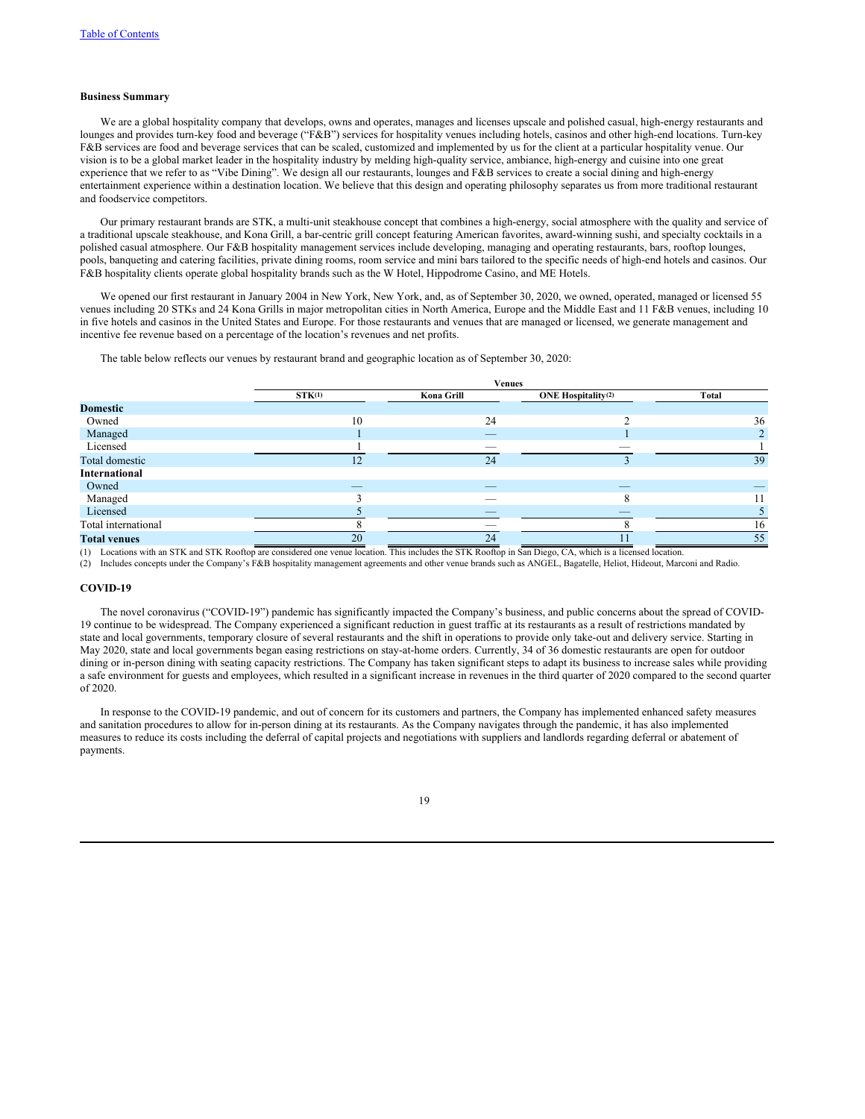### **Business Summary**

We are a global hospitality company that develops, owns and operates, manages and licenses upscale and polished casual, high-energy restaurants and lounges and provides turn-key food and beverage ("F&B") services for hospitality venues including hotels, casinos and other high-end locations. Turn-key F&B services are food and beverage services that can be scaled, customized and implemented by us for the client at a particular hospitality venue. Our vision is to be a global market leader in the hospitality industry by melding high-quality service, ambiance, high-energy and cuisine into one great experience that we refer to as "Vibe Dining". We design all our restaurants, lounges and F&B services to create a social dining and high-energy entertainment experience within a destination location. We believe that this design and operating philosophy separates us from more traditional restaurant and foodservice competitors.

Our primary restaurant brands are STK, a multi-unit steakhouse concept that combines a high-energy, social atmosphere with the quality and service of a traditional upscale steakhouse, and Kona Grill, a bar-centric grill concept featuring American favorites, award-winning sushi, and specialty cocktails in a polished casual atmosphere. Our F&B hospitality management services include developing, managing and operating restaurants, bars, rooftop lounges, pools, banqueting and catering facilities, private dining rooms, room service and mini bars tailored to the specific needs of high-end hotels and casinos. Our F&B hospitality clients operate global hospitality brands such as the W Hotel, Hippodrome Casino, and ME Hotels.

We opened our first restaurant in January 2004 in New York, New York, and, as of September 30, 2020, we owned, operated, managed or licensed 55 venues including 20 STKs and 24 Kona Grills in major metropolitan cities in North America, Europe and the Middle East and 11 F&B venues, including 10 in five hotels and casinos in the United States and Europe. For those restaurants and venues that are managed or licensed, we generate management and incentive fee revenue based on a percentage of the location's revenues and net profits.

The table below reflects our venues by restaurant brand and geographic location as of September 30, 2020:

|                     | <b>Venues</b> |                          |                       |       |  |  |  |  |
|---------------------|---------------|--------------------------|-----------------------|-------|--|--|--|--|
|                     | $STK^{(1)}$   | Kona Grill               | ONE Hospitality $(2)$ | Total |  |  |  |  |
| <b>Domestic</b>     |               |                          |                       |       |  |  |  |  |
| Owned               | 10            | 24                       |                       | 36    |  |  |  |  |
| Managed             |               | $\overline{\phantom{m}}$ |                       |       |  |  |  |  |
| Licensed            |               | $\overline{\phantom{a}}$ |                       |       |  |  |  |  |
| Total domestic      | 12            | 24                       |                       | 39    |  |  |  |  |
| International       |               |                          |                       |       |  |  |  |  |
| Owned               | $-$           | $\overline{\phantom{a}}$ | $-$                   |       |  |  |  |  |
| Managed             |               | $\overline{\phantom{a}}$ | $\circ$               | 11    |  |  |  |  |
| Licensed            |               | _                        | __                    |       |  |  |  |  |
| Total international |               |                          |                       | 16    |  |  |  |  |
| <b>Total venues</b> | 20            | 24                       |                       | 55    |  |  |  |  |

(1) Locations with an STK and STK Rooftop are considered one venue location. This includes the STK Rooftop in San Diego, CA, which is a licensed location.

(2) Includes concepts under the Company's F&B hospitality management agreements and other venue brands such as ANGEL, Bagatelle, Heliot, Hideout, Marconi and Radio.

# **COVID-19**

The novel coronavirus ("COVID-19") pandemic has significantly impacted the Company's business, and public concerns about the spread of COVID-19 continue to be widespread. The Company experienced a significant reduction in guest traffic at its restaurants as a result of restrictions mandated by state and local governments, temporary closure of several restaurants and the shift in operations to provide only take-out and delivery service. Starting in May 2020, state and local governments began easing restrictions on stay-at-home orders. Currently, 34 of 36 domestic restaurants are open for outdoor dining or in-person dining with seating capacity restrictions. The Company has taken significant steps to adapt its business to increase sales while providing a safe environment for guests and employees, which resulted in a significant increase in revenues in the third quarter of 2020 compared to the second quarter of 2020.

In response to the COVID-19 pandemic, and out of concern for its customers and partners, the Company has implemented enhanced safety measures and sanitation procedures to allow for in-person dining at its restaurants. As the Company navigates through the pandemic, it has also implemented measures to reduce its costs including the deferral of capital projects and negotiations with suppliers and landlords regarding deferral or abatement of payments.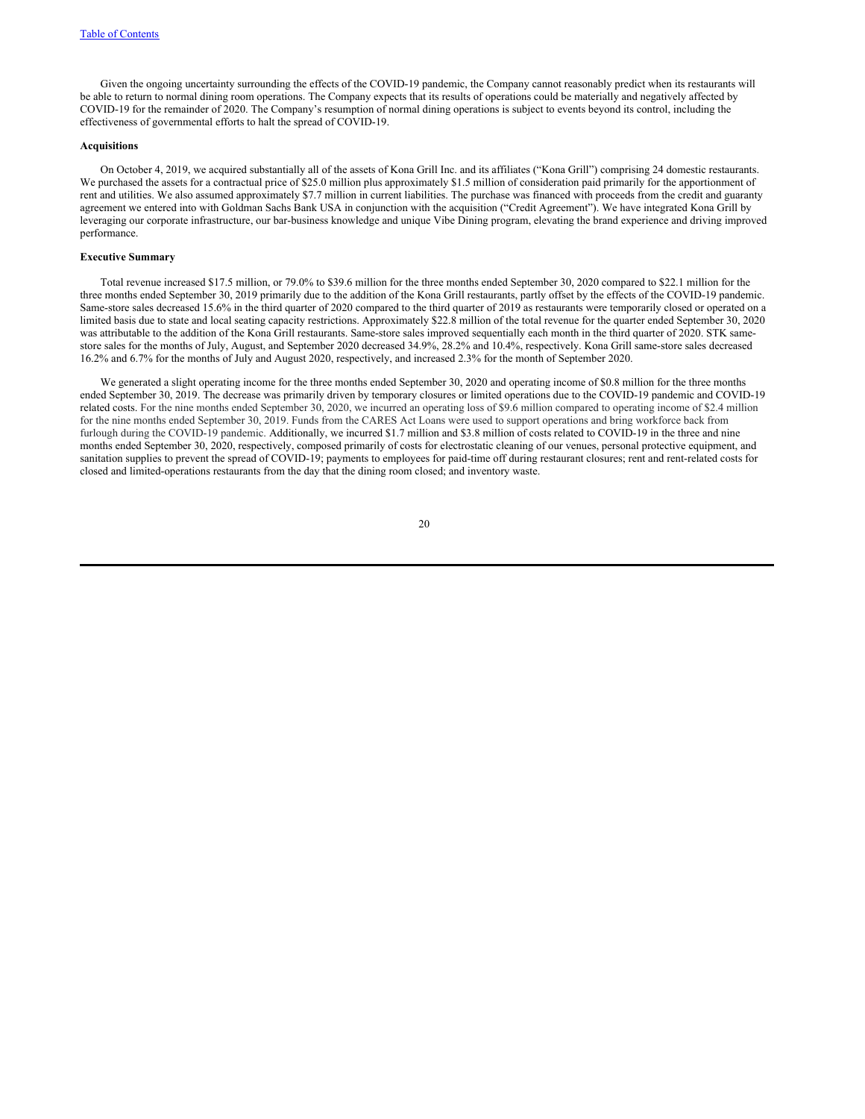Given the ongoing uncertainty surrounding the effects of the COVID-19 pandemic, the Company cannot reasonably predict when its restaurants will be able to return to normal dining room operations. The Company expects that its results of operations could be materially and negatively affected by COVID-19 for the remainder of 2020. The Company's resumption of normal dining operations is subject to events beyond its control, including the effectiveness of governmental efforts to halt the spread of COVID-19.

# **Acquisitions**

On October 4, 2019, we acquired substantially all of the assets of Kona Grill Inc. and its affiliates ("Kona Grill") comprising 24 domestic restaurants. We purchased the assets for a contractual price of \$25.0 million plus approximately \$1.5 million of consideration paid primarily for the apportionment of rent and utilities. We also assumed approximately \$7.7 million in current liabilities. The purchase was financed with proceeds from the credit and guaranty agreement we entered into with Goldman Sachs Bank USA in conjunction with the acquisition ("Credit Agreement"). We have integrated Kona Grill by leveraging our corporate infrastructure, our bar-business knowledge and unique Vibe Dining program, elevating the brand experience and driving improved performance.

# **Executive Summary**

Total revenue increased \$17.5 million, or 79.0% to \$39.6 million for the three months ended September 30, 2020 compared to \$22.1 million for the three months ended September 30, 2019 primarily due to the addition of the Kona Grill restaurants, partly offset by the effects of the COVID-19 pandemic. Same-store sales decreased 15.6% in the third quarter of 2020 compared to the third quarter of 2019 as restaurants were temporarily closed or operated on a limited basis due to state and local seating capacity restrictions. Approximately \$22.8 million of the total revenue for the quarter ended September 30, 2020 was attributable to the addition of the Kona Grill restaurants. Same-store sales improved sequentially each month in the third quarter of 2020. STK samestore sales for the months of July, August, and September 2020 decreased 34.9%, 28.2% and 10.4%, respectively. Kona Grill same-store sales decreased 16.2% and 6.7% for the months of July and August 2020, respectively, and increased 2.3% for the month of September 2020.

We generated a slight operating income for the three months ended September 30, 2020 and operating income of \$0.8 million for the three months ended September 30, 2019. The decrease was primarily driven by temporary closures or limited operations due to the COVID-19 pandemic and COVID-19 related costs. For the nine months ended September 30, 2020, we incurred an operating loss of \$9.6 million compared to operating income of \$2.4 million for the nine months ended September 30, 2019. Funds from the CARES Act Loans were used to support operations and bring workforce back from furlough during the COVID-19 pandemic. Additionally, we incurred \$1.7 million and \$3.8 million of costs related to COVID-19 in the three and nine months ended September 30, 2020, respectively, composed primarily of costs for electrostatic cleaning of our venues, personal protective equipment, and sanitation supplies to prevent the spread of COVID-19; payments to employees for paid-time off during restaurant closures; rent and rent-related costs for closed and limited-operations restaurants from the day that the dining room closed; and inventory waste.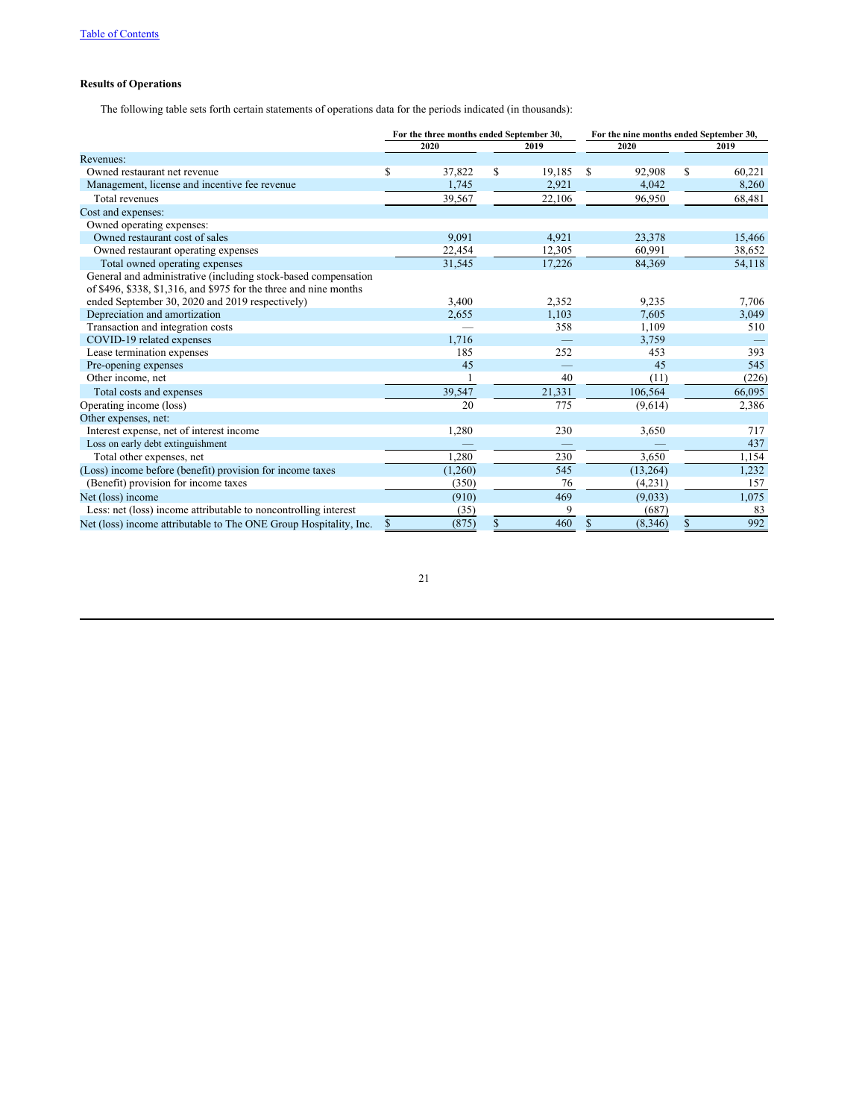# **Results of Operations**

The following table sets forth certain statements of operations data for the periods indicated (in thousands):

|                                                                   | For the three months ended September 30, |         |             | For the nine months ended September 30, |               |           |             |        |
|-------------------------------------------------------------------|------------------------------------------|---------|-------------|-----------------------------------------|---------------|-----------|-------------|--------|
|                                                                   |                                          | 2020    |             | 2019                                    |               | 2020      |             | 2019   |
| Revenues:                                                         |                                          |         |             |                                         |               |           |             |        |
| Owned restaurant net revenue                                      | \$                                       | 37,822  | S           | 19,185                                  | \$            | 92,908    | S           | 60,221 |
| Management, license and incentive fee revenue                     |                                          | 1,745   |             | 2,921                                   |               | 4,042     |             | 8,260  |
| Total revenues                                                    |                                          | 39,567  |             | 22.106                                  |               | 96,950    |             | 68,481 |
| Cost and expenses:                                                |                                          |         |             |                                         |               |           |             |        |
| Owned operating expenses:                                         |                                          |         |             |                                         |               |           |             |        |
| Owned restaurant cost of sales                                    |                                          | 9,091   |             | 4.921                                   |               | 23,378    |             | 15,466 |
| Owned restaurant operating expenses                               |                                          | 22,454  |             | 12,305                                  |               | 60,991    |             | 38,652 |
| Total owned operating expenses                                    |                                          | 31,545  |             | 17,226                                  |               | 84,369    |             | 54,118 |
| General and administrative (including stock-based compensation    |                                          |         |             |                                         |               |           |             |        |
| of \$496, \$338, \$1,316, and \$975 for the three and nine months |                                          |         |             |                                         |               |           |             |        |
| ended September 30, 2020 and 2019 respectively)                   |                                          | 3,400   |             | 2,352                                   |               | 9,235     |             | 7,706  |
| Depreciation and amortization                                     |                                          | 2,655   |             | 1,103                                   |               | 7,605     |             | 3,049  |
| Transaction and integration costs                                 |                                          |         |             | 358                                     |               | 1,109     |             | 510    |
| COVID-19 related expenses                                         |                                          | 1,716   |             |                                         |               | 3,759     |             |        |
| Lease termination expenses                                        |                                          | 185     |             | 252                                     |               | 453       |             | 393    |
| Pre-opening expenses                                              |                                          | 45      |             | -                                       |               | 45        |             | 545    |
| Other income, net                                                 |                                          |         |             | 40                                      |               | (11)      |             | (226)  |
| Total costs and expenses                                          |                                          | 39,547  |             | 21,331                                  |               | 106,564   |             | 66,095 |
| Operating income (loss)                                           |                                          | 20      |             | 775                                     |               | (9,614)   |             | 2,386  |
| Other expenses, net:                                              |                                          |         |             |                                         |               |           |             |        |
| Interest expense, net of interest income                          |                                          | 1,280   |             | 230                                     |               | 3,650     |             | 717    |
| Loss on early debt extinguishment                                 |                                          |         |             |                                         |               |           |             | 437    |
| Total other expenses, net                                         |                                          | 1,280   |             | 230                                     |               | 3,650     |             | 1,154  |
| (Loss) income before (benefit) provision for income taxes         |                                          | (1,260) |             | 545                                     |               | (13, 264) |             | 1,232  |
| (Benefit) provision for income taxes                              |                                          | (350)   |             | 76                                      |               | (4,231)   |             | 157    |
| Net (loss) income                                                 |                                          | (910)   |             | 469                                     |               | (9,033)   |             | 1,075  |
| Less: net (loss) income attributable to noncontrolling interest   |                                          | (35)    |             | 9                                       |               | (687)     |             | 83     |
| Net (loss) income attributable to The ONE Group Hospitality, Inc. | $\mathbb{S}$                             | (875)   | $\mathbf S$ | 460                                     | <sup>\$</sup> | (8,346)   | $\mathbf S$ | 992    |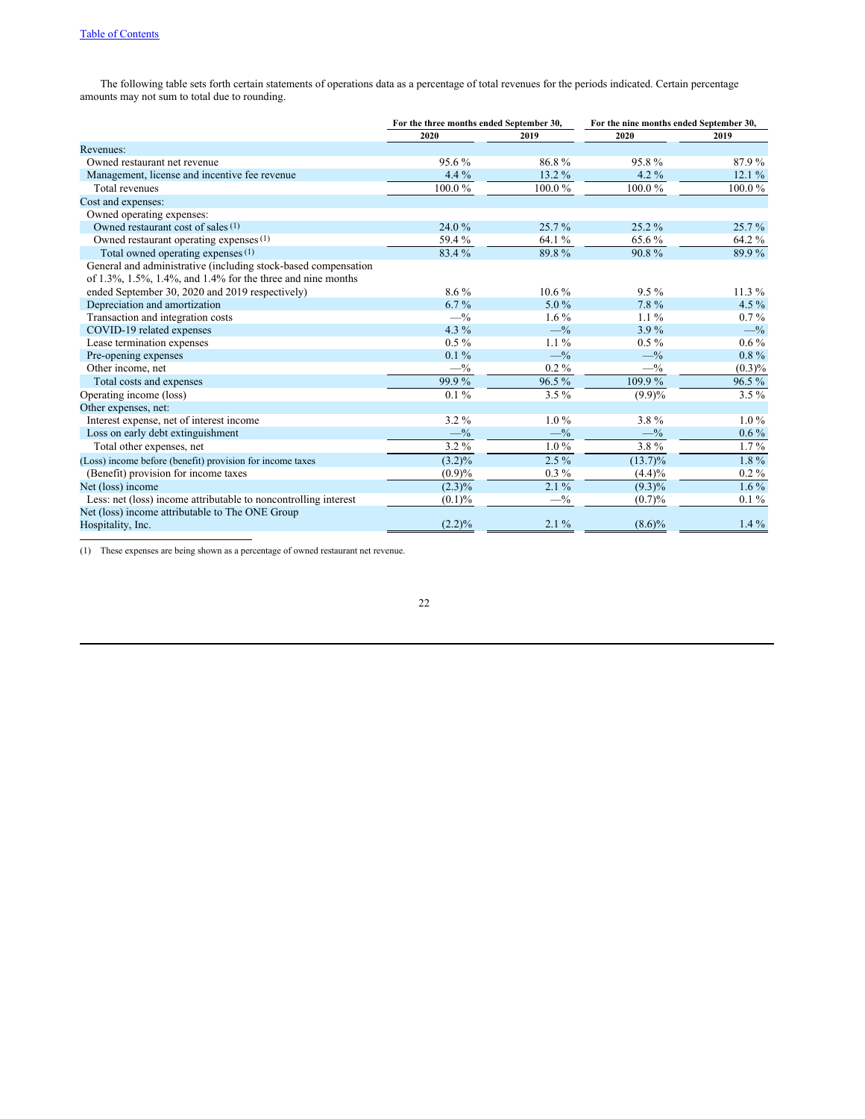The following table sets forth certain statements of operations data as a percentage of total revenues for the periods indicated. Certain percentage amounts may not sum to total due to rounding.

|                                                                            | For the three months ended September 30, |           | For the nine months ended September 30, |           |  |  |
|----------------------------------------------------------------------------|------------------------------------------|-----------|-----------------------------------------|-----------|--|--|
|                                                                            | 2020                                     | 2019      | 2020                                    | 2019      |  |  |
| Revenues:                                                                  |                                          |           |                                         |           |  |  |
| Owned restaurant net revenue                                               | 95.6%                                    | 86.8%     | 95.8%                                   | 87.9%     |  |  |
| Management, license and incentive fee revenue                              | $4.4\%$                                  | $13.2\%$  | $4.2\%$                                 | 12.1%     |  |  |
| Total revenues                                                             | 100.0%                                   | $100.0\%$ | 100.0%                                  | 100.0%    |  |  |
| Cost and expenses:                                                         |                                          |           |                                         |           |  |  |
| Owned operating expenses:                                                  |                                          |           |                                         |           |  |  |
| Owned restaurant cost of sales $(1)$                                       | 24.0%                                    | 25.7%     | 25.2 %                                  | 25.7%     |  |  |
| Owned restaurant operating expenses <sup>(1)</sup>                         | 59.4 %                                   | 64.1 %    | 65.6%                                   | 64.2 %    |  |  |
| Total owned operating expenses (1)                                         | 83.4%                                    | 89.8%     | 90.8%                                   | 89.9%     |  |  |
| General and administrative (including stock-based compensation             |                                          |           |                                         |           |  |  |
| of $1.3\%$ , $1.5\%$ , $1.4\%$ , and $1.4\%$ for the three and nine months |                                          |           |                                         |           |  |  |
| ended September 30, 2020 and 2019 respectively)                            | $8.6\%$                                  | $10.6\%$  | $9.5\%$                                 | $11.3\%$  |  |  |
| Depreciation and amortization                                              | $6.7\%$                                  | $5.0\%$   | 7.8%                                    | 4.5 $%$   |  |  |
| Transaction and integration costs                                          | $-$ %                                    | $1.6\%$   | $1.1\%$                                 | $0.7\%$   |  |  |
| COVID-19 related expenses                                                  | 4.3 $%$                                  | $-$ %     | 3.9%                                    | $-$ %     |  |  |
| Lease termination expenses                                                 | $0.5\%$                                  | $1.1\%$   | $0.5\%$                                 | $0.6\%$   |  |  |
| Pre-opening expenses                                                       | $0.1\%$                                  | $-$ %     | $-$ %                                   | $0.8\%$   |  |  |
| Other income, net                                                          | $-$ %                                    | $0.2\%$   | $-$ %                                   | $(0.3)\%$ |  |  |
| Total costs and expenses                                                   | 99.9%                                    | 96.5%     | 109.9%                                  | 96.5%     |  |  |
| Operating income (loss)                                                    | $0.1\%$                                  | $3.5\%$   | $(9.9)\%$                               | $3.5\%$   |  |  |
| Other expenses, net:                                                       |                                          |           |                                         |           |  |  |
| Interest expense, net of interest income                                   | $3.2\%$                                  | $1.0\%$   | 3.8%                                    | $1.0\%$   |  |  |
| Loss on early debt extinguishment                                          | $-$ %                                    | $-$ %     | $-$ %                                   | $0.6\%$   |  |  |
| Total other expenses, net                                                  | 3.2%                                     | $1.0\%$   | 3.8%                                    | $1.7\%$   |  |  |
| (Loss) income before (benefit) provision for income taxes                  | $(3.2)\%$                                | $2.5\%$   | $(13.7)\%$                              | $1.8\%$   |  |  |
| (Benefit) provision for income taxes                                       | (0.9)%                                   | $0.3\%$   | $(4.4)\%$                               | $0.2\%$   |  |  |
| Net (loss) income                                                          | $(2.3)\%$                                | $2.1\%$   | $(9.3)\%$                               | $1.6\%$   |  |  |
| Less: net (loss) income attributable to noncontrolling interest            | $(0.1)\%$                                | $-$ %     | (0.7)%                                  | $0.1\%$   |  |  |
| Net (loss) income attributable to The ONE Group                            |                                          |           |                                         |           |  |  |
| Hospitality, Inc.                                                          | $(2.2)\%$                                | $2.1\%$   | $(8.6)\%$                               | $1.4\%$   |  |  |

(1) These expenses are being shown as a percentage of owned restaurant net revenue.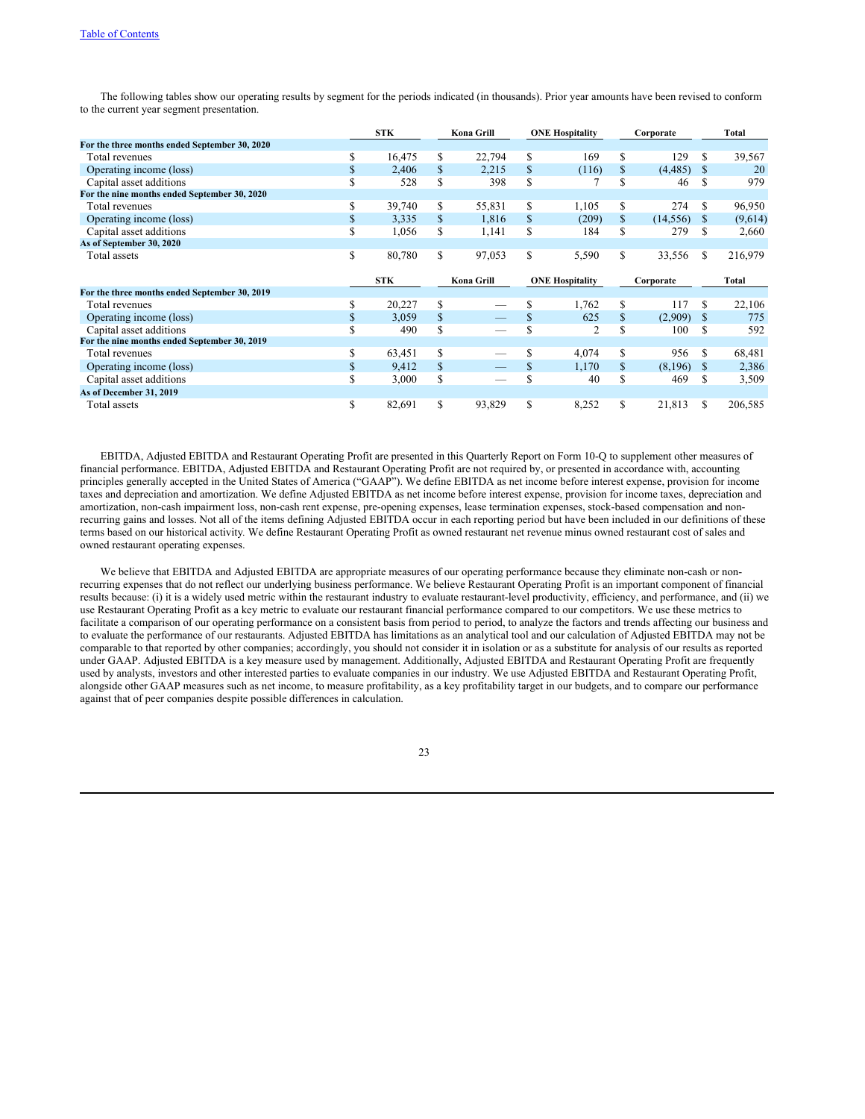The following tables show our operating results by segment for the periods indicated (in thousands). Prior year amounts have been revised to conform to the current year segment presentation.

|                                               |     | <b>STK</b> |    | Kona Grill |               | <b>ONE Hospitality</b> |    | Corporate |               | Total   |
|-----------------------------------------------|-----|------------|----|------------|---------------|------------------------|----|-----------|---------------|---------|
| For the three months ended September 30, 2020 |     |            |    |            |               |                        |    |           |               |         |
| Total revenues                                | S   | 16,475     | S  | 22,794     | \$            | 169                    | S. | 129       | S             | 39,567  |
| Operating income (loss)                       | S   | 2,406      | \$ | 2,215      | \$            | (116)                  | \$ | (4, 485)  | -S            | 20      |
| Capital asset additions                       | \$. | 528        | \$ | 398        | \$            |                        | ъ. | 46        | \$.           | 979     |
| For the nine months ended September 30, 2020  |     |            |    |            |               |                        |    |           |               |         |
| Total revenues                                | S   | 39,740     | \$ | 55,831     | S.            | 1,105                  | \$ | 274       | \$.           | 96,950  |
| Operating income (loss)                       | S   | 3,335      | \$ | 1,816      | <sup>\$</sup> | (209)                  | \$ | (14, 556) | <sup>\$</sup> | (9,614) |
| Capital asset additions                       | S   | 1,056      | S  | 1,141      | S             | 184                    | \$ | 279       | S             | 2,660   |
| As of September 30, 2020                      |     |            |    |            |               |                        |    |           |               |         |
| Total assets                                  | S   | 80,780     | \$ | 97,053     | \$            | 5,590                  | S. | 33,556    | S             | 216,979 |
|                                               |     | <b>STK</b> |    | Kona Grill |               | <b>ONE Hospitality</b> |    | Corporate |               | Total   |
|                                               |     |            |    |            |               |                        |    |           |               |         |
| For the three months ended September 30, 2019 |     |            |    |            |               |                        |    |           |               |         |
| Total revenues                                | S   | 20,227     | \$ |            | \$            | 1,762                  | \$ | 117       | S             | 22,106  |
| Operating income (loss)                       | S.  | 3,059      | \$ |            | S             | 625                    | \$ | (2,909)   | -S            | 775     |
| Capital asset additions                       | S   | 490        | \$ |            |               | 2                      | S  | 100       | S             | 592     |
| For the nine months ended September 30, 2019  |     |            |    |            |               |                        |    |           |               |         |
| Total revenues                                | S   | 63,451     | \$ |            | S             | 4,074                  | \$ | 956       | S             | 68,481  |
| Operating income (loss)                       | \$  | 9,412      | \$ |            | \$.           | 1,170                  | \$ | (8,196)   | -S            | 2,386   |
| Capital asset additions                       | S   | 3,000      | S  |            | S             | 40                     | \$ | 469       | S             | 3,509   |
| As of December 31, 2019                       |     |            |    |            |               |                        |    |           |               |         |

EBITDA, Adjusted EBITDA and Restaurant Operating Profit are presented in this Quarterly Report on Form 10-Q to supplement other measures of financial performance. EBITDA, Adjusted EBITDA and Restaurant Operating Profit are not required by, or presented in accordance with, accounting principles generally accepted in the United States of America ("GAAP"). We define EBITDA as net income before interest expense, provision for income taxes and depreciation and amortization. We define Adjusted EBITDA as net income before interest expense, provision for income taxes, depreciation and amortization, non-cash impairment loss, non-cash rent expense, pre-opening expenses, lease termination expenses, stock-based compensation and nonrecurring gains and losses. Not all of the items defining Adjusted EBITDA occur in each reporting period but have been included in our definitions of these terms based on our historical activity*.* We define Restaurant Operating Profit as owned restaurant net revenue minus owned restaurant cost of sales and owned restaurant operating expenses.

We believe that EBITDA and Adjusted EBITDA are appropriate measures of our operating performance because they eliminate non-cash or nonrecurring expenses that do not reflect our underlying business performance. We believe Restaurant Operating Profit is an important component of financial results because: (i) it is a widely used metric within the restaurant industry to evaluate restaurant-level productivity, efficiency, and performance, and (ii) we use Restaurant Operating Profit as a key metric to evaluate our restaurant financial performance compared to our competitors. We use these metrics to facilitate a comparison of our operating performance on a consistent basis from period to period, to analyze the factors and trends affecting our business and to evaluate the performance of our restaurants. Adjusted EBITDA has limitations as an analytical tool and our calculation of Adjusted EBITDA may not be comparable to that reported by other companies; accordingly, you should not consider it in isolation or as a substitute for analysis of our results as reported under GAAP. Adjusted EBITDA is a key measure used by management. Additionally, Adjusted EBITDA and Restaurant Operating Profit are frequently used by analysts, investors and other interested parties to evaluate companies in our industry. We use Adjusted EBITDA and Restaurant Operating Profit, alongside other GAAP measures such as net income, to measure profitability, as a key profitability target in our budgets, and to compare our performance against that of peer companies despite possible differences in calculation.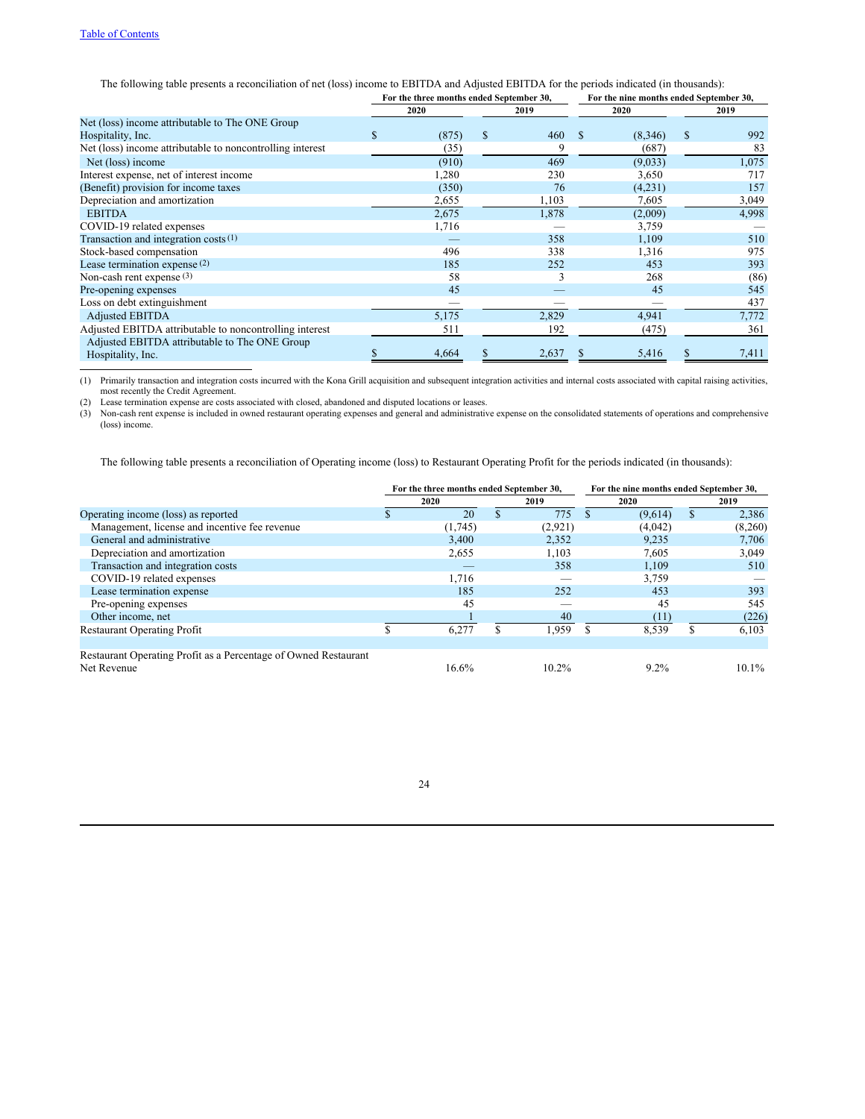The following table presents a reconciliation of net (loss) income to EBITDA and Adjusted EBITDA for the periods indicated (in thousands):

|                                                           |    | For the three months ended September 30, |    |       | For the nine months ended September 30, |         |   |       |
|-----------------------------------------------------------|----|------------------------------------------|----|-------|-----------------------------------------|---------|---|-------|
|                                                           |    | 2020                                     |    | 2019  |                                         | 2020    |   | 2019  |
| Net (loss) income attributable to The ONE Group           |    |                                          |    |       |                                         |         |   |       |
| Hospitality, Inc.                                         | S. | (875)                                    | \$ | 460   | <b>S</b>                                | (8,346) | S | 992   |
| Net (loss) income attributable to noncontrolling interest |    | (35)                                     |    | 9     |                                         | (687)   |   | 83    |
| Net (loss) income                                         |    | (910)                                    |    | 469   |                                         | (9,033) |   | 1,075 |
| Interest expense, net of interest income                  |    | 1,280                                    |    | 230   |                                         | 3,650   |   | 717   |
| (Benefit) provision for income taxes                      |    | (350)                                    |    | 76    |                                         | (4,231) |   | 157   |
| Depreciation and amortization                             |    | 2,655                                    |    | 1,103 |                                         | 7,605   |   | 3,049 |
| <b>EBITDA</b>                                             |    | 2,675                                    |    | 1,878 |                                         | (2,009) |   | 4,998 |
| COVID-19 related expenses                                 |    | 1,716                                    |    |       |                                         | 3,759   |   |       |
| Transaction and integration costs $(1)$                   |    |                                          |    | 358   |                                         | 1,109   |   | 510   |
| Stock-based compensation                                  |    | 496                                      |    | 338   |                                         | 1,316   |   | 975   |
| Lease termination expense (2)                             |    | 185                                      |    | 252   |                                         | 453     |   | 393   |
| Non-cash rent expense $(3)$                               |    | 58                                       |    | 3     |                                         | 268     |   | (86)  |
| Pre-opening expenses                                      |    | 45                                       |    |       |                                         | 45      |   | 545   |
| Loss on debt extinguishment                               |    |                                          |    |       |                                         |         |   | 437   |
| <b>Adjusted EBITDA</b>                                    |    | 5,175                                    |    | 2,829 |                                         | 4,941   |   | 7,772 |
| Adjusted EBITDA attributable to noncontrolling interest   |    | 511                                      |    | 192   |                                         | (475)   |   | 361   |
| Adjusted EBITDA attributable to The ONE Group             |    |                                          |    |       |                                         |         |   |       |
| Hospitality, Inc.                                         |    | 4,664                                    |    | 2,637 |                                         | 5,416   |   | 7,411 |

(1) Primarily transaction and integration costs incurred with the Kona Grill acquisition and subsequent integration activities and internal costs associated with capital raising activities, most recently the Credit Agreement.

(2) Lease termination expense are costs associated with closed, abandoned and disputed locations or leases.

(3) Non-cash rent expense is included in owned restaurant operating expenses and general and administrative expense on the consolidated statements of operations and comprehensive (loss) income.

The following table presents a reconciliation of Operating income (loss) to Restaurant Operating Profit for the periods indicated (in thousands):

|                                                                 | For the three months ended September 30, |                          |   | For the nine months ended September 30, |  |         |   |          |
|-----------------------------------------------------------------|------------------------------------------|--------------------------|---|-----------------------------------------|--|---------|---|----------|
|                                                                 |                                          | 2020                     |   | 2019                                    |  | 2020    |   | 2019     |
| Operating income (loss) as reported                             |                                          | 20                       | æ | 775                                     |  | (9,614) | S | 2,386    |
| Management, license and incentive fee revenue                   |                                          | (1,745)                  |   | (2,921)                                 |  | (4,042) |   | (8,260)  |
| General and administrative                                      |                                          | 3,400                    |   | 2.352                                   |  | 9.235   |   | 7,706    |
| Depreciation and amortization                                   |                                          | 2,655                    |   | 1.103                                   |  | 7,605   |   | 3,049    |
| Transaction and integration costs                               |                                          | $\overline{\phantom{a}}$ |   | 358                                     |  | 1.109   |   | 510      |
| COVID-19 related expenses                                       |                                          | 1,716                    |   |                                         |  | 3,759   |   |          |
| Lease termination expense                                       |                                          | 185                      |   | 252                                     |  | 453     |   | 393      |
| Pre-opening expenses                                            |                                          | 45                       |   |                                         |  | 45      |   | 545      |
| Other income, net                                               |                                          |                          |   | 40                                      |  | (11)    |   | (226)    |
| <b>Restaurant Operating Profit</b>                              |                                          | 6,277                    |   | 1,959                                   |  | 8,539   | S | 6,103    |
|                                                                 |                                          |                          |   |                                         |  |         |   |          |
| Restaurant Operating Profit as a Percentage of Owned Restaurant |                                          |                          |   |                                         |  |         |   |          |
| Net Revenue                                                     |                                          | 16.6%                    |   | 10.2%                                   |  | $9.2\%$ |   | $10.1\%$ |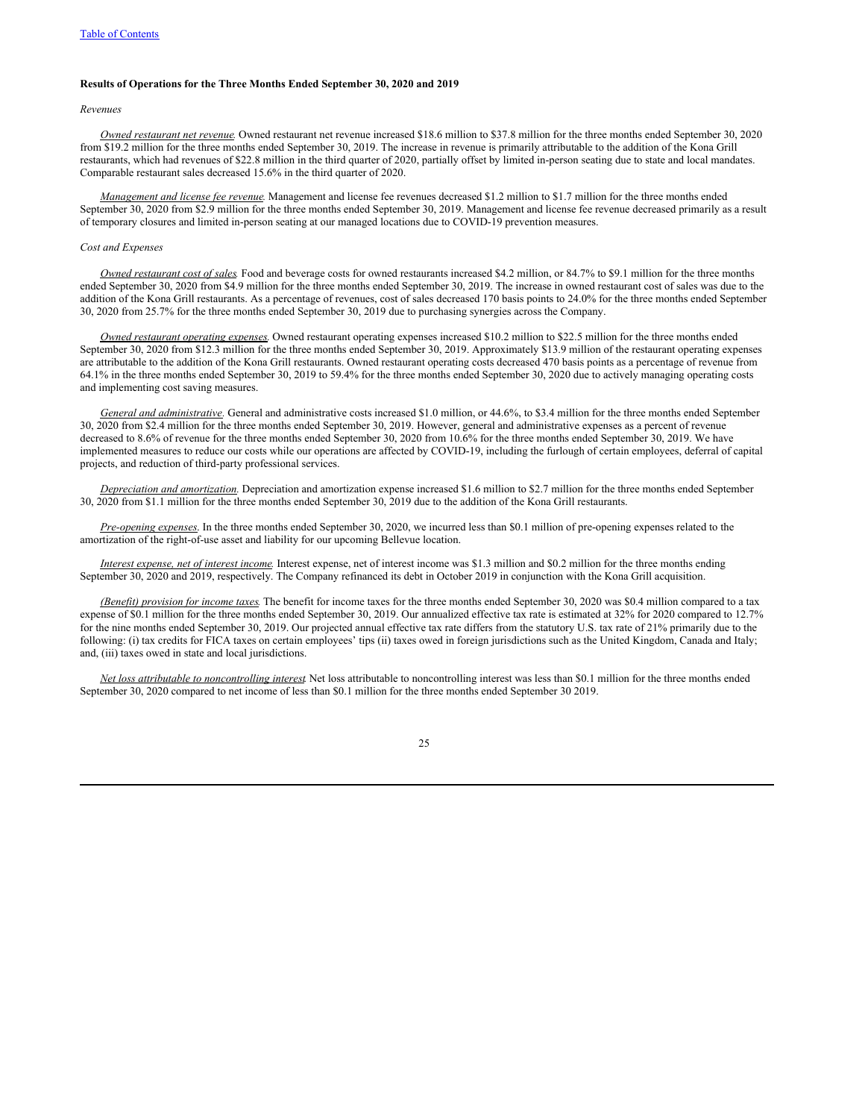### **Results of Operations for the Three Months Ended September 30, 2020 and 2019**

#### *Revenues*

*Owned restaurant net revenue.* Owned restaurant net revenue increased \$18.6 million to \$37.8 million for the three months ended September 30, 2020 from \$19.2 million for the three months ended September 30, 2019. The increase in revenue is primarily attributable to the addition of the Kona Grill restaurants, which had revenues of \$22.8 million in the third quarter of 2020, partially offset by limited in-person seating due to state and local mandates. Comparable restaurant sales decreased 15.6% in the third quarter of 2020.

*Management and license fee revenue.* Management and license fee revenues decreased \$1.2 million to \$1.7 million for the three months ended September 30, 2020 from \$2.9 million for the three months ended September 30, 2019. Management and license fee revenue decreased primarily as a result of temporary closures and limited in-person seating at our managed locations due to COVID-19 prevention measures.

### *Cost and Expenses*

*Owned restaurant cost of sales.* Food and beverage costs for owned restaurants increased \$4.2 million, or 84.7% to \$9.1 million for the three months ended September 30, 2020 from \$4.9 million for the three months ended September 30, 2019. The increase in owned restaurant cost of sales was due to the addition of the Kona Grill restaurants. As a percentage of revenues, cost of sales decreased 170 basis points to 24.0% for the three months ended September 30, 2020 from 25.7% for the three months ended September 30, 2019 due to purchasing synergies across the Company.

*Owned restaurant operating expenses.* Owned restaurant operating expenses increased \$10.2 million to \$22.5 million for the three months ended September 30, 2020 from \$12.3 million for the three months ended September 30, 2019. Approximately \$13.9 million of the restaurant operating expenses are attributable to the addition of the Kona Grill restaurants. Owned restaurant operating costs decreased 470 basis points as a percentage of revenue from 64.1% in the three months ended September 30, 2019 to 59.4% for the three months ended September 30, 2020 due to actively managing operating costs and implementing cost saving measures.

*General and administrative.* General and administrative costs increased \$1.0 million, or 44.6%, to \$3.4 million for the three months ended September 30, 2020 from \$2.4 million for the three months ended September 30, 2019. However, general and administrative expenses as a percent of revenue decreased to 8.6% of revenue for the three months ended September 30, 2020 from 10.6% for the three months ended September 30, 2019. We have implemented measures to reduce our costs while our operations are affected by COVID-19, including the furlough of certain employees, deferral of capital projects, and reduction of third-party professional services.

*Depreciation and amortization.* Depreciation and amortization expense increased \$1.6 million to \$2.7 million for the three months ended September 30, 2020 from \$1.1 million for the three months ended September 30, 2019 due to the addition of the Kona Grill restaurants.

*Pre-opening expenses*. In the three months ended September 30, 2020, we incurred less than \$0.1 million of pre-opening expenses related to the amortization of the right-of-use asset and liability for our upcoming Bellevue location.

*Interest expense, net of interest income.* Interest expense, net of interest income was \$1.3 million and \$0.2 million for the three months ending September 30, 2020 and 2019, respectively. The Company refinanced its debt in October 2019 in conjunction with the Kona Grill acquisition.

*(Benefit) provision for income taxes.* The benefit for income taxes for the three months ended September 30, 2020 was \$0.4 million compared to a tax expense of \$0.1 million for the three months ended September 30, 2019. Our annualized effective tax rate is estimated at 32% for 2020 compared to 12.7% for the nine months ended September 30, 2019. Our projected annual effective tax rate differs from the statutory U.S. tax rate of 21% primarily due to the following: (i) tax credits for FICA taxes on certain employees' tips (ii) taxes owed in foreign jurisdictions such as the United Kingdom, Canada and Italy; and, (iii) taxes owed in state and local jurisdictions.

*Net loss attributable to noncontrolling interest*. Net loss attributable to noncontrolling interest was less than \$0.1 million for the three months ended September 30, 2020 compared to net income of less than \$0.1 million for the three months ended September 30 2019.

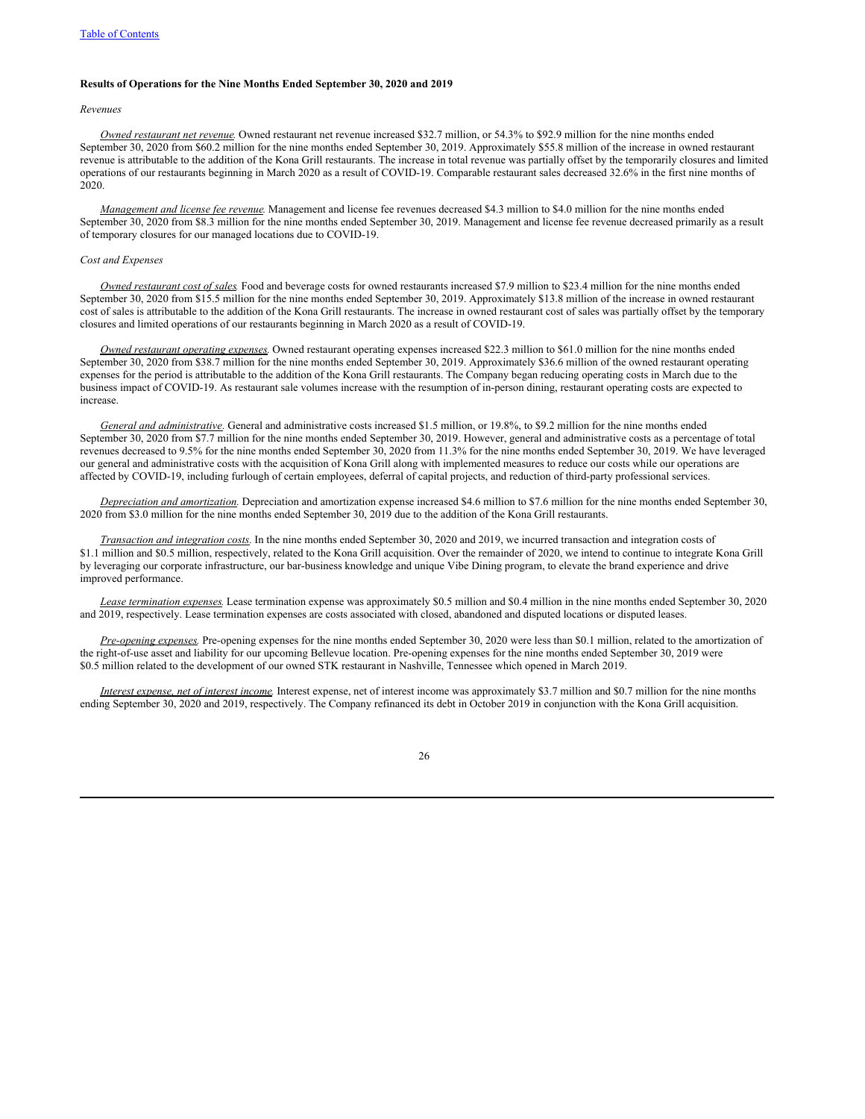# **Results of Operations for the Nine Months Ended September 30, 2020 and 2019**

### *Revenues*

*Owned restaurant net revenue.* Owned restaurant net revenue increased \$32.7 million, or 54.3% to \$92.9 million for the nine months ended September 30, 2020 from \$60.2 million for the nine months ended September 30, 2019. Approximately \$55.8 million of the increase in owned restaurant revenue is attributable to the addition of the Kona Grill restaurants. The increase in total revenue was partially offset by the temporarily closures and limited operations of our restaurants beginning in March 2020 as a result of COVID-19. Comparable restaurant sales decreased 32.6% in the first nine months of 2020.

*Management and license fee revenue.* Management and license fee revenues decreased \$4.3 million to \$4.0 million for the nine months ended September 30, 2020 from \$8.3 million for the nine months ended September 30, 2019. Management and license fee revenue decreased primarily as a result of temporary closures for our managed locations due to COVID-19.

#### *Cost and Expenses*

*Owned restaurant cost of sales.* Food and beverage costs for owned restaurants increased \$7.9 million to \$23.4 million for the nine months ended September 30, 2020 from \$15.5 million for the nine months ended September 30, 2019. Approximately \$13.8 million of the increase in owned restaurant cost of sales is attributable to the addition of the Kona Grill restaurants. The increase in owned restaurant cost of sales was partially offset by the temporary closures and limited operations of our restaurants beginning in March 2020 as a result of COVID-19.

*Owned restaurant operating expenses.* Owned restaurant operating expenses increased \$22.3 million to \$61.0 million for the nine months ended September 30, 2020 from \$38.7 million for the nine months ended September 30, 2019. Approximately \$36.6 million of the owned restaurant operating expenses for the period is attributable to the addition of the Kona Grill restaurants. The Company began reducing operating costs in March due to the business impact of COVID-19. As restaurant sale volumes increase with the resumption of in-person dining, restaurant operating costs are expected to increase.

*General and administrative.* General and administrative costs increased \$1.5 million, or 19.8%, to \$9.2 million for the nine months ended September 30, 2020 from \$7.7 million for the nine months ended September 30, 2019. However, general and administrative costs as a percentage of total revenues decreased to 9.5% for the nine months ended September 30, 2020 from 11.3% for the nine months ended September 30, 2019. We have leveraged our general and administrative costs with the acquisition of Kona Grill along with implemented measures to reduce our costs while our operations are affected by COVID-19, including furlough of certain employees, deferral of capital projects, and reduction of third-party professional services.

*Depreciation and amortization.* Depreciation and amortization expense increased \$4.6 million to \$7.6 million for the nine months ended September 30, 2020 from \$3.0 million for the nine months ended September 30, 2019 due to the addition of the Kona Grill restaurants.

*Transaction and integration costs.* In the nine months ended September 30, 2020 and 2019, we incurred transaction and integration costs of \$1.1 million and \$0.5 million, respectively, related to the Kona Grill acquisition. Over the remainder of 2020, we intend to continue to integrate Kona Grill by leveraging our corporate infrastructure, our bar-business knowledge and unique Vibe Dining program, to elevate the brand experience and drive improved performance.

*Lease termination expenses.* Lease termination expense was approximately \$0.5 million and \$0.4 million in the nine months ended September 30, 2020 and 2019, respectively. Lease termination expenses are costs associated with closed, abandoned and disputed locations or disputed leases.

*Pre-opening expenses.* Pre-opening expenses for the nine months ended September 30, 2020 were less than \$0.1 million, related to the amortization of the right-of-use asset and liability for our upcoming Bellevue location. Pre-opening expenses for the nine months ended September 30, 2019 were \$0.5 million related to the development of our owned STK restaurant in Nashville, Tennessee which opened in March 2019.

*Interest expense, net of interest income.* Interest expense, net of interest income was approximately \$3.7 million and \$0.7 million for the nine months ending September 30, 2020 and 2019, respectively. The Company refinanced its debt in October 2019 in conjunction with the Kona Grill acquisition.

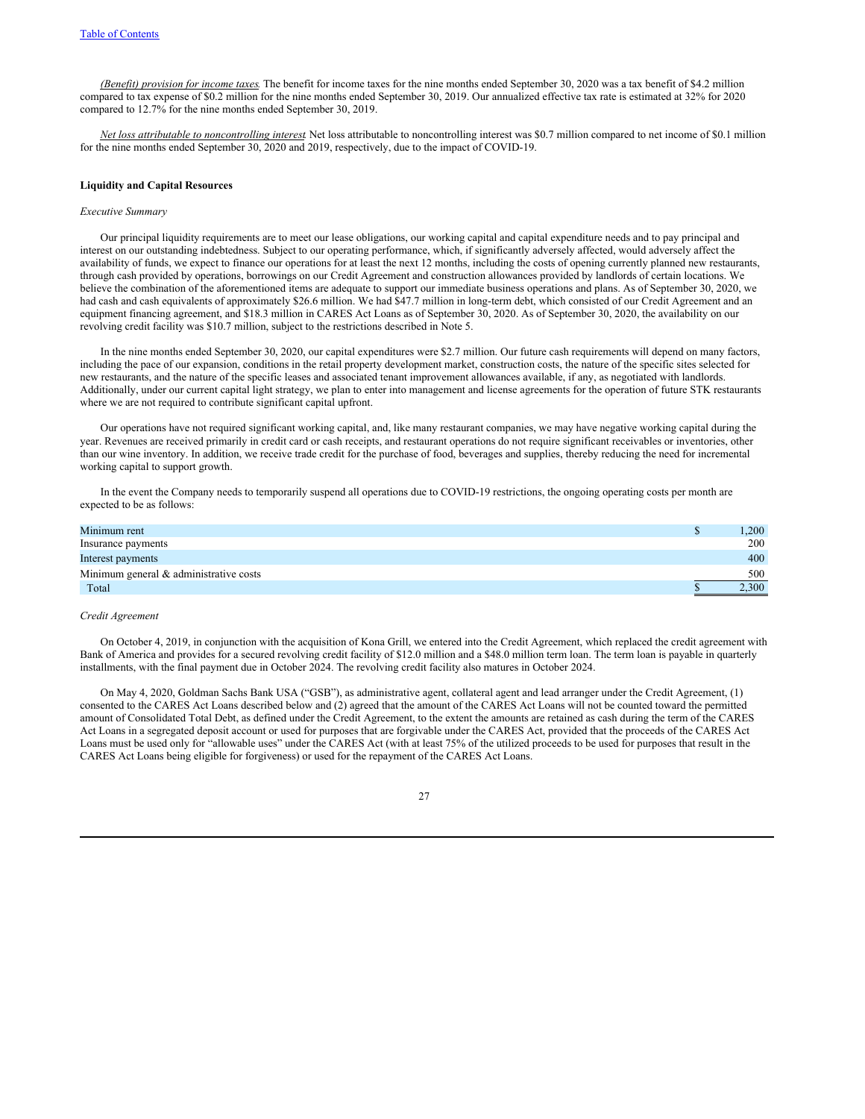*(Benefit) provision for income taxes.* The benefit for income taxes for the nine months ended September 30, 2020 was a tax benefit of \$4.2 million compared to tax expense of \$0.2 million for the nine months ended September 30, 2019. Our annualized effective tax rate is estimated at 32% for 2020 compared to 12.7% for the nine months ended September 30, 2019.

*Net loss attributable to noncontrolling interest*. Net loss attributable to noncontrolling interest was \$0.7 million compared to net income of \$0.1 million for the nine months ended September 30, 2020 and 2019, respectively, due to the impact of COVID-19.

# **Liquidity and Capital Resources**

### *Executive Summary*

Our principal liquidity requirements are to meet our lease obligations, our working capital and capital expenditure needs and to pay principal and interest on our outstanding indebtedness. Subject to our operating performance, which, if significantly adversely affected, would adversely affect the availability of funds, we expect to finance our operations for at least the next 12 months, including the costs of opening currently planned new restaurants, through cash provided by operations, borrowings on our Credit Agreement and construction allowances provided by landlords of certain locations. We believe the combination of the aforementioned items are adequate to support our immediate business operations and plans. As of September 30, 2020, we had cash and cash equivalents of approximately \$26.6 million. We had \$47.7 million in long-term debt, which consisted of our Credit Agreement and an equipment financing agreement, and \$18.3 million in CARES Act Loans as of September 30, 2020. As of September 30, 2020, the availability on our revolving credit facility was \$10.7 million, subject to the restrictions described in Note 5.

In the nine months ended September 30, 2020, our capital expenditures were \$2.7 million. Our future cash requirements will depend on many factors, including the pace of our expansion, conditions in the retail property development market, construction costs, the nature of the specific sites selected for new restaurants, and the nature of the specific leases and associated tenant improvement allowances available, if any, as negotiated with landlords. Additionally, under our current capital light strategy, we plan to enter into management and license agreements for the operation of future STK restaurants where we are not required to contribute significant capital upfront.

Our operations have not required significant working capital, and, like many restaurant companies, we may have negative working capital during the year. Revenues are received primarily in credit card or cash receipts, and restaurant operations do not require significant receivables or inventories, other than our wine inventory. In addition, we receive trade credit for the purchase of food, beverages and supplies, thereby reducing the need for incremental working capital to support growth.

In the event the Company needs to temporarily suspend all operations due to COVID-19 restrictions, the ongoing operating costs per month are expected to be as follows:

| Minimum rent                           | .200  |
|----------------------------------------|-------|
| Insurance payments                     | 200   |
| Interest payments                      | 400   |
| Minimum general & administrative costs | 500   |
| Total                                  | 2.300 |

### *Credit Agreement*

On October 4, 2019, in conjunction with the acquisition of Kona Grill, we entered into the Credit Agreement, which replaced the credit agreement with Bank of America and provides for a secured revolving credit facility of \$12.0 million and a \$48.0 million term loan. The term loan is payable in quarterly installments, with the final payment due in October 2024. The revolving credit facility also matures in October 2024.

On May 4, 2020, Goldman Sachs Bank USA ("GSB"), as administrative agent, collateral agent and lead arranger under the Credit Agreement, (1) consented to the CARES Act Loans described below and (2) agreed that the amount of the CARES Act Loans will not be counted toward the permitted amount of Consolidated Total Debt, as defined under the Credit Agreement, to the extent the amounts are retained as cash during the term of the CARES Act Loans in a segregated deposit account or used for purposes that are forgivable under the CARES Act, provided that the proceeds of the CARES Act Loans must be used only for "allowable uses" under the CARES Act (with at least 75% of the utilized proceeds to be used for purposes that result in the CARES Act Loans being eligible for forgiveness) or used for the repayment of the CARES Act Loans.

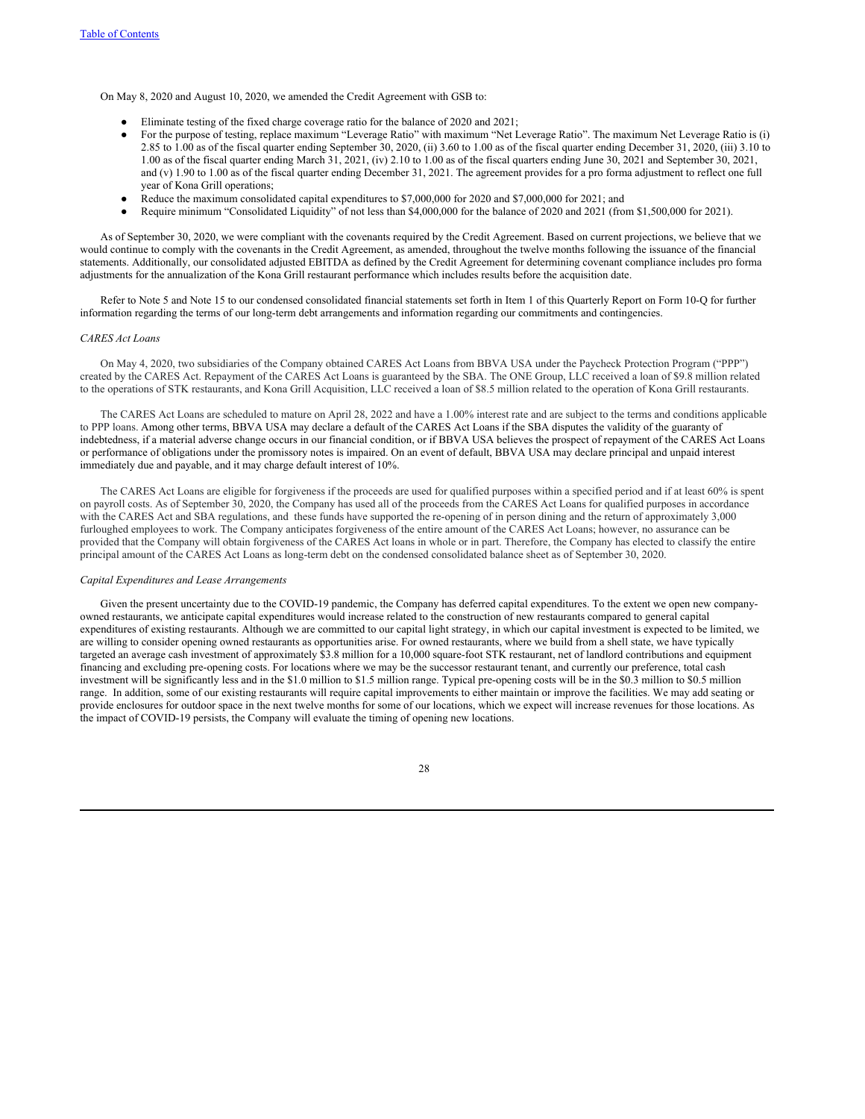On May 8, 2020 and August 10, 2020, we amended the Credit Agreement with GSB to:

- Eliminate testing of the fixed charge coverage ratio for the balance of 2020 and 2021;
- For the purpose of testing, replace maximum "Leverage Ratio" with maximum "Net Leverage Ratio". The maximum Net Leverage Ratio is (i) 2.85 to 1.00 as of the fiscal quarter ending September 30, 2020, (ii) 3.60 to 1.00 as of the fiscal quarter ending December 31, 2020, (iii) 3.10 to 1.00 as of the fiscal quarter ending March 31, 2021, (iv) 2.10 to 1.00 as of the fiscal quarters ending June 30, 2021 and September 30, 2021, and (v) 1.90 to 1.00 as of the fiscal quarter ending December 31, 2021. The agreement provides for a pro forma adjustment to reflect one full year of Kona Grill operations;
- Reduce the maximum consolidated capital expenditures to \$7,000,000 for 2020 and \$7,000,000 for 2021; and
- Require minimum "Consolidated Liquidity" of not less than \$4,000,000 for the balance of 2020 and 2021 (from \$1,500,000 for 2021).

As of September 30, 2020, we were compliant with the covenants required by the Credit Agreement. Based on current projections, we believe that we would continue to comply with the covenants in the Credit Agreement, as amended, throughout the twelve months following the issuance of the financial statements. Additionally, our consolidated adjusted EBITDA as defined by the Credit Agreement for determining covenant compliance includes pro forma adjustments for the annualization of the Kona Grill restaurant performance which includes results before the acquisition date.

Refer to Note 5 and Note 15 to our condensed consolidated financial statements set forth in Item 1 of this Quarterly Report on Form 10-Q for further information regarding the terms of our long-term debt arrangements and information regarding our commitments and contingencies.

### *CARES Act Loans*

On May 4, 2020, two subsidiaries of the Company obtained CARES Act Loans from BBVA USA under the Paycheck Protection Program ("PPP") created by the CARES Act. Repayment of the CARES Act Loans is guaranteed by the SBA. The ONE Group, LLC received a loan of \$9.8 million related to the operations of STK restaurants, and Kona Grill Acquisition, LLC received a loan of \$8.5 million related to the operation of Kona Grill restaurants.

The CARES Act Loans are scheduled to mature on April 28, 2022 and have a 1.00% interest rate and are subject to the terms and conditions applicable to PPP loans. Among other terms, BBVA USA may declare a default of the CARES Act Loans if the SBA disputes the validity of the guaranty of indebtedness, if a material adverse change occurs in our financial condition, or if BBVA USA believes the prospect of repayment of the CARES Act Loans or performance of obligations under the promissory notes is impaired. On an event of default, BBVA USA may declare principal and unpaid interest immediately due and payable, and it may charge default interest of 10%.

The CARES Act Loans are eligible for forgiveness if the proceeds are used for qualified purposes within a specified period and if at least 60% is spent on payroll costs. As of September 30, 2020, the Company has used all of the proceeds from the CARES Act Loans for qualified purposes in accordance with the CARES Act and SBA regulations, and these funds have supported the re-opening of in person dining and the return of approximately 3,000 furloughed employees to work. The Company anticipates forgiveness of the entire amount of the CARES Act Loans; however, no assurance can be provided that the Company will obtain forgiveness of the CARES Act loans in whole or in part. Therefore, the Company has elected to classify the entire principal amount of the CARES Act Loans as long-term debt on the condensed consolidated balance sheet as of September 30, 2020.

#### *Capital Expenditures and Lease Arrangements*

Given the present uncertainty due to the COVID-19 pandemic, the Company has deferred capital expenditures. To the extent we open new companyowned restaurants, we anticipate capital expenditures would increase related to the construction of new restaurants compared to general capital expenditures of existing restaurants. Although we are committed to our capital light strategy, in which our capital investment is expected to be limited, we are willing to consider opening owned restaurants as opportunities arise. For owned restaurants, where we build from a shell state, we have typically targeted an average cash investment of approximately \$3.8 million for a 10,000 square-foot STK restaurant, net of landlord contributions and equipment financing and excluding pre-opening costs. For locations where we may be the successor restaurant tenant, and currently our preference, total cash investment will be significantly less and in the \$1.0 million to \$1.5 million range. Typical pre-opening costs will be in the \$0.3 million to \$0.5 million range. In addition, some of our existing restaurants will require capital improvements to either maintain or improve the facilities. We may add seating or provide enclosures for outdoor space in the next twelve months for some of our locations, which we expect will increase revenues for those locations. As the impact of COVID-19 persists, the Company will evaluate the timing of opening new locations.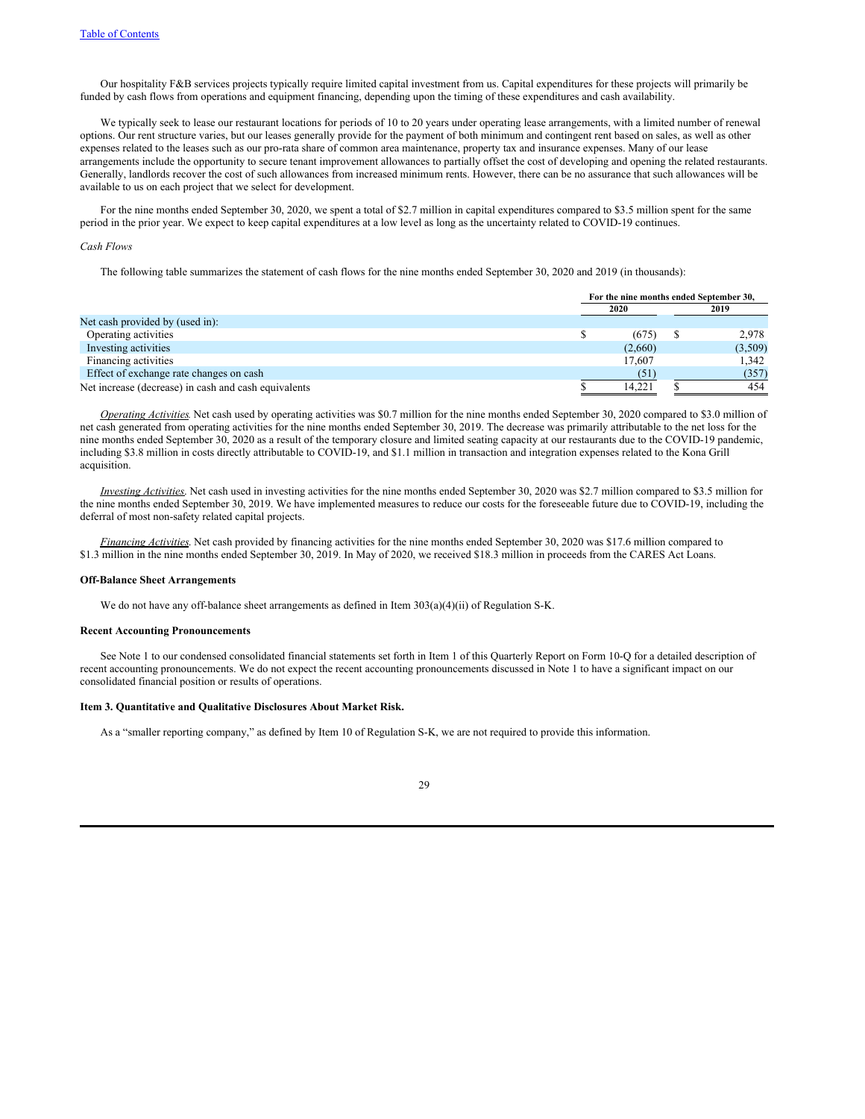Our hospitality F&B services projects typically require limited capital investment from us. Capital expenditures for these projects will primarily be funded by cash flows from operations and equipment financing, depending upon the timing of these expenditures and cash availability.

We typically seek to lease our restaurant locations for periods of 10 to 20 years under operating lease arrangements, with a limited number of renewal options. Our rent structure varies, but our leases generally provide for the payment of both minimum and contingent rent based on sales, as well as other expenses related to the leases such as our pro-rata share of common area maintenance, property tax and insurance expenses. Many of our lease arrangements include the opportunity to secure tenant improvement allowances to partially offset the cost of developing and opening the related restaurants. Generally, landlords recover the cost of such allowances from increased minimum rents. However, there can be no assurance that such allowances will be available to us on each project that we select for development.

For the nine months ended September 30, 2020, we spent a total of \$2.7 million in capital expenditures compared to \$3.5 million spent for the same period in the prior year. We expect to keep capital expenditures at a low level as long as the uncertainty related to COVID-19 continues.

# *Cash Flows*

The following table summarizes the statement of cash flows for the nine months ended September 30, 2020 and 2019 (in thousands):

|                                                      | For the nine months ended September 30, |  |         |
|------------------------------------------------------|-----------------------------------------|--|---------|
|                                                      | 2020                                    |  | 2019    |
| Net cash provided by (used in):                      |                                         |  |         |
| Operating activities                                 | (675)                                   |  | 2.978   |
| Investing activities                                 | (2,660)                                 |  | (3,509) |
| Financing activities                                 | 17.607                                  |  | 1,342   |
| Effect of exchange rate changes on cash              | (51)                                    |  | (357)   |
| Net increase (decrease) in cash and cash equivalents | 14.221                                  |  | 454     |

*Operating Activities.* Net cash used by operating activities was \$0.7 million for the nine months ended September 30, 2020 compared to \$3.0 million of net cash generated from operating activities for the nine months ended September 30, 2019. The decrease was primarily attributable to the net loss for the nine months ended September 30, 2020 as a result of the temporary closure and limited seating capacity at our restaurants due to the COVID-19 pandemic, including \$3.8 million in costs directly attributable to COVID-19, and \$1.1 million in transaction and integration expenses related to the Kona Grill acquisition.

*Investing Activities*. Net cash used in investing activities for the nine months ended September 30, 2020 was \$2.7 million compared to \$3.5 million for the nine months ended September 30, 2019. We have implemented measures to reduce our costs for the foreseeable future due to COVID-19, including the deferral of most non-safety related capital projects.

*Financing Activities*. Net cash provided by financing activities for the nine months ended September 30, 2020 was \$17.6 million compared to \$1.3 million in the nine months ended September 30, 2019. In May of 2020, we received \$18.3 million in proceeds from the CARES Act Loans.

#### **Off-Balance Sheet Arrangements**

We do not have any off-balance sheet arrangements as defined in Item 303(a)(4)(ii) of Regulation S-K.

#### **Recent Accounting Pronouncements**

See Note 1 to our condensed consolidated financial statements set forth in Item 1 of this Quarterly Report on Form 10-Q for a detailed description of recent accounting pronouncements. We do not expect the recent accounting pronouncements discussed in Note 1 to have a significant impact on our consolidated financial position or results of operations.

#### **Item 3. Quantitative and Qualitative Disclosures About Market Risk.**

<span id="page-28-0"></span>As a "smaller reporting company," as defined by Item 10 of Regulation S-K, we are not required to provide this information.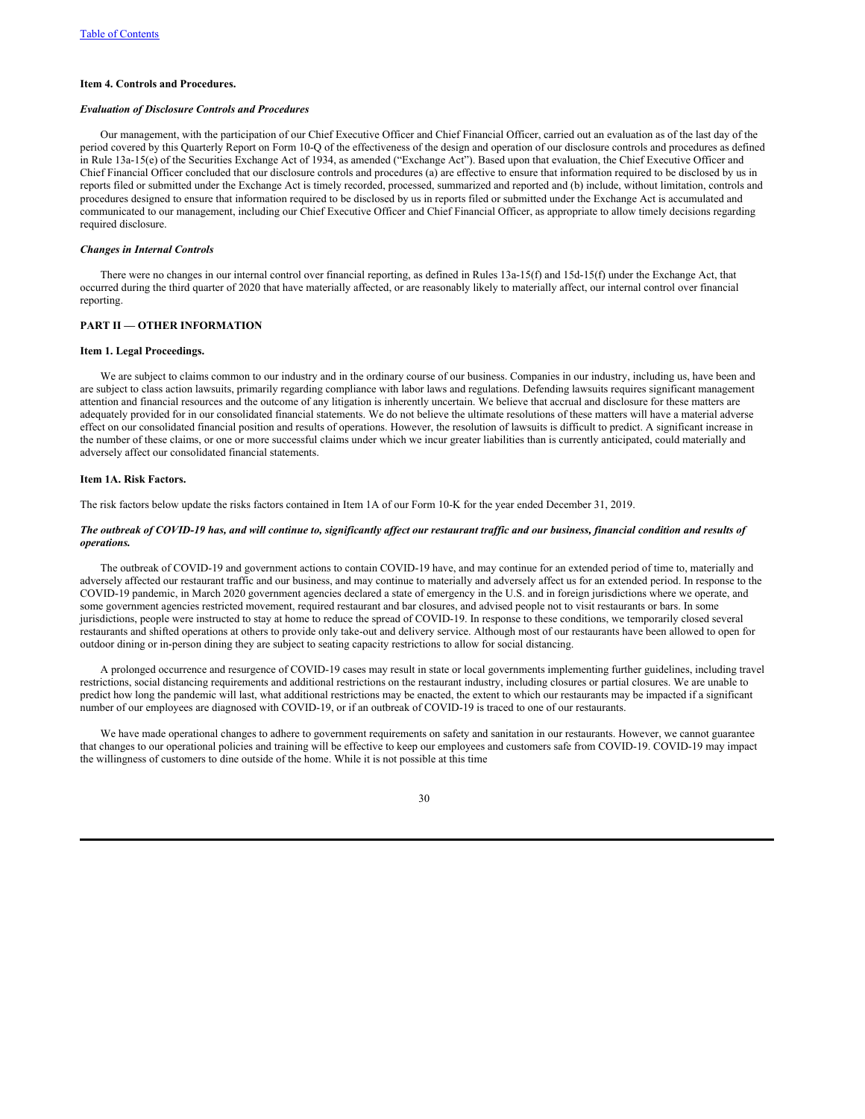### <span id="page-29-0"></span>**Item 4. Controls and Procedures.**

#### *Evaluation of Disclosure Controls and Procedures*

Our management, with the participation of our Chief Executive Officer and Chief Financial Officer, carried out an evaluation as of the last day of the period covered by this Quarterly Report on Form 10-Q of the effectiveness of the design and operation of our disclosure controls and procedures as defined in Rule 13a-15(e) of the Securities Exchange Act of 1934, as amended ("Exchange Act"). Based upon that evaluation, the Chief Executive Officer and Chief Financial Officer concluded that our disclosure controls and procedures (a) are effective to ensure that information required to be disclosed by us in reports filed or submitted under the Exchange Act is timely recorded, processed, summarized and reported and (b) include, without limitation, controls and procedures designed to ensure that information required to be disclosed by us in reports filed or submitted under the Exchange Act is accumulated and communicated to our management, including our Chief Executive Officer and Chief Financial Officer, as appropriate to allow timely decisions regarding required disclosure.

### *Changes in Internal Controls*

There were no changes in our internal control over financial reporting, as defined in Rules 13a-15(f) and 15d-15(f) under the Exchange Act, that occurred during the third quarter of 2020 that have materially affected, or are reasonably likely to materially affect, our internal control over financial reporting.

# <span id="page-29-1"></span>**PART II — OTHER INFORMATION**

### <span id="page-29-2"></span>**Item 1. Legal Proceedings.**

We are subject to claims common to our industry and in the ordinary course of our business. Companies in our industry, including us, have been and are subject to class action lawsuits, primarily regarding compliance with labor laws and regulations. Defending lawsuits requires significant management attention and financial resources and the outcome of any litigation is inherently uncertain. We believe that accrual and disclosure for these matters are adequately provided for in our consolidated financial statements. We do not believe the ultimate resolutions of these matters will have a material adverse effect on our consolidated financial position and results of operations. However, the resolution of lawsuits is difficult to predict. A significant increase in the number of these claims, or one or more successful claims under which we incur greater liabilities than is currently anticipated, could materially and adversely affect our consolidated financial statements.

#### <span id="page-29-3"></span>**Item 1A. Risk Factors.**

The risk factors below update the risks factors contained in Item 1A of our Form 10-K for the year ended December 31, 2019.

### The outbreak of COVID-19 has, and will continue to, significantly affect our restaurant traffic and our business, financial condition and results of *operations.*

The outbreak of COVID-19 and government actions to contain COVID-19 have, and may continue for an extended period of time to, materially and adversely affected our restaurant traffic and our business, and may continue to materially and adversely affect us for an extended period. In response to the COVID-19 pandemic, in March 2020 government agencies declared a state of emergency in the U.S. and in foreign jurisdictions where we operate, and some government agencies restricted movement, required restaurant and bar closures, and advised people not to visit restaurants or bars. In some jurisdictions, people were instructed to stay at home to reduce the spread of COVID-19. In response to these conditions, we temporarily closed several restaurants and shifted operations at others to provide only take-out and delivery service. Although most of our restaurants have been allowed to open for outdoor dining or in-person dining they are subject to seating capacity restrictions to allow for social distancing.

A prolonged occurrence and resurgence of COVID-19 cases may result in state or local governments implementing further guidelines, including travel restrictions, social distancing requirements and additional restrictions on the restaurant industry, including closures or partial closures. We are unable to predict how long the pandemic will last, what additional restrictions may be enacted, the extent to which our restaurants may be impacted if a significant number of our employees are diagnosed with COVID-19, or if an outbreak of COVID-19 is traced to one of our restaurants.

We have made operational changes to adhere to government requirements on safety and sanitation in our restaurants. However, we cannot guarantee that changes to our operational policies and training will be effective to keep our employees and customers safe from COVID-19. COVID-19 may impact the willingness of customers to dine outside of the home. While it is not possible at this time

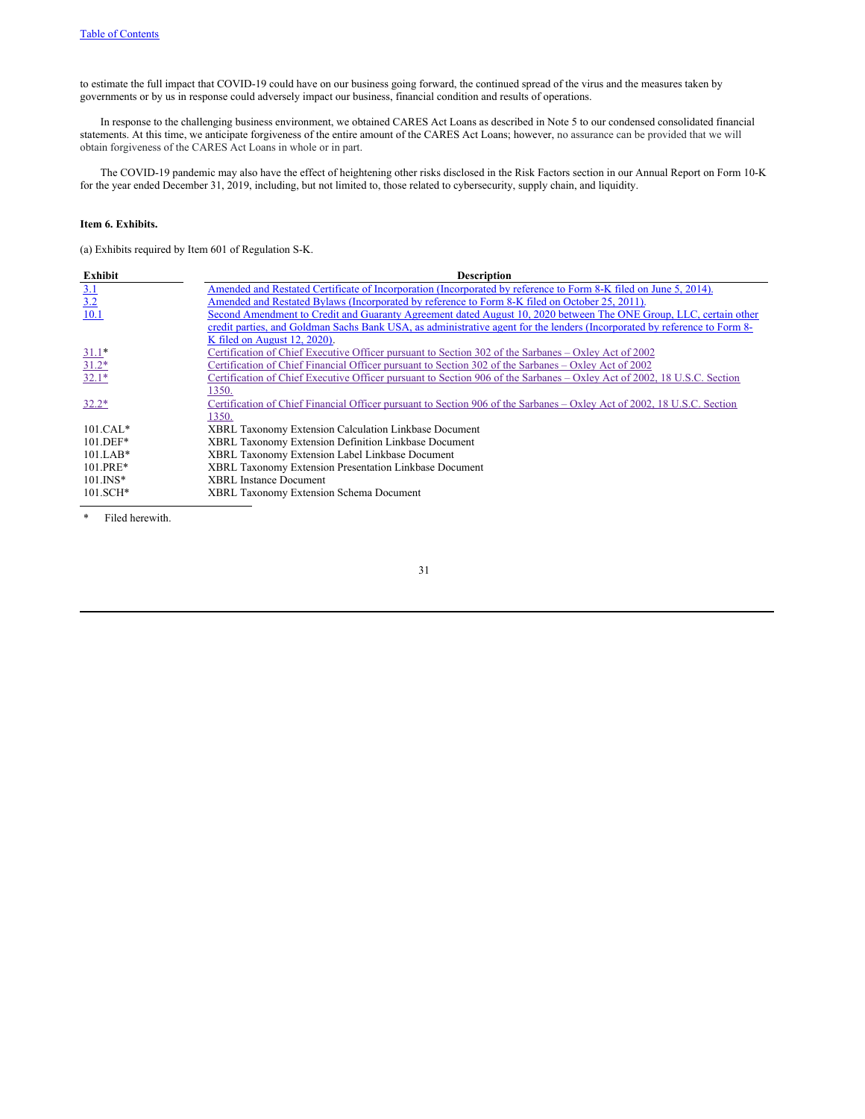to estimate the full impact that COVID-19 could have on our business going forward, the continued spread of the virus and the measures taken by governments or by us in response could adversely impact our business, financial condition and results of operations.

In response to the challenging business environment, we obtained CARES Act Loans as described in Note 5 to our condensed consolidated financial statements. At this time, we anticipate forgiveness of the entire amount of the CARES Act Loans; however, no assurance can be provided that we will obtain forgiveness of the CARES Act Loans in whole or in part.

The COVID-19 pandemic may also have the effect of heightening other risks disclosed in the Risk Factors section in our Annual Report on Form 10-K for the year ended December 31, 2019, including, but not limited to, those related to cybersecurity, supply chain, and liquidity.

# <span id="page-30-0"></span>**Item 6. Exhibits.**

(a) Exhibits required by Item 601 of Regulation S-K.

| <b>Exhibit</b> | <b>Description</b>                                                                                                        |
|----------------|---------------------------------------------------------------------------------------------------------------------------|
| <u>3.1</u>     | Amended and Restated Certificate of Incorporation (Incorporated by reference to Form 8-K filed on June 5, 2014).          |
| 3.2            | Amended and Restated Bylaws (Incorporated by reference to Form 8-K filed on October 25, 2011).                            |
| 10.1           | Second Amendment to Credit and Guaranty Agreement dated August 10, 2020 between The ONE Group, LLC, certain other         |
|                | credit parties, and Goldman Sachs Bank USA, as administrative agent for the lenders (Incorporated by reference to Form 8- |
|                | K filed on August 12, 2020).                                                                                              |
| $31.1*$        | Certification of Chief Executive Officer pursuant to Section 302 of the Sarbanes – Oxley Act of 2002                      |
| $31.2*$        | Certification of Chief Financial Officer pursuant to Section 302 of the Sarbanes – Oxley Act of 2002                      |
| $32.1*$        | Certification of Chief Executive Officer pursuant to Section 906 of the Sarbanes – Oxley Act of 2002, 18 U.S.C. Section   |
|                | 1350.                                                                                                                     |
| $32.2*$        | Certification of Chief Financial Officer pursuant to Section 906 of the Sarbanes – Oxley Act of 2002, 18 U.S.C. Section   |
|                | 1350.                                                                                                                     |
| $101.CAL*$     | XBRL Taxonomy Extension Calculation Linkbase Document                                                                     |
| $101.$ DEF*    | XBRL Taxonomy Extension Definition Linkbase Document                                                                      |
| $101.LAB*$     | XBRL Taxonomy Extension Label Linkbase Document                                                                           |
| 101.PRE*       | XBRL Taxonomy Extension Presentation Linkbase Document                                                                    |
| $101.$ $N^*$   | <b>XBRL</b> Instance Document                                                                                             |
| $101.SCH*$     | <b>XBRL Taxonomy Extension Schema Document</b>                                                                            |

\* Filed herewith.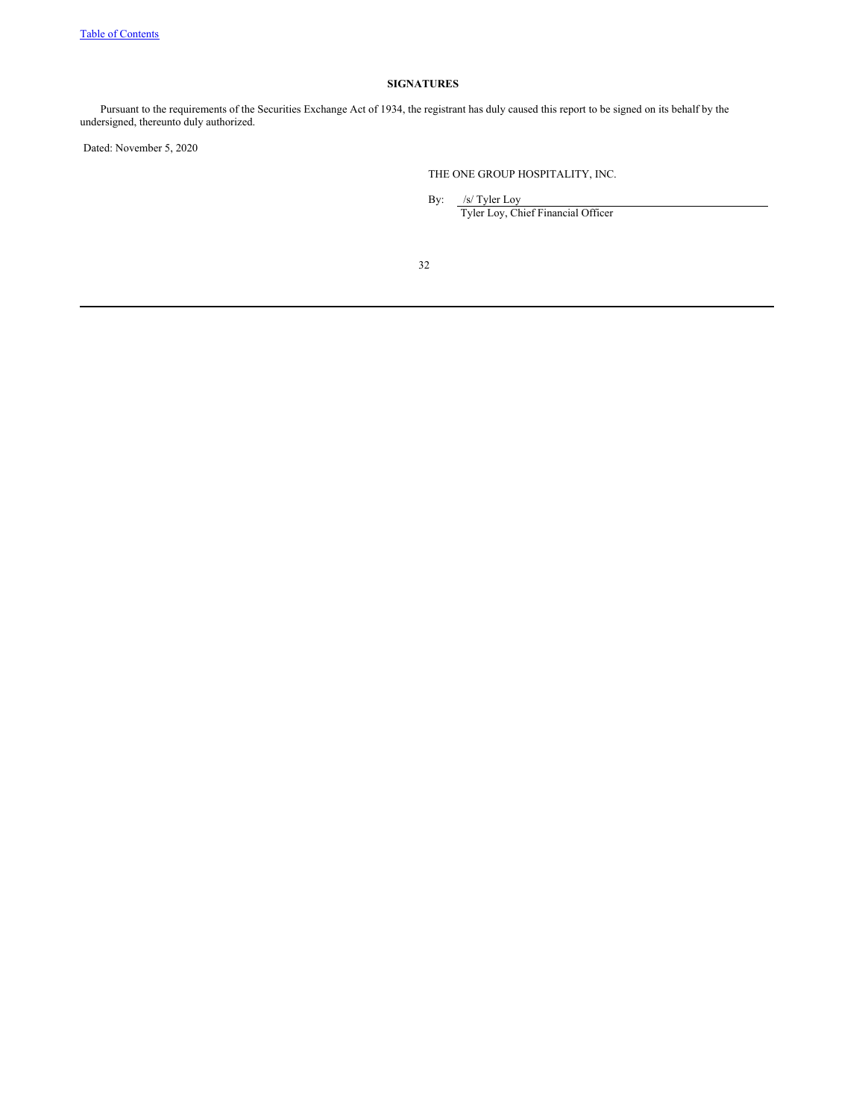# <span id="page-31-0"></span>**SIGNATURES**

Pursuant to the requirements of the Securities Exchange Act of 1934, the registrant has duly caused this report to be signed on its behalf by the undersigned, thereunto duly authorized.

Dated: November 5, 2020

THE ONE GROUP HOSPITALITY, INC.

By: /s/ Tyler Loy

Tyler Loy, Chief Financial Officer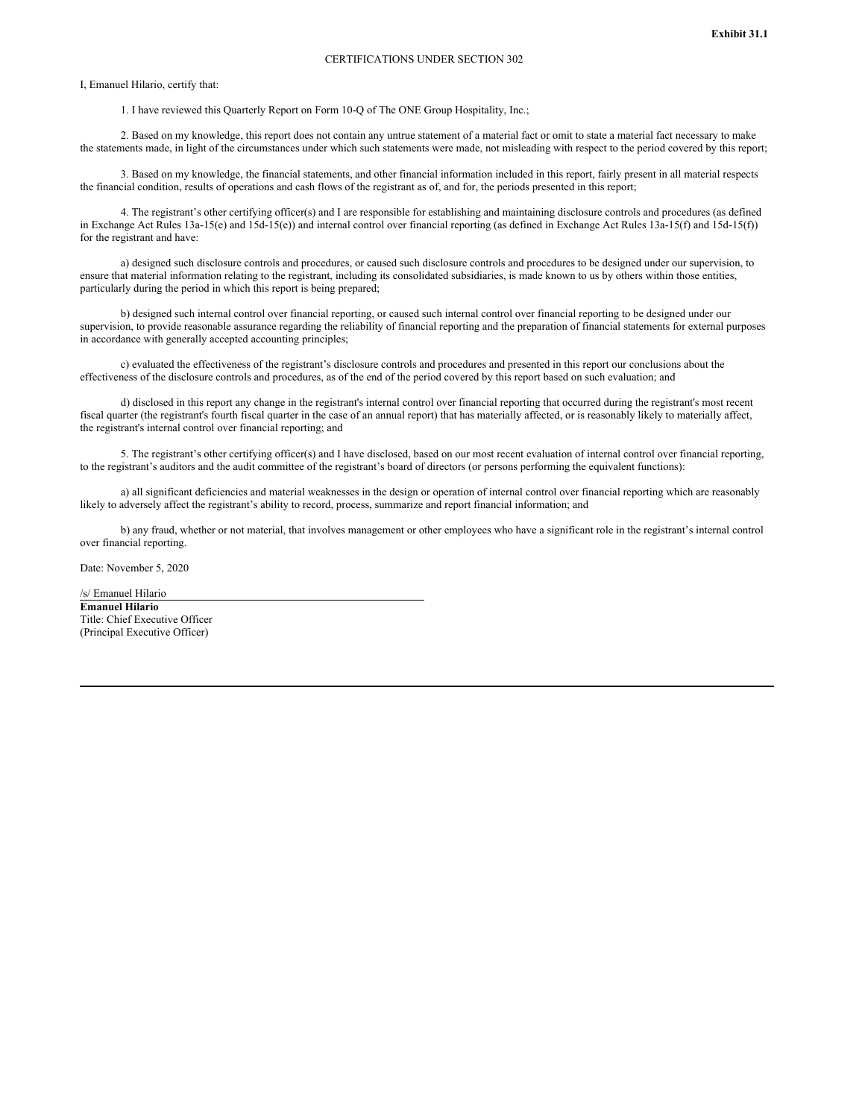<span id="page-32-0"></span>I, Emanuel Hilario, certify that:

1. I have reviewed this Quarterly Report on Form 10-Q of The ONE Group Hospitality, Inc.;

2. Based on my knowledge, this report does not contain any untrue statement of a material fact or omit to state a material fact necessary to make the statements made, in light of the circumstances under which such statements were made, not misleading with respect to the period covered by this report;

3. Based on my knowledge, the financial statements, and other financial information included in this report, fairly present in all material respects the financial condition, results of operations and cash flows of the registrant as of, and for, the periods presented in this report;

4. The registrant's other certifying officer(s) and I are responsible for establishing and maintaining disclosure controls and procedures (as defined in Exchange Act Rules 13a-15(e) and 15d-15(e)) and internal control over financial reporting (as defined in Exchange Act Rules 13a-15(f) and 15d-15(f)) for the registrant and have:

a) designed such disclosure controls and procedures, or caused such disclosure controls and procedures to be designed under our supervision, to ensure that material information relating to the registrant, including its consolidated subsidiaries, is made known to us by others within those entities, particularly during the period in which this report is being prepared;

b) designed such internal control over financial reporting, or caused such internal control over financial reporting to be designed under our supervision, to provide reasonable assurance regarding the reliability of financial reporting and the preparation of financial statements for external purposes in accordance with generally accepted accounting principles;

c) evaluated the effectiveness of the registrant's disclosure controls and procedures and presented in this report our conclusions about the effectiveness of the disclosure controls and procedures, as of the end of the period covered by this report based on such evaluation; and

d) disclosed in this report any change in the registrant's internal control over financial reporting that occurred during the registrant's most recent fiscal quarter (the registrant's fourth fiscal quarter in the case of an annual report) that has materially affected, or is reasonably likely to materially affect, the registrant's internal control over financial reporting; and

5. The registrant's other certifying officer(s) and I have disclosed, based on our most recent evaluation of internal control over financial reporting, to the registrant's auditors and the audit committee of the registrant's board of directors (or persons performing the equivalent functions):

a) all significant deficiencies and material weaknesses in the design or operation of internal control over financial reporting which are reasonably likely to adversely affect the registrant's ability to record, process, summarize and report financial information; and

b) any fraud, whether or not material, that involves management or other employees who have a significant role in the registrant's internal control over financial reporting.

Date: November 5, 2020

/s/ Emanuel Hilario **Emanuel Hilario** Title: Chief Executive Officer (Principal Executive Officer)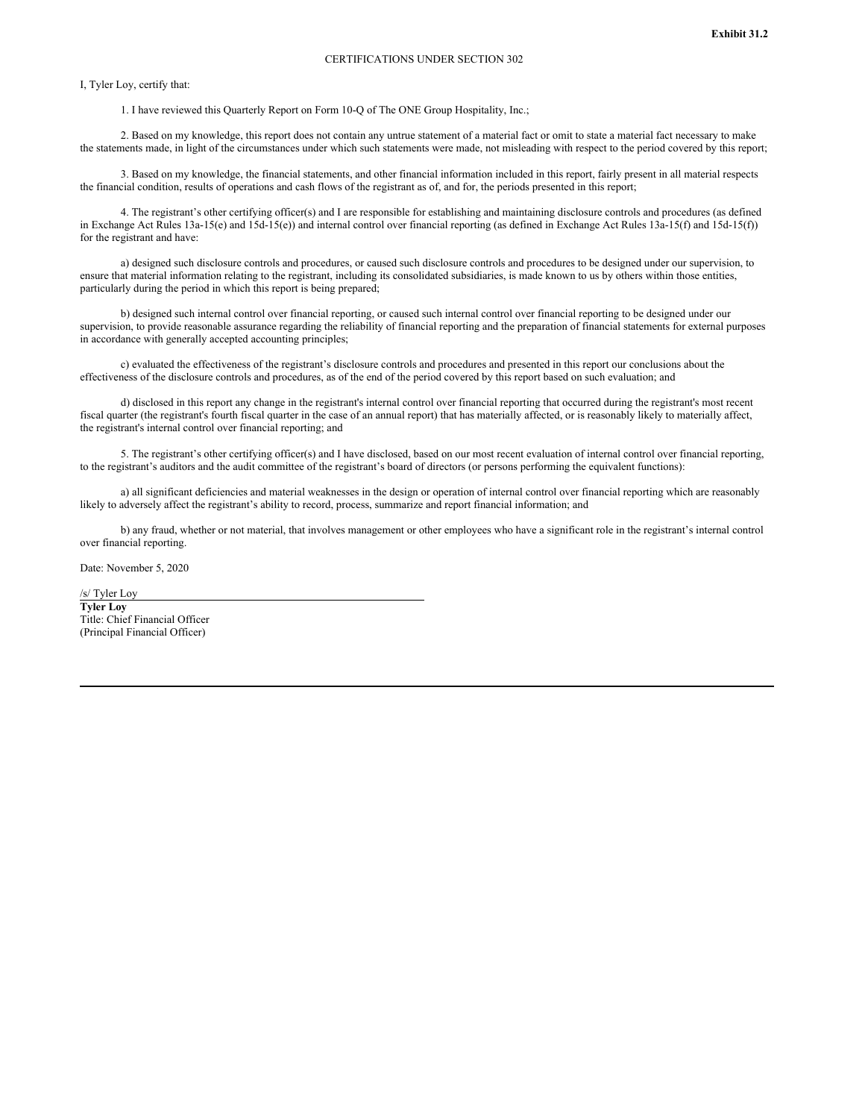<span id="page-33-0"></span>I, Tyler Loy, certify that:

1. I have reviewed this Quarterly Report on Form 10-Q of The ONE Group Hospitality, Inc.;

2. Based on my knowledge, this report does not contain any untrue statement of a material fact or omit to state a material fact necessary to make the statements made, in light of the circumstances under which such statements were made, not misleading with respect to the period covered by this report;

3. Based on my knowledge, the financial statements, and other financial information included in this report, fairly present in all material respects the financial condition, results of operations and cash flows of the registrant as of, and for, the periods presented in this report;

4. The registrant's other certifying officer(s) and I are responsible for establishing and maintaining disclosure controls and procedures (as defined in Exchange Act Rules 13a-15(e) and 15d-15(e)) and internal control over financial reporting (as defined in Exchange Act Rules 13a-15(f) and 15d-15(f)) for the registrant and have:

a) designed such disclosure controls and procedures, or caused such disclosure controls and procedures to be designed under our supervision, to ensure that material information relating to the registrant, including its consolidated subsidiaries, is made known to us by others within those entities, particularly during the period in which this report is being prepared;

b) designed such internal control over financial reporting, or caused such internal control over financial reporting to be designed under our supervision, to provide reasonable assurance regarding the reliability of financial reporting and the preparation of financial statements for external purposes in accordance with generally accepted accounting principles;

c) evaluated the effectiveness of the registrant's disclosure controls and procedures and presented in this report our conclusions about the effectiveness of the disclosure controls and procedures, as of the end of the period covered by this report based on such evaluation; and

d) disclosed in this report any change in the registrant's internal control over financial reporting that occurred during the registrant's most recent fiscal quarter (the registrant's fourth fiscal quarter in the case of an annual report) that has materially affected, or is reasonably likely to materially affect, the registrant's internal control over financial reporting; and

5. The registrant's other certifying officer(s) and I have disclosed, based on our most recent evaluation of internal control over financial reporting, to the registrant's auditors and the audit committee of the registrant's board of directors (or persons performing the equivalent functions):

a) all significant deficiencies and material weaknesses in the design or operation of internal control over financial reporting which are reasonably likely to adversely affect the registrant's ability to record, process, summarize and report financial information; and

b) any fraud, whether or not material, that involves management or other employees who have a significant role in the registrant's internal control over financial reporting.

Date: November 5, 2020

/s/ Tyler Loy **Tyler Loy** Title: Chief Financial Officer (Principal Financial Officer)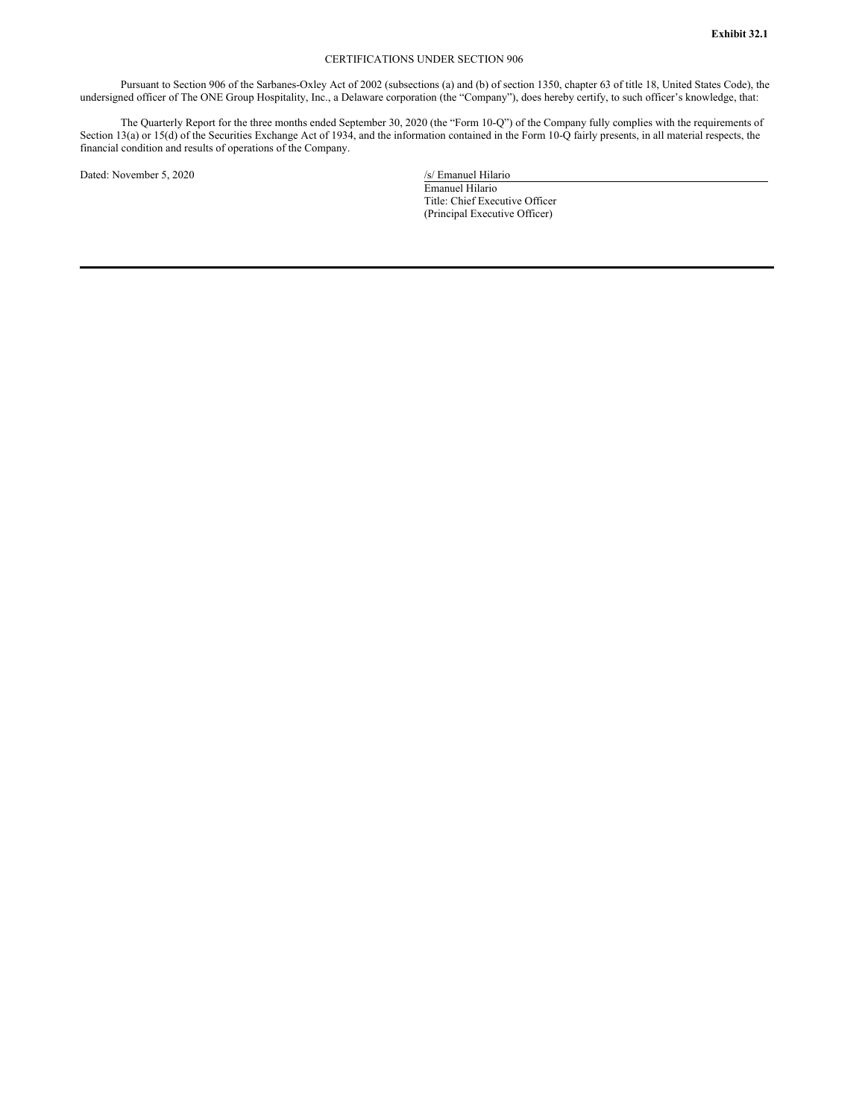# CERTIFICATIONS UNDER SECTION 906

<span id="page-34-0"></span>Pursuant to Section 906 of the Sarbanes-Oxley Act of 2002 (subsections (a) and (b) of section 1350, chapter 63 of title 18, United States Code), the undersigned officer of The ONE Group Hospitality, Inc., a Delaware corporation (the "Company"), does hereby certify, to such officer's knowledge, that:

The Quarterly Report for the three months ended September 30, 2020 (the "Form 10-Q") of the Company fully complies with the requirements of Section 13(a) or 15(d) of the Securities Exchange Act of 1934, and the information contained in the Form 10-Q fairly presents, in all material respects, the financial condition and results of operations of the Company.

Dated: November 5, 2020 /s/ Emanuel Hilario

Emanuel Hilario

Title: Chief Executive Officer (Principal Executive Officer)